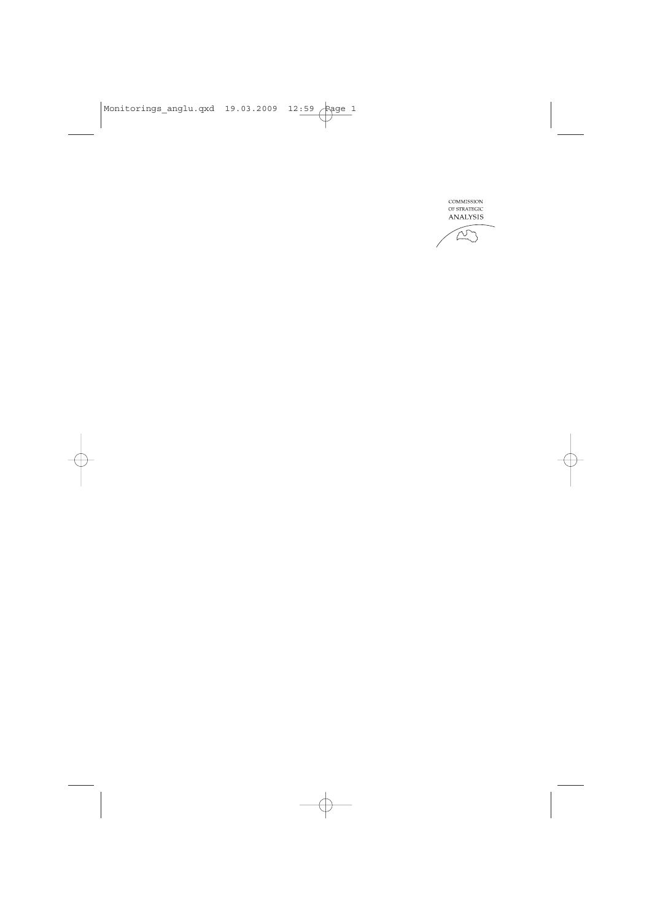Monitorings\_anglu.qxd 19.03.2009 12:59 Page 1

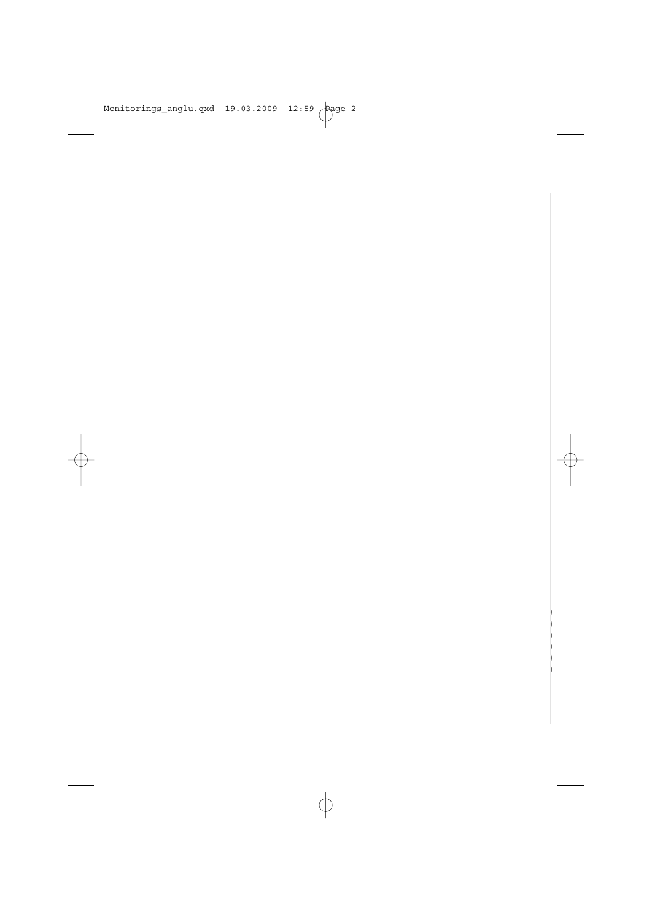Monitorings\_anglu.qxd 19.03.2009 12:59 Page 2

 $\mathfrak{g}$  $\mathbb{I}$  $\mathbb{L}$  $\mathbb{F}$  $\mathfrak{g}$  $\mathbb{I}$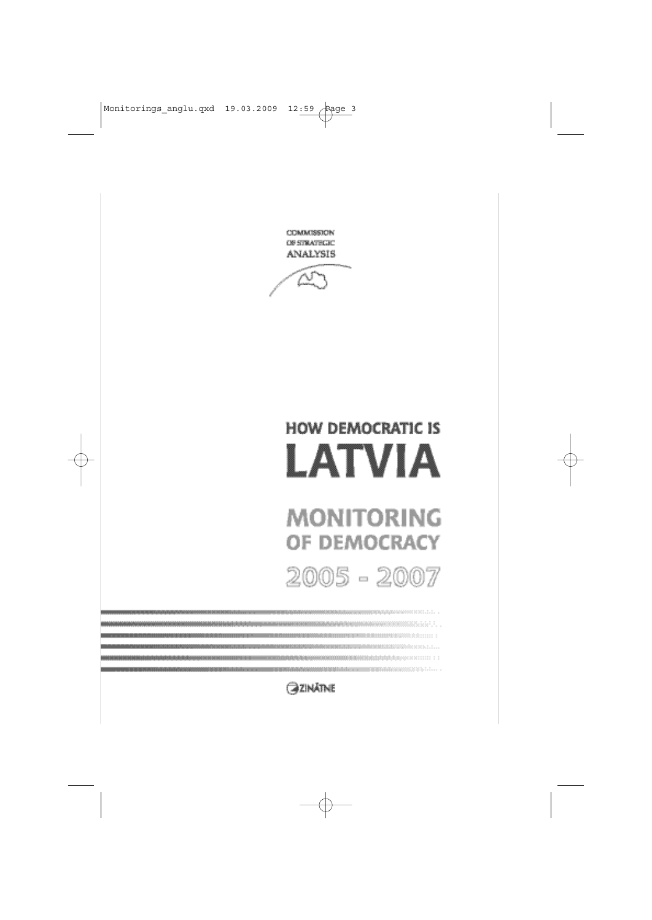$Montorings\_anglu.qxd 19.03.2009 12:59 29.89499$ 

COMMOSSION OF STRATEGIC ANALYSIS





2 \* HRIPHHAMASOSSA & **UMMERHERSHOOTS** 

GZINÄTNE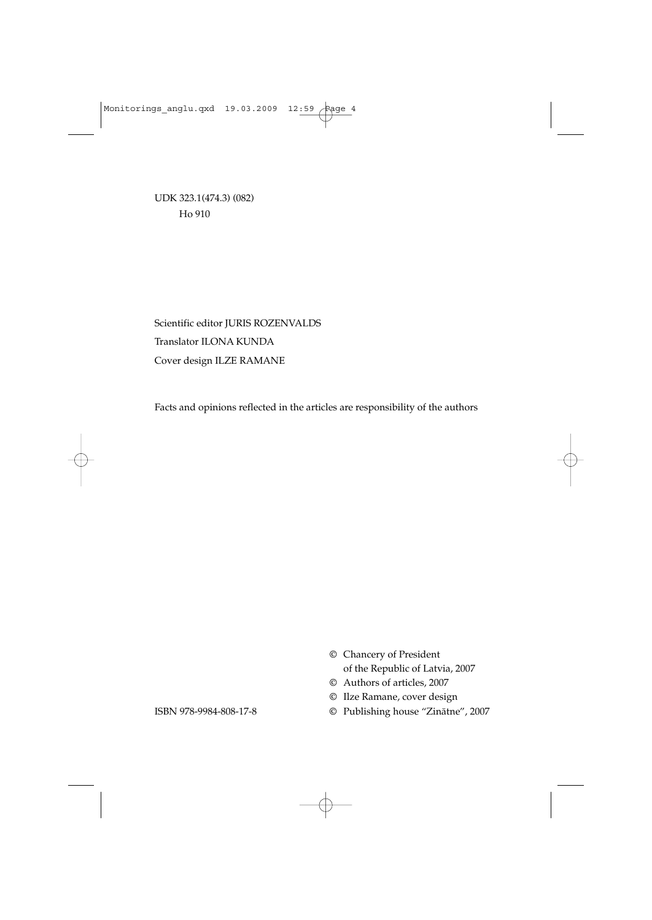$M$ onitorings\_anglu.qxd 19.03.2009 12:59  $\frac{1}{2}$ 

UDK 323.1(474.3) (082) Ho 910

Scientific editor JURIS ROZENVALDS Translator ILONA KUNDA Cover design ILZE RAMANE

Facts and opinions reflected in the articles are responsibility of the authors

- © Chancery of President of the Republic of Latvia, 2007
- © Authors of articles, 2007
- © Ilze Ramane, cover design
- ISBN 978-9984-808-17-8 © Publishing house "Zinâtne", 2007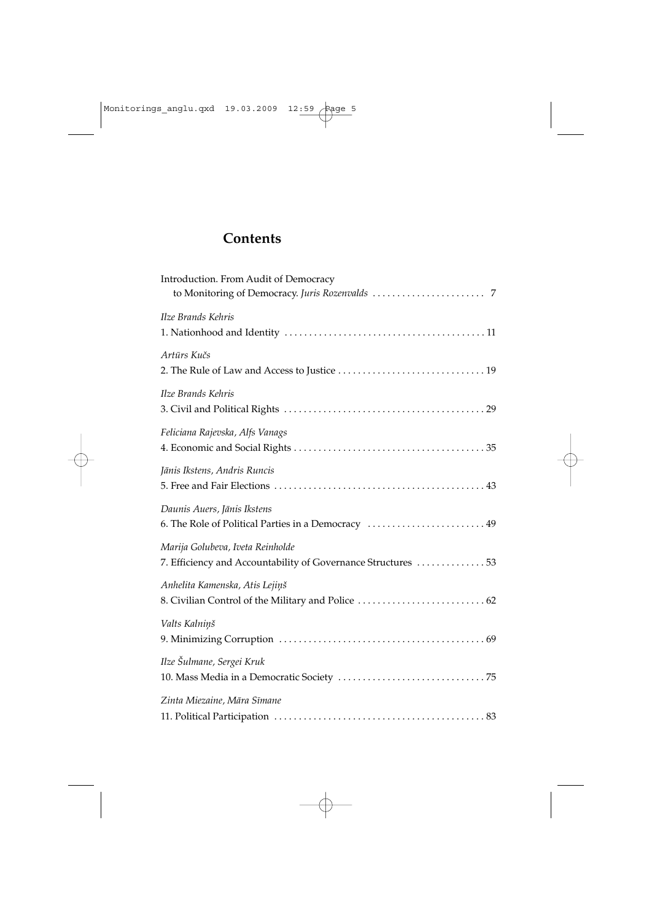Monitorings\_anglu.qxd 19.03.2009 12:59 Page 5

## **Contents**

| Introduction. From Audit of Democracy                                                            |
|--------------------------------------------------------------------------------------------------|
| Ilze Brands Kehris                                                                               |
| Artūrs Kučs                                                                                      |
| Ilze Brands Kehris                                                                               |
| Feliciana Rajevska, Alfs Vanags                                                                  |
| Jānis Ikstens, Andris Runcis                                                                     |
| Daunis Auers, Jānis Ikstens<br>6. The Role of Political Parties in a Democracy  49               |
| Marija Golubeva, Iveta Reinholde<br>7. Efficiency and Accountability of Governance Structures 53 |
| Anhelita Kamenska, Atis Lejiņš                                                                   |
| Valts Kalniņš                                                                                    |
| Ilze Šulmane, Sergei Kruk                                                                        |
| Zinta Miezaine, Māra Sīmane                                                                      |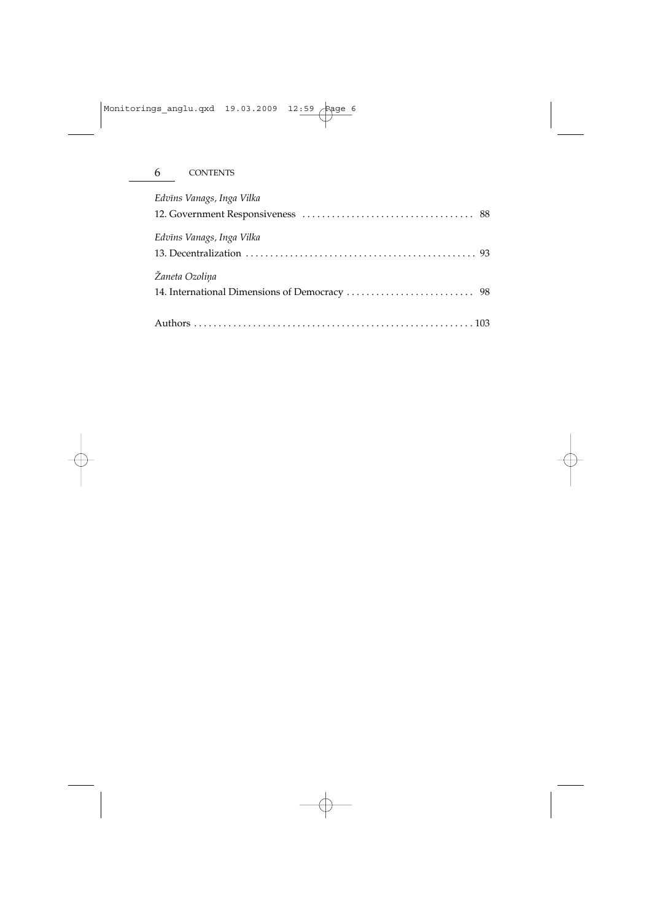### 6 CONTENTS

| Edvīns Vanags, Inga Vilka |  |
|---------------------------|--|
|                           |  |
| Edvīns Vanags, Inga Vilka |  |
| Žaneta Ozolina            |  |
|                           |  |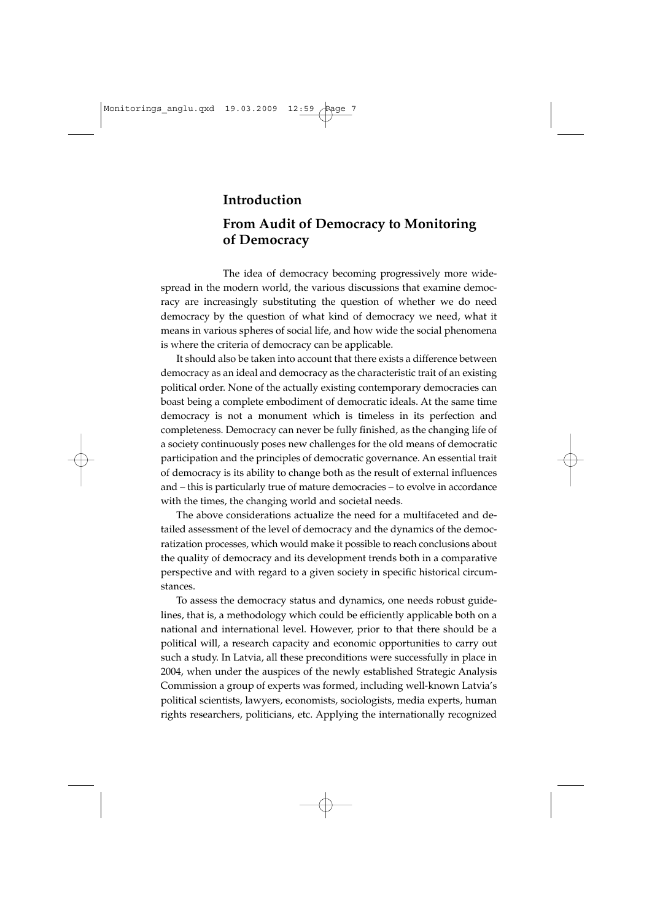### **Introduction**

### **From Audit of Democracy to Monitoring of Democracy**

The idea of democracy becoming progressively more widespread in the modern world, the various discussions that examine democracy are increasingly substituting the question of whether we do need democracy by the question of what kind of democracy we need, what it means in various spheres of social life, and how wide the social phenomena is where the criteria of democracy can be applicable.

It should also be taken into account that there exists a difference between democracy as an ideal and democracy as the characteristic trait of an existing political order. None of the actually existing contemporary democracies can boast being a complete embodiment of democratic ideals. At the same time democracy is not a monument which is timeless in its perfection and completeness. Democracy can never be fully finished, as the changing life of a society continuously poses new challenges for the old means of democratic participation and the principles of democratic governance. An essential trait of democracy is its ability to change both as the result of external influences and – this is particularly true of mature democracies – to evolve in accordance with the times, the changing world and societal needs.

The above considerations actualize the need for a multifaceted and detailed assessment of the level of democracy and the dynamics of the democratization processes, which would make it possible to reach conclusions about the quality of democracy and its development trends both in a comparative perspective and with regard to a given society in specific historical circumstances.

To assess the democracy status and dynamics, one needs robust guidelines, that is, a methodology which could be efficiently applicable both on a national and international level. However, prior to that there should be a political will, a research capacity and economic opportunities to carry out such a study. In Latvia, all these preconditions were successfully in place in 2004, when under the auspices of the newly established Strategic Analysis Commission a group of experts was formed, including well-known Latvia's political scientists, lawyers, economists, sociologists, media experts, human rights researchers, politicians, etc. Applying the internationally recognized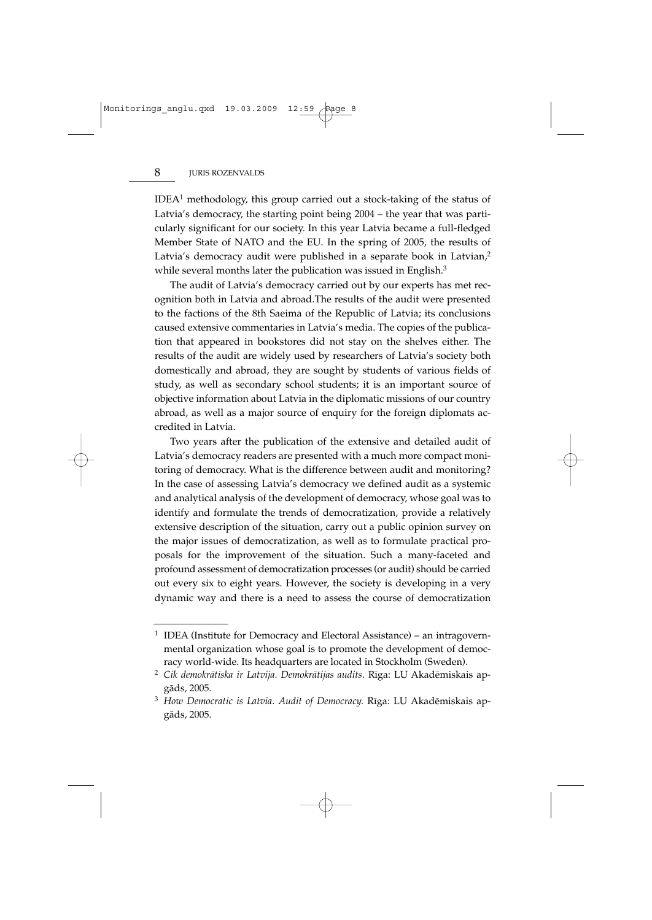#### 8 **JURIS ROZENVALDS**

IDEA<sup>1</sup> methodology, this group carried out a stock-taking of the status of Latvia's democracy, the starting point being 2004 – the year that was particularly significant for our society. In this year Latvia became a full-fledged Member State of NATO and the EU. In the spring of 2005, the results of Latvia's democracy audit were published in a separate book in Latvian,<sup>2</sup> while several months later the publication was issued in English.<sup>3</sup>

The audit of Latvia's democracy carried out by our experts has met recognition both in Latvia and abroad.The results of the audit were presented to the factions of the 8th Saeima of the Republic of Latvia; its conclusions caused extensive commentaries in Latvia's media. The copies of the publication that appeared in bookstores did not stay on the shelves either. The results of the audit are widely used by researchers of Latvia's society both domestically and abroad, they are sought by students of various fields of study, as well as secondary school students; it is an important source of objective information about Latvia in the diplomatic missions of our country abroad, as well as a major source of enquiry for the foreign diplomats accredited in Latvia.

Two years after the publication of the extensive and detailed audit of Latvia's democracy readers are presented with a much more compact monitoring of democracy. What is the difference between audit and monitoring? In the case of assessing Latvia's democracy we defined audit as a systemic and analytical analysis of the development of democracy, whose goal was to identify and formulate the trends of democratization, provide a relatively extensive description of the situation, carry out a public opinion survey on the major issues of democratization, as well as to formulate practical proposals for the improvement of the situation. Such a many-faceted and profound assessment of democratization processes (or audit) should be carried out every six to eight years. However, the society is developing in a very dynamic way and there is a need to assess the course of democratization

<sup>&</sup>lt;sup>1</sup> IDEA (Institute for Democracy and Electoral Assistance) – an intragovernmental organization whose goal is to promote the development of democracy world-wide. Its headquarters are located in Stockholm (Sweden).

<sup>&</sup>lt;sup>2</sup> Cik demokrātiska ir Latvija. Demokrātijas audits. Rīga: LU Akadēmiskais apgâds, 2005.

<sup>&</sup>lt;sup>3</sup> How Democratic is Latvia. Audit of Democracy. Rīga: LU Akadēmiskais apgâds, 2005.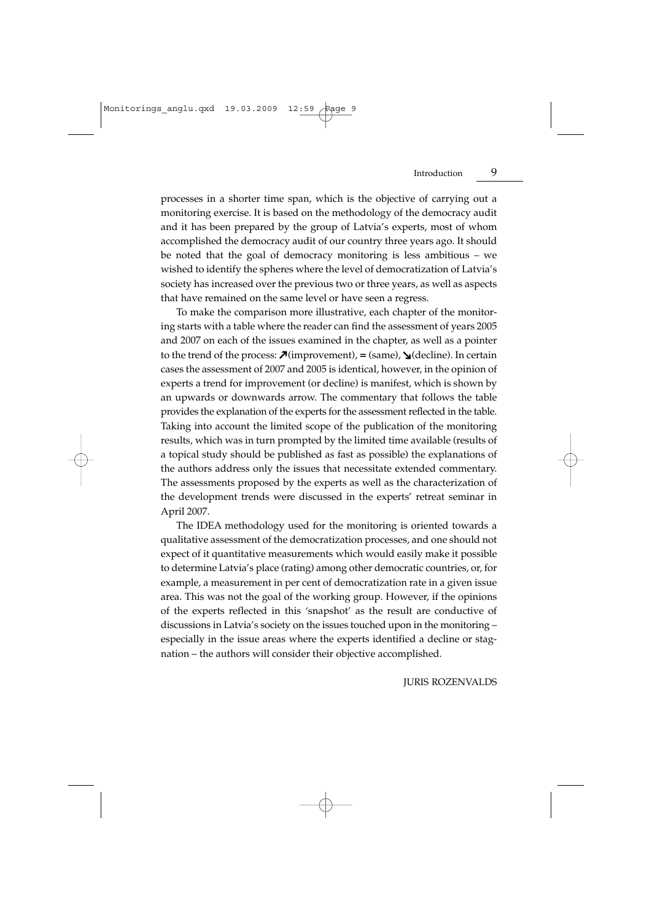#### Introduction 9

processes in a shorter time span, which is the objective of carrying out a monitoring exercise. It is based on the methodology of the democracy audit and it has been prepared by the group of Latvia's experts, most of whom accomplished the democracy audit of our country three years ago. It should be noted that the goal of democracy monitoring is less ambitious – we wished to identify the spheres where the level of democratization of Latvia's society has increased over the previous two or three years, as well as aspects that have remained on the same level or have seen a regress.

To make the comparison more illustrative, each chapter of the monitoring starts with a table where the reader can find the assessment of years 2005 and 2007 on each of the issues examined in the chapter, as well as a pointer to the trend of the process:  $\vec{\mathcal{P}}$  (improvement), = (same),  $\sum$  (decline). In certain cases the assessment of 2007 and 2005 is identical, however, in the opinion of experts a trend for improvement (or decline) is manifest, which is shown by an upwards or downwards arrow. The commentary that follows the table provides the explanation of the experts for the assessment reflected in the table. Taking into account the limited scope of the publication of the monitoring results, which was in turn prompted by the limited time available (results of a topical study should be published as fast as possible) the explanations of the authors address only the issues that necessitate extended commentary. The assessments proposed by the experts as well as the characterization of the development trends were discussed in the experts' retreat seminar in April 2007.

The IDEA methodology used for the monitoring is oriented towards a qualitative assessment of the democratization processes, and one should not expect of it quantitative measurements which would easily make it possible to determine Latvia's place (rating) among other democratic countries, or, for example, a measurement in per cent of democratization rate in a given issue area. This was not the goal of the working group. However, if the opinions of the experts reflected in this 'snapshot' as the result are conductive of discussions in Latvia's society on the issues touched upon in the monitoring – especially in the issue areas where the experts identified a decline or stagnation – the authors will consider their objective accomplished.

JURIS ROZENVALDS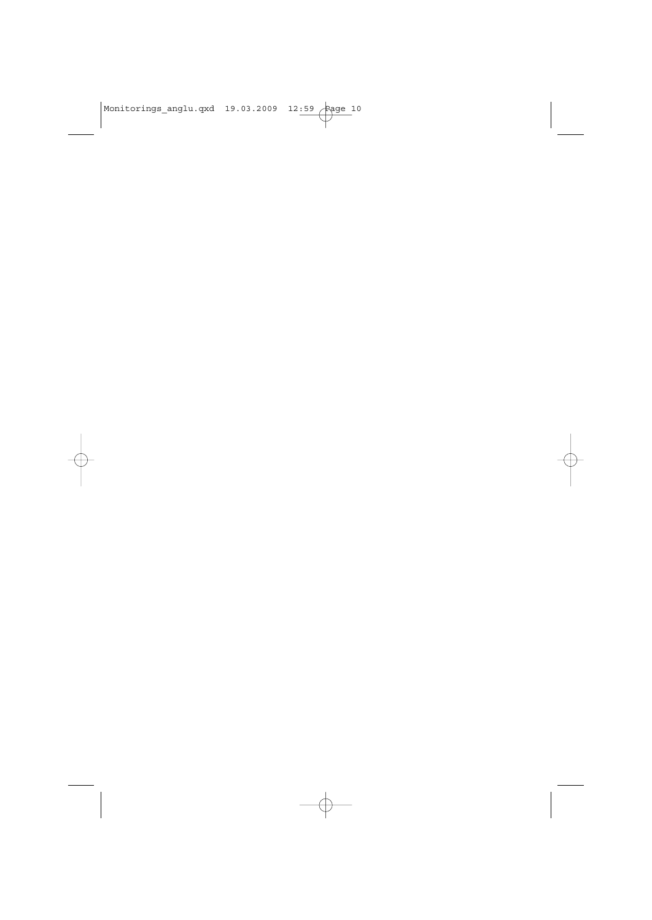Monitorings\_anglu.qxd 19.03.2009 12:59 Page 10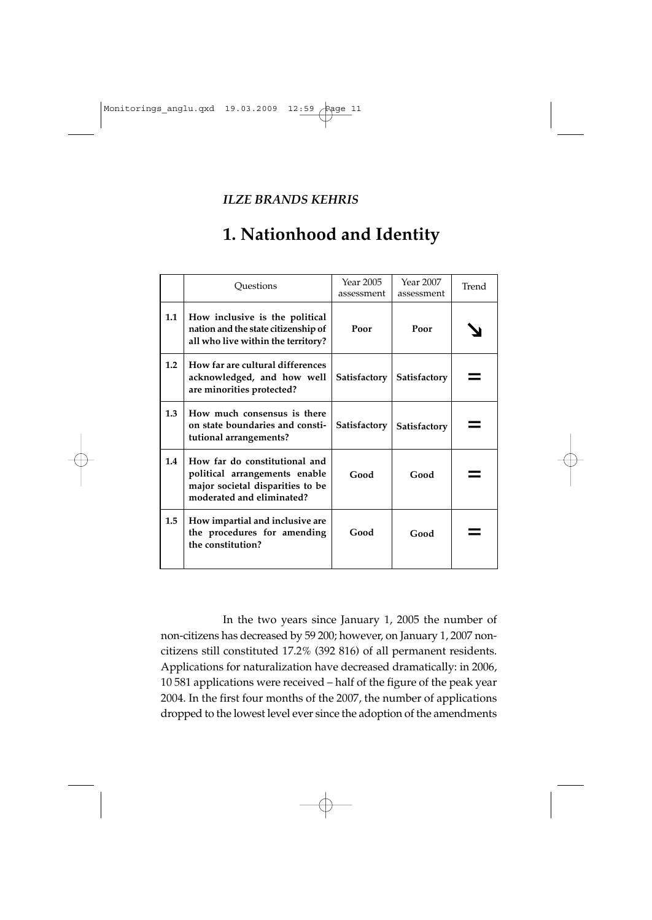$\text{Monitorings\_angular,qxd}$  19.03.2009 12:59  $\text{Page 11}$ 

### *ILZE BRANDS KEHRIS*

## **1. Nationhood and Identity**

|     | Ouestions                                                                                                                       | Year 2005<br>assessment | Year 2007<br>assessment | Trend |
|-----|---------------------------------------------------------------------------------------------------------------------------------|-------------------------|-------------------------|-------|
| 1.1 | How inclusive is the political<br>nation and the state citizenship of<br>all who live within the territory?                     | Poor                    | Poor                    |       |
| 1.2 | How far are cultural differences<br>acknowledged, and how well<br>are minorities protected?                                     | Satisfactory            | Satisfactory            |       |
| 1.3 | How much consensus is there<br>on state boundaries and consti-<br>tutional arrangements?                                        | Satisfactory            | Satisfactory            |       |
| 1.4 | How far do constitutional and<br>political arrangements enable<br>major societal disparities to be<br>moderated and eliminated? | Good                    | Good                    |       |
| 1.5 | How impartial and inclusive are<br>the procedures for amending<br>the constitution?                                             | Good                    | Good                    |       |

In the two years since January 1, 2005 the number of non-citizens has decreased by 59 200; however, on January 1, 2007 noncitizens still constituted 17.2% (392 816) of all permanent residents. Applications for naturalization have decreased dramatically: in 2006, 10 581 applications were received – half of the figure of the peak year 2004. In the first four months of the 2007, the number of applications dropped to the lowest level ever since the adoption of the amendments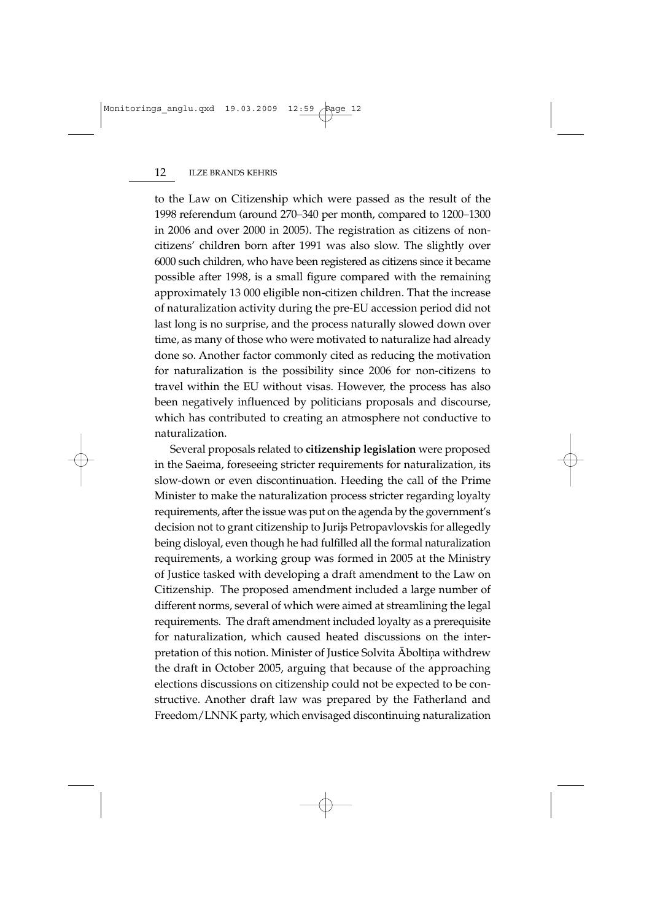#### 12 ILZE BRANDS KEHRIS

to the Law on Citizenship which were passed as the result of the 1998 referendum (around 270–340 per month, compared to 1200–1300 in 2006 and over 2000 in 2005). The registration as citizens of noncitizens' children born after 1991 was also slow. The slightly over 6000 such children, who have been registered as citizens since it became possible after 1998, is a small figure compared with the remaining approximately 13 000 eligible non-citizen children. That the increase of naturalization activity during the pre-EU accession period did not last long is no surprise, and the process naturally slowed down over time, as many of those who were motivated to naturalize had already done so. Another factor commonly cited as reducing the motivation for naturalization is the possibility since 2006 for non-citizens to travel within the EU without visas. However, the process has also been negatively influenced by politicians proposals and discourse, which has contributed to creating an atmosphere not conductive to naturalization.

Several proposals related to **citizenship legislation** were proposed in the Saeima, foreseeing stricter requirements for naturalization, its slow-down or even discontinuation. Heeding the call of the Prime Minister to make the naturalization process stricter regarding loyalty requirements, after the issue was put on the agenda by the government's decision not to grant citizenship to Jurijs Petropavlovskis for allegedly being disloyal, even though he had fulfilled all the formal naturalization requirements, a working group was formed in 2005 at the Ministry of Justice tasked with developing a draft amendment to the Law on Citizenship. The proposed amendment included a large number of different norms, several of which were aimed at streamlining the legal requirements. The draft amendment included loyalty as a prerequisite for naturalization, which caused heated discussions on the interpretation of this notion. Minister of Justice Solvita Aboltiņa withdrew the draft in October 2005, arguing that because of the approaching elections discussions on citizenship could not be expected to be constructive. Another draft law was prepared by the Fatherland and Freedom/LNNK party, which envisaged discontinuing naturalization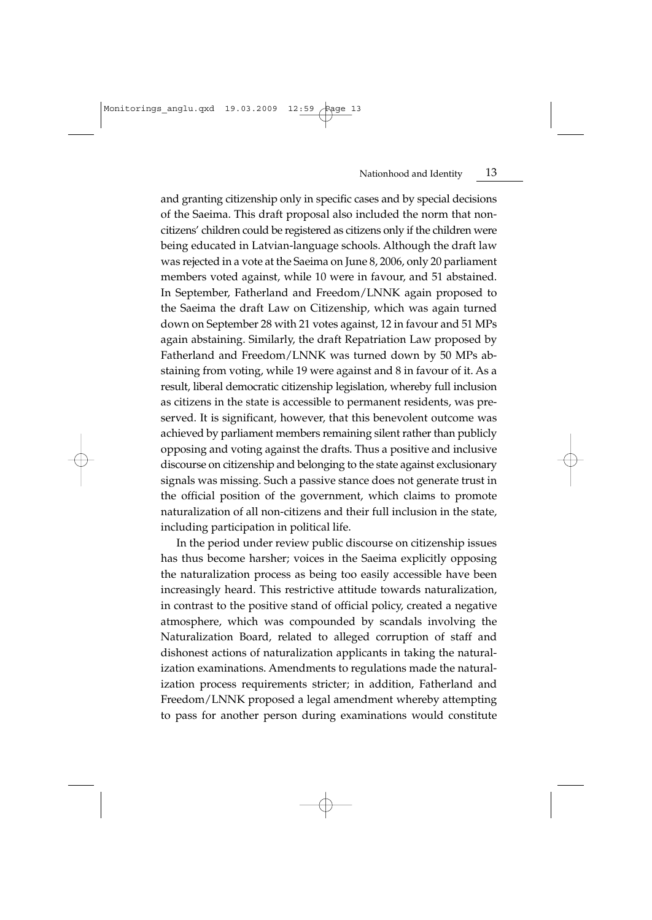Monitorings\_anglu.qxd 19.03.2009

#### Nationhood and Identity 13

and granting citizenship only in specific cases and by special decisions of the Saeima. This draft proposal also included the norm that noncitizens' children could be registered as citizens only if the children were being educated in Latvian-language schools. Although the draft law was rejected in a vote at the Saeima on June 8, 2006, only 20 parliament members voted against, while 10 were in favour, and 51 abstained. In September, Fatherland and Freedom/LNNK again proposed to the Saeima the draft Law on Citizenship, which was again turned down on September 28 with 21 votes against, 12 in favour and 51 MPs again abstaining. Similarly, the draft Repatriation Law proposed by Fatherland and Freedom/LNNK was turned down by 50 MPs abstaining from voting, while 19 were against and 8 in favour of it. As a result, liberal democratic citizenship legislation, whereby full inclusion as citizens in the state is accessible to permanent residents, was preserved. It is significant, however, that this benevolent outcome was achieved by parliament members remaining silent rather than publicly opposing and voting against the drafts. Thus a positive and inclusive discourse on citizenship and belonging to the state against exclusionary signals was missing. Such a passive stance does not generate trust in the official position of the government, which claims to promote naturalization of all non-citizens and their full inclusion in the state, including participation in political life.

In the period under review public discourse on citizenship issues has thus become harsher; voices in the Saeima explicitly opposing the naturalization process as being too easily accessible have been increasingly heard. This restrictive attitude towards naturalization, in contrast to the positive stand of official policy, created a negative atmosphere, which was compounded by scandals involving the Naturalization Board, related to alleged corruption of staff and dishonest actions of naturalization applicants in taking the naturalization examinations. Amendments to regulations made the naturalization process requirements stricter; in addition, Fatherland and Freedom/LNNK proposed a legal amendment whereby attempting to pass for another person during examinations would constitute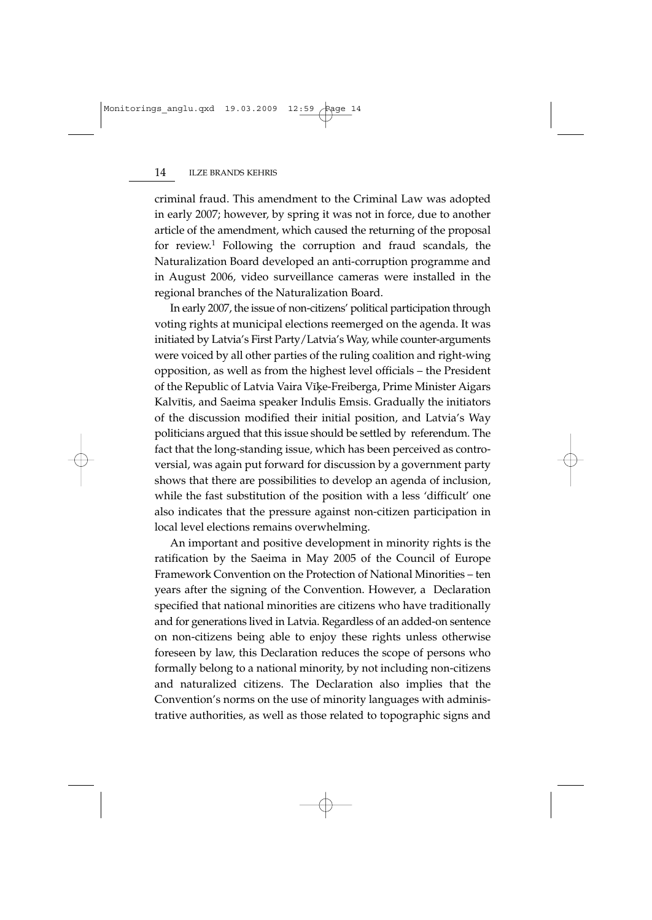#### 14 ILZE BRANDS KEHRIS

criminal fraud. This amendment to the Criminal Law was adopted in early 2007; however, by spring it was not in force, due to another article of the amendment, which caused the returning of the proposal for review.<sup>1</sup> Following the corruption and fraud scandals, the Naturalization Board developed an anti-corruption programme and in August 2006, video surveillance cameras were installed in the regional branches of the Naturalization Board.

In early 2007, the issue of non-citizens' political participation through voting rights at municipal elections reemerged on the agenda. It was initiated by Latvia's First Party/Latvia's Way, while counter-arguments were voiced by all other parties of the ruling coalition and right-wing opposition, as well as from the highest level officials – the President of the Republic of Latvia Vaira Vîíe-Freiberga, Prime Minister Aigars Kalvîtis, and Saeima speaker Indulis Emsis. Gradually the initiators of the discussion modified their initial position, and Latvia's Way politicians argued that this issue should be settled by referendum. The fact that the long-standing issue, which has been perceived as controversial, was again put forward for discussion by a government party shows that there are possibilities to develop an agenda of inclusion, while the fast substitution of the position with a less 'difficult' one also indicates that the pressure against non-citizen participation in local level elections remains overwhelming.

An important and positive development in minority rights is the ratification by the Saeima in May 2005 of the Council of Europe Framework Convention on the Protection of National Minorities – ten years after the signing of the Convention. However, a Declaration specified that national minorities are citizens who have traditionally and for generations lived in Latvia. Regardless of an added-on sentence on non-citizens being able to enjoy these rights unless otherwise foreseen by law, this Declaration reduces the scope of persons who formally belong to a national minority, by not including non-citizens and naturalized citizens. The Declaration also implies that the Convention's norms on the use of minority languages with administrative authorities, as well as those related to topographic signs and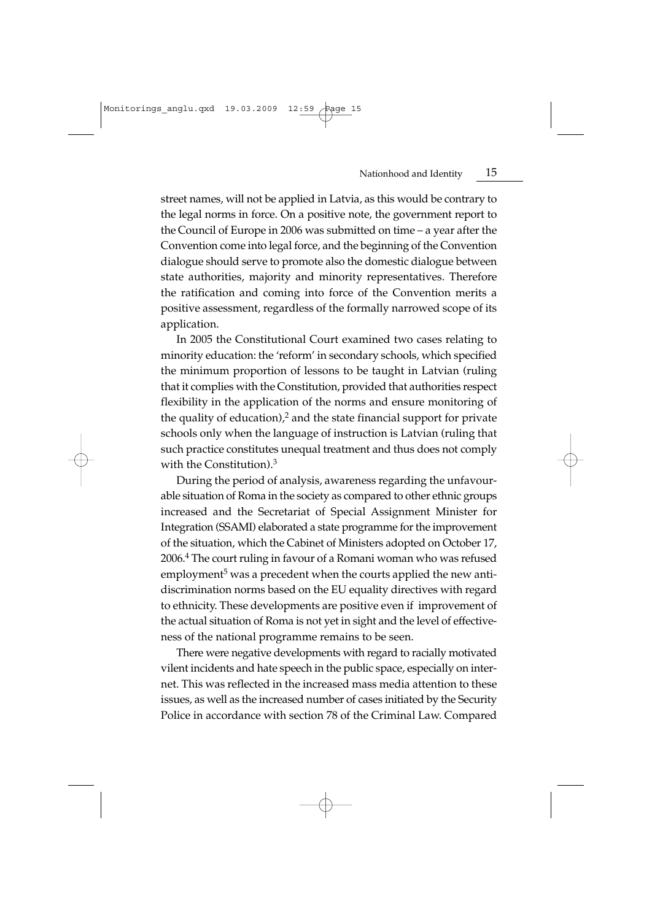Monitorings\_anglu.qxd 19.03.2009

#### Nationhood and Identity 15

street names, will not be applied in Latvia, as this would be contrary to the legal norms in force. On a positive note, the government report to the Council of Europe in 2006 was submitted on time – a year after the Convention come into legal force, and the beginning of the Convention dialogue should serve to promote also the domestic dialogue between state authorities, majority and minority representatives. Therefore the ratification and coming into force of the Convention merits a positive assessment, regardless of the formally narrowed scope of its application.

In 2005 the Constitutional Court examined two cases relating to minority education: the 'reform' in secondary schools, which specified the minimum proportion of lessons to be taught in Latvian (ruling that it complies with the Constitution, provided that authorities respect flexibility in the application of the norms and ensure monitoring of the quality of education), $2$  and the state financial support for private schools only when the language of instruction is Latvian (ruling that such practice constitutes unequal treatment and thus does not comply with the Constitution).<sup>3</sup>

During the period of analysis, awareness regarding the unfavourable situation of Roma in the society as compared to other ethnic groups increased and the Secretariat of Special Assignment Minister for Integration (SSAMI) elaborated a state programme for the improvement of the situation, which the Cabinet of Ministers adopted on October 17, 2006.4 The court ruling in favour of a Romani woman who was refused employment<sup>5</sup> was a precedent when the courts applied the new antidiscrimination norms based on the EU equality directives with regard to ethnicity. These developments are positive even if improvement of the actual situation of Roma is not yet in sight and the level of effectiveness of the national programme remains to be seen.

There were negative developments with regard to racially motivated vilent incidents and hate speech in the public space, especially on internet. This was reflected in the increased mass media attention to these issues, as well as the increased number of cases initiated by the Security Police in accordance with section 78 of the Criminal Law. Compared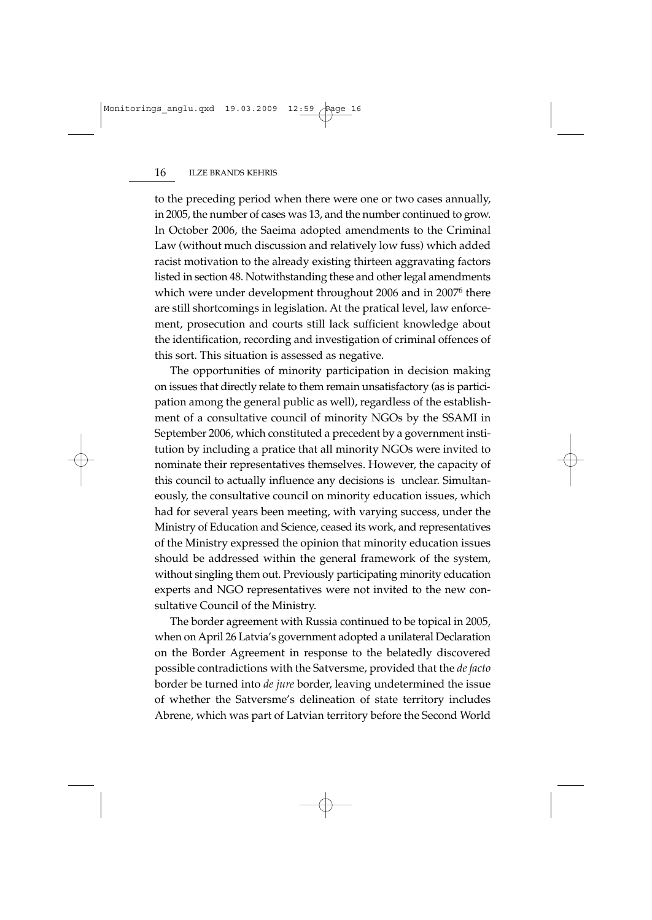#### 16 ILZE BRANDS KEHRIS

to the preceding period when there were one or two cases annually, in 2005, the number of cases was 13, and the number continued to grow. In October 2006, the Saeima adopted amendments to the Criminal Law (without much discussion and relatively low fuss) which added racist motivation to the already existing thirteen aggravating factors listed in section 48. Notwithstanding these and other legal amendments which were under development throughout 2006 and in 2007<sup>6</sup> there are still shortcomings in legislation. At the pratical level, law enforcement, prosecution and courts still lack sufficient knowledge about the identification, recording and investigation of criminal offences of this sort. This situation is assessed as negative.

The opportunities of minority participation in decision making on issues that directly relate to them remain unsatisfactory (as is participation among the general public as well), regardless of the establishment of a consultative council of minority NGOs by the SSAMI in September 2006, which constituted a precedent by a government institution by including a pratice that all minority NGOs were invited to nominate their representatives themselves. However, the capacity of this council to actually influence any decisions is unclear. Simultaneously, the consultative council on minority education issues, which had for several years been meeting, with varying success, under the Ministry of Education and Science, ceased its work, and representatives of the Ministry expressed the opinion that minority education issues should be addressed within the general framework of the system, without singling them out. Previously participating minority education experts and NGO representatives were not invited to the new consultative Council of the Ministry.

The border agreement with Russia continued to be topical in 2005, when on April 26 Latvia's government adopted a unilateral Declaration on the Border Agreement in response to the belatedly discovered possible contradictions with the Satversme, provided that the *de facto* border be turned into *de jure* border, leaving undetermined the issue of whether the Satversme's delineation of state territory includes Abrene, which was part of Latvian territory before the Second World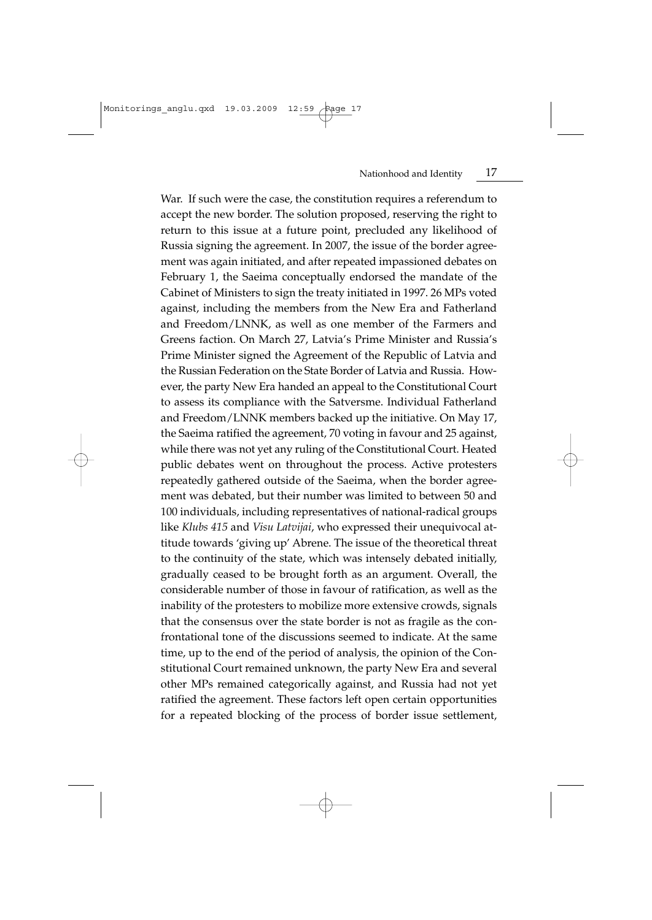#### Nationhood and Identity 17

War. If such were the case, the constitution requires a referendum to accept the new border. The solution proposed, reserving the right to return to this issue at a future point, precluded any likelihood of Russia signing the agreement. In 2007, the issue of the border agreement was again initiated, and after repeated impassioned debates on February 1, the Saeima conceptually endorsed the mandate of the Cabinet of Ministers to sign the treaty initiated in 1997. 26 MPs voted against, including the members from the New Era and Fatherland and Freedom/LNNK, as well as one member of the Farmers and Greens faction. On March 27, Latvia's Prime Minister and Russia's Prime Minister signed the Agreement of the Republic of Latvia and the Russian Federation on the State Border of Latvia and Russia. However, the party New Era handed an appeal to the Constitutional Court to assess its compliance with the Satversme. Individual Fatherland and Freedom/LNNK members backed up the initiative. On May 17, the Saeima ratified the agreement, 70 voting in favour and 25 against, while there was not yet any ruling of the Constitutional Court. Heated public debates went on throughout the process. Active protesters repeatedly gathered outside of the Saeima, when the border agreement was debated, but their number was limited to between 50 and 100 individuals, including representatives of national-radical groups like *Klubs 415* and *Visu Latvijai*, who expressed their unequivocal attitude towards 'giving up' Abrene. The issue of the theoretical threat to the continuity of the state, which was intensely debated initially, gradually ceased to be brought forth as an argument. Overall, the considerable number of those in favour of ratification, as well as the inability of the protesters to mobilize more extensive crowds, signals that the consensus over the state border is not as fragile as the confrontational tone of the discussions seemed to indicate. At the same time, up to the end of the period of analysis, the opinion of the Constitutional Court remained unknown, the party New Era and several other MPs remained categorically against, and Russia had not yet ratified the agreement. These factors left open certain opportunities for a repeated blocking of the process of border issue settlement,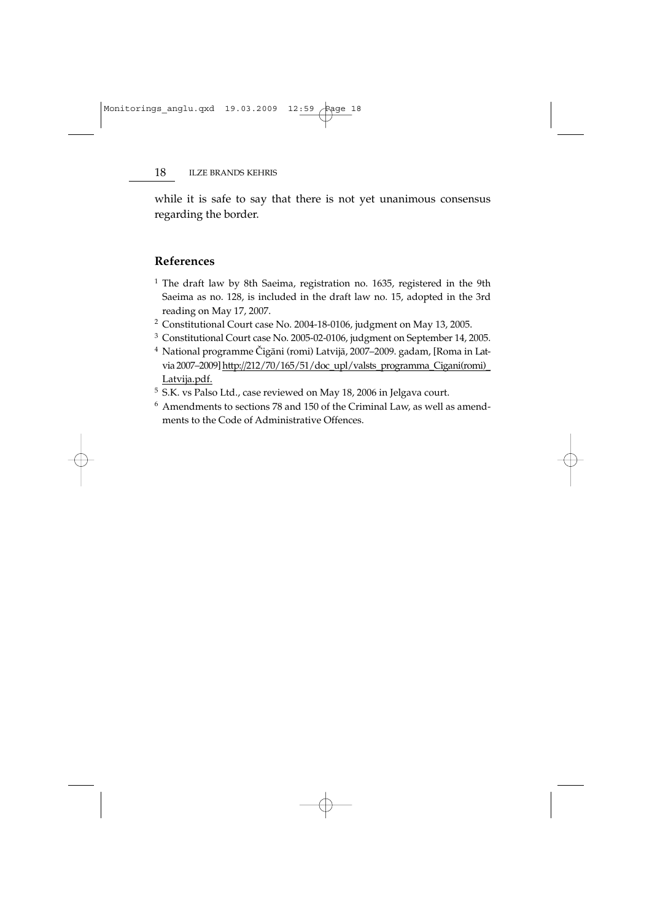#### 18 ILZE BRANDS KEHRIS

while it is safe to say that there is not yet unanimous consensus regarding the border.

#### **References**

- <sup>1</sup> The draft law by 8th Saeima, registration no. 1635, registered in the 9th Saeima as no. 128, is included in the draft law no. 15, adopted in the 3rd reading on May 17, 2007.
- <sup>2</sup> Constitutional Court case No. 2004-18-0106, judgment on May 13, 2005.
- <sup>3</sup> Constitutional Court case No. 2005-02-0106, judgment on September 14, 2005. <sup>4</sup> National programme Èigâni (romi) Latvijâ, 2007–2009. gadam, [Roma in Lat-
- via 2007–2009] http:*//*212/70/165/51/doc\_upl/valsts\_programma\_Cigani(romi)\_ Latvija.pdf.
- <sup>5</sup> S.K. vs Palso Ltd., case reviewed on May 18, 2006 in Jelgava court.
- <sup>6</sup> Amendments to sections 78 and 150 of the Criminal Law, as well as amendments to the Code of Administrative Offences.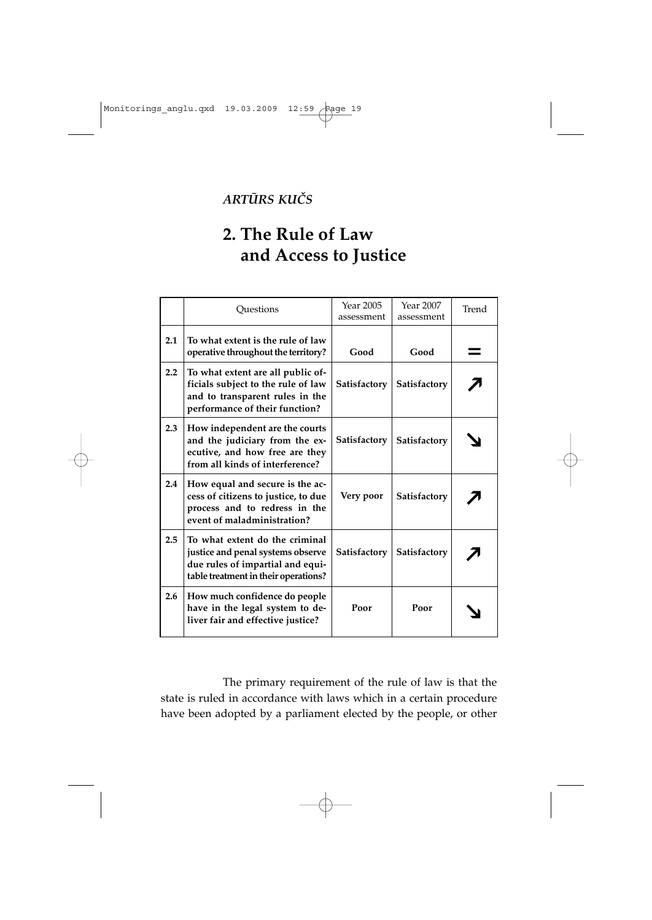## *ARTÛRS KUÈS*

# **2. The Rule of Law and Access to Justice**

|                  | Ouestions                                                                                                                                       | Year 2005<br>assessment | Year 2007<br>assessment | Trend |
|------------------|-------------------------------------------------------------------------------------------------------------------------------------------------|-------------------------|-------------------------|-------|
| 2.1              | To what extent is the rule of law<br>operative throughout the territory?                                                                        | Good                    | Good                    |       |
| $2.2\phantom{0}$ | To what extent are all public of-<br>ficials subject to the rule of law<br>and to transparent rules in the<br>performance of their function?    | Satisfactory            | Satisfactory            |       |
| 2.3              | How independent are the courts<br>and the judiciary from the ex-<br>ecutive, and how free are they<br>from all kinds of interference?           | Satisfactory            | Satisfactory            |       |
| 2.4              | How equal and secure is the ac-<br>cess of citizens to justice, to due<br>process and to redress in the<br>event of maladministration?          | Very poor               | Satisfactory            |       |
| $2.5\,$          | To what extent do the criminal<br>justice and penal systems observe<br>due rules of impartial and equi-<br>table treatment in their operations? | Satisfactory            | Satisfactory            |       |
| 2.6              | How much confidence do people<br>have in the legal system to de-<br>liver fair and effective justice?                                           | Poor                    | Poor                    |       |

The primary requirement of the rule of law is that the state is ruled in accordance with laws which in a certain procedure have been adopted by a parliament elected by the people, or other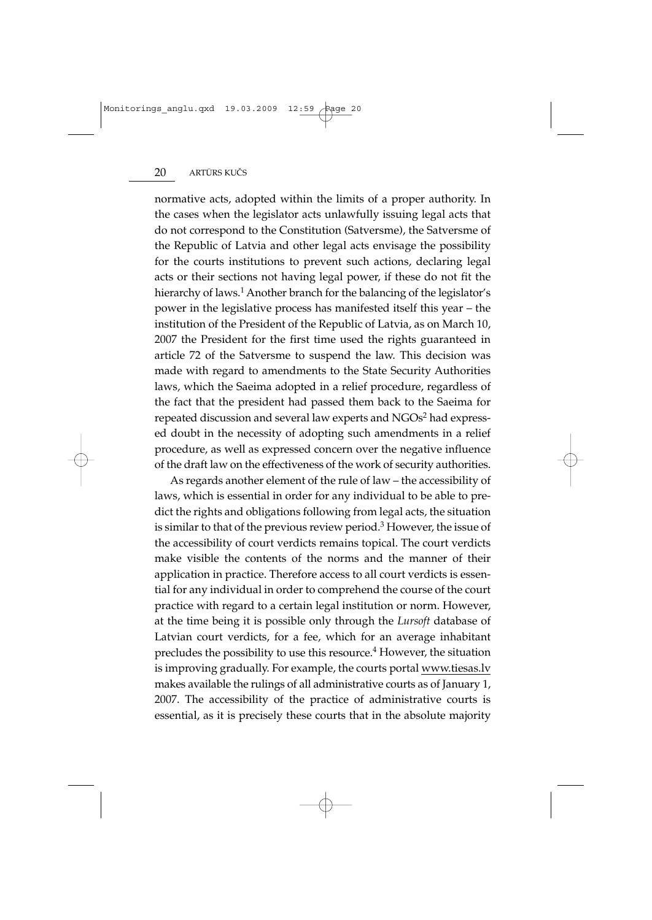#### 20 ARTÛRS KUÈS

normative acts, adopted within the limits of a proper authority. In the cases when the legislator acts unlawfully issuing legal acts that do not correspond to the Constitution (Satversme), the Satversme of the Republic of Latvia and other legal acts envisage the possibility for the courts institutions to prevent such actions, declaring legal acts or their sections not having legal power, if these do not fit the hierarchy of laws.<sup>1</sup> Another branch for the balancing of the legislator's power in the legislative process has manifested itself this year – the institution of the President of the Republic of Latvia, as on March 10, 2007 the President for the first time used the rights guaranteed in article 72 of the Satversme to suspend the law. This decision was made with regard to amendments to the State Security Authorities laws, which the Saeima adopted in a relief procedure, regardless of the fact that the president had passed them back to the Saeima for repeated discussion and several law experts and NGOs<sup>2</sup> had expressed doubt in the necessity of adopting such amendments in a relief procedure, as well as expressed concern over the negative influence of the draft law on the effectiveness of the work of security authorities.

As regards another element of the rule of law – the accessibility of laws, which is essential in order for any individual to be able to predict the rights and obligations following from legal acts, the situation is similar to that of the previous review period.<sup>3</sup> However, the issue of the accessibility of court verdicts remains topical. The court verdicts make visible the contents of the norms and the manner of their application in practice. Therefore access to all court verdicts is essential for any individual in order to comprehend the course of the court practice with regard to a certain legal institution or norm. However, at the time being it is possible only through the *Lursoft* database of Latvian court verdicts, for a fee, which for an average inhabitant precludes the possibility to use this resource.<sup>4</sup> However, the situation is improving gradually. For example, the courts portal www.tiesas.lv makes available the rulings of all administrative courts as of January 1, 2007. The accessibility of the practice of administrative courts is essential, as it is precisely these courts that in the absolute majority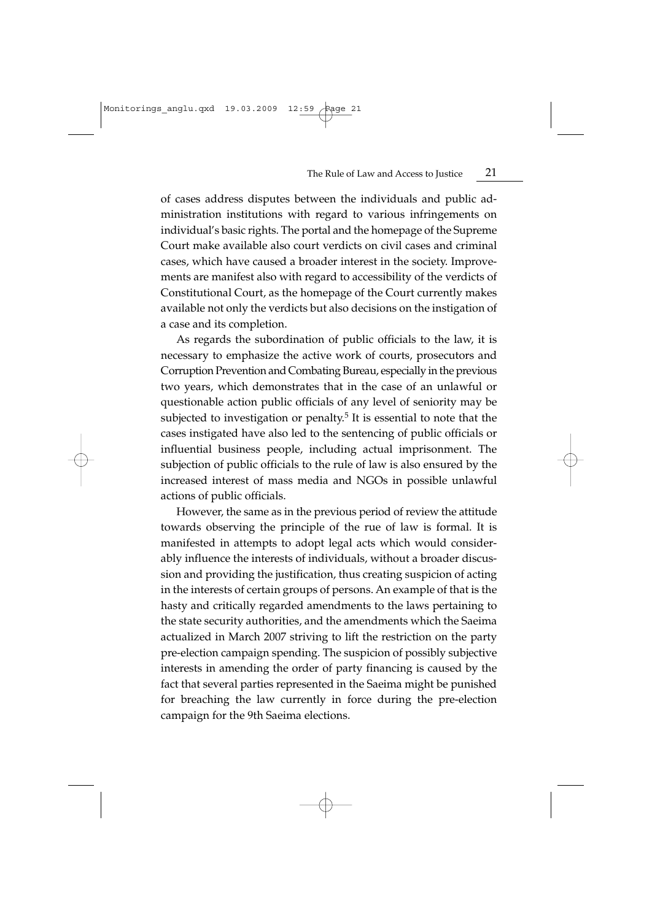#### The Rule of Law and Access to Justice 21

of cases address disputes between the individuals and public administration institutions with regard to various infringements on individual's basic rights. The portal and the homepage of the Supreme Court make available also court verdicts on civil cases and criminal cases, which have caused a broader interest in the society. Improvements are manifest also with regard to accessibility of the verdicts of Constitutional Court, as the homepage of the Court currently makes available not only the verdicts but also decisions on the instigation of a case and its completion.

As regards the subordination of public officials to the law, it is necessary to emphasize the active work of courts, prosecutors and Corruption Prevention and Combating Bureau, especially in the previous two years, which demonstrates that in the case of an unlawful or questionable action public officials of any level of seniority may be subjected to investigation or penalty.<sup>5</sup> It is essential to note that the cases instigated have also led to the sentencing of public officials or influential business people, including actual imprisonment. The subjection of public officials to the rule of law is also ensured by the increased interest of mass media and NGOs in possible unlawful actions of public officials.

However, the same as in the previous period of review the attitude towards observing the principle of the rue of law is formal. It is manifested in attempts to adopt legal acts which would considerably influence the interests of individuals, without a broader discussion and providing the justification, thus creating suspicion of acting in the interests of certain groups of persons. An example of that is the hasty and critically regarded amendments to the laws pertaining to the state security authorities, and the amendments which the Saeima actualized in March 2007 striving to lift the restriction on the party pre-election campaign spending. The suspicion of possibly subjective interests in amending the order of party financing is caused by the fact that several parties represented in the Saeima might be punished for breaching the law currently in force during the pre-election campaign for the 9th Saeima elections.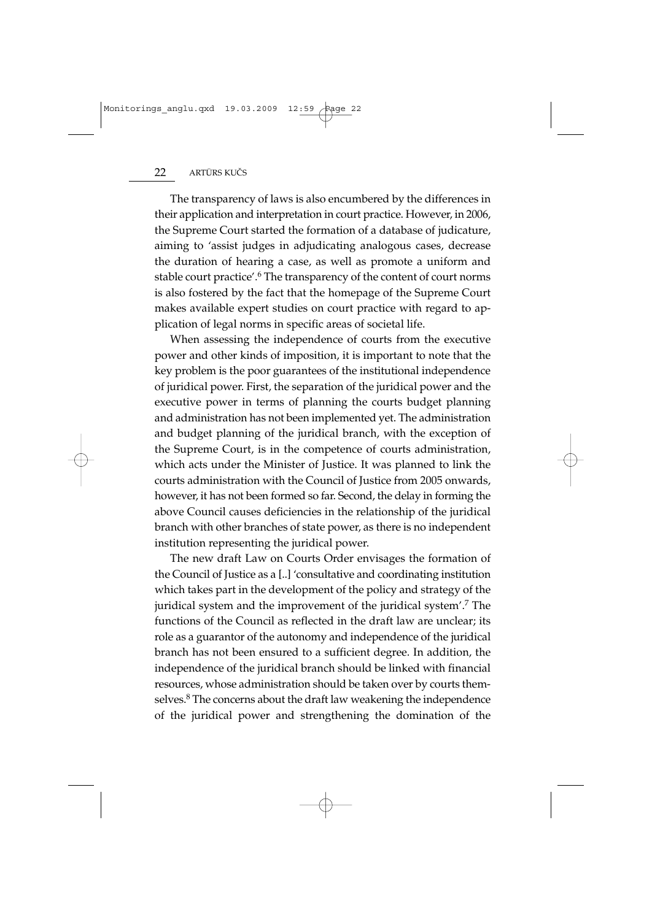#### 22 ARTÛRS KUÈS

The transparency of laws is also encumbered by the differences in their application and interpretation in court practice. However, in 2006, the Supreme Court started the formation of a database of judicature, aiming to 'assist judges in adjudicating analogous cases, decrease the duration of hearing a case, as well as promote a uniform and stable court practice'.<sup>6</sup> The transparency of the content of court norms is also fostered by the fact that the homepage of the Supreme Court makes available expert studies on court practice with regard to application of legal norms in specific areas of societal life.

When assessing the independence of courts from the executive power and other kinds of imposition, it is important to note that the key problem is the poor guarantees of the institutional independence of juridical power. First, the separation of the juridical power and the executive power in terms of planning the courts budget planning and administration has not been implemented yet. The administration and budget planning of the juridical branch, with the exception of the Supreme Court, is in the competence of courts administration, which acts under the Minister of Justice. It was planned to link the courts administration with the Council of Justice from 2005 onwards, however, it has not been formed so far. Second, the delay in forming the above Council causes deficiencies in the relationship of the juridical branch with other branches of state power, as there is no independent institution representing the juridical power.

The new draft Law on Courts Order envisages the formation of the Council of Justice as a [..] 'consultative and coordinating institution which takes part in the development of the policy and strategy of the juridical system and the improvement of the juridical system'.7 The functions of the Council as reflected in the draft law are unclear; its role as a guarantor of the autonomy and independence of the juridical branch has not been ensured to a sufficient degree. In addition, the independence of the juridical branch should be linked with financial resources, whose administration should be taken over by courts themselves.<sup>8</sup> The concerns about the draft law weakening the independence of the juridical power and strengthening the domination of the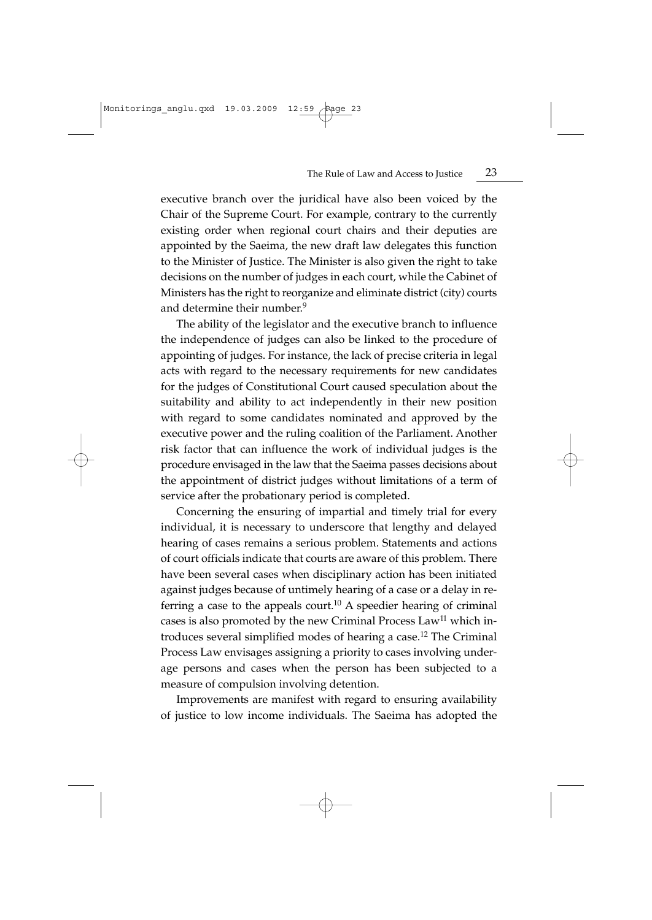#### The Rule of Law and Access to Justice 23

executive branch over the juridical have also been voiced by the Chair of the Supreme Court. For example, contrary to the currently existing order when regional court chairs and their deputies are appointed by the Saeima, the new draft law delegates this function to the Minister of Justice. The Minister is also given the right to take decisions on the number of judges in each court, while the Cabinet of Ministers has the right to reorganize and eliminate district (city) courts and determine their number.<sup>9</sup>

The ability of the legislator and the executive branch to influence the independence of judges can also be linked to the procedure of appointing of judges. For instance, the lack of precise criteria in legal acts with regard to the necessary requirements for new candidates for the judges of Constitutional Court caused speculation about the suitability and ability to act independently in their new position with regard to some candidates nominated and approved by the executive power and the ruling coalition of the Parliament. Another risk factor that can influence the work of individual judges is the procedure envisaged in the law that the Saeima passes decisions about the appointment of district judges without limitations of a term of service after the probationary period is completed.

Concerning the ensuring of impartial and timely trial for every individual, it is necessary to underscore that lengthy and delayed hearing of cases remains a serious problem. Statements and actions of court officials indicate that courts are aware of this problem. There have been several cases when disciplinary action has been initiated against judges because of untimely hearing of a case or a delay in referring a case to the appeals court.<sup>10</sup> A speedier hearing of criminal cases is also promoted by the new Criminal Process Law<sup>11</sup> which introduces several simplified modes of hearing a case.<sup>12</sup> The Criminal Process Law envisages assigning a priority to cases involving underage persons and cases when the person has been subjected to a measure of compulsion involving detention.

Improvements are manifest with regard to ensuring availability of justice to low income individuals. The Saeima has adopted the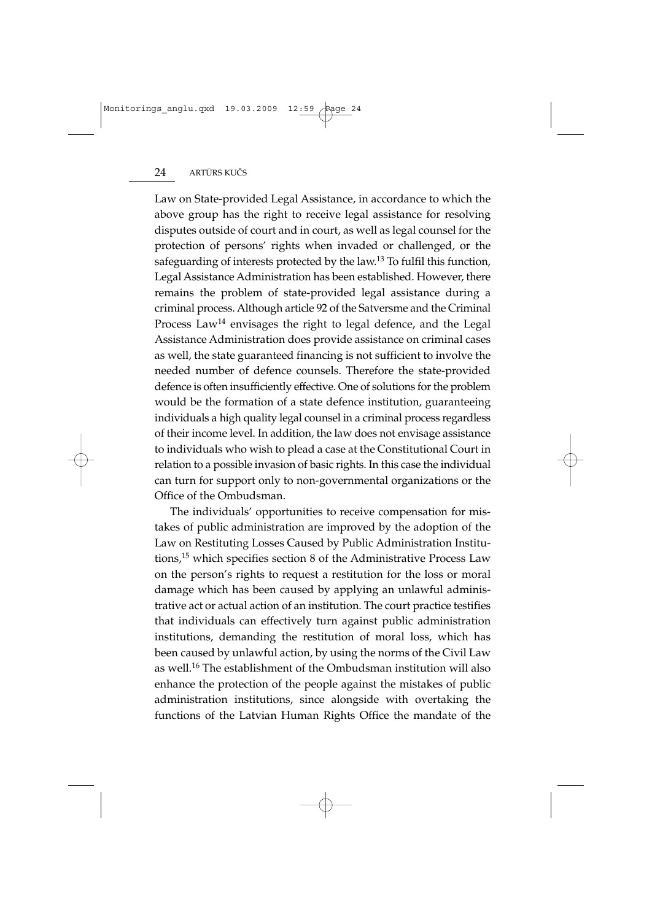#### 24 ARTÛRS KUÈS

Law on State-provided Legal Assistance, in accordance to which the above group has the right to receive legal assistance for resolving disputes outside of court and in court, as well as legal counsel for the protection of persons' rights when invaded or challenged, or the safeguarding of interests protected by the law.<sup>13</sup> To fulfil this function, Legal Assistance Administration has been established. However, there remains the problem of state-provided legal assistance during a criminal process. Although article 92 of the Satversme and the Criminal Process Law<sup>14</sup> envisages the right to legal defence, and the Legal Assistance Administration does provide assistance on criminal cases as well, the state guaranteed financing is not sufficient to involve the needed number of defence counsels. Therefore the state-provided defence is often insufficiently effective. One of solutions for the problem would be the formation of a state defence institution, guaranteeing individuals a high quality legal counsel in a criminal process regardless of their income level. In addition, the law does not envisage assistance to individuals who wish to plead a case at the Constitutional Court in relation to a possible invasion of basic rights. In this case the individual can turn for support only to non-governmental organizations or the Office of the Ombudsman.

The individuals' opportunities to receive compensation for mistakes of public administration are improved by the adoption of the Law on Restituting Losses Caused by Public Administration Institutions,<sup>15</sup> which specifies section 8 of the Administrative Process Law on the person's rights to request a restitution for the loss or moral damage which has been caused by applying an unlawful administrative act or actual action of an institution. The court practice testifies that individuals can effectively turn against public administration institutions, demanding the restitution of moral loss, which has been caused by unlawful action, by using the norms of the Civil Law as well.16 The establishment of the Ombudsman institution will also enhance the protection of the people against the mistakes of public administration institutions, since alongside with overtaking the functions of the Latvian Human Rights Office the mandate of the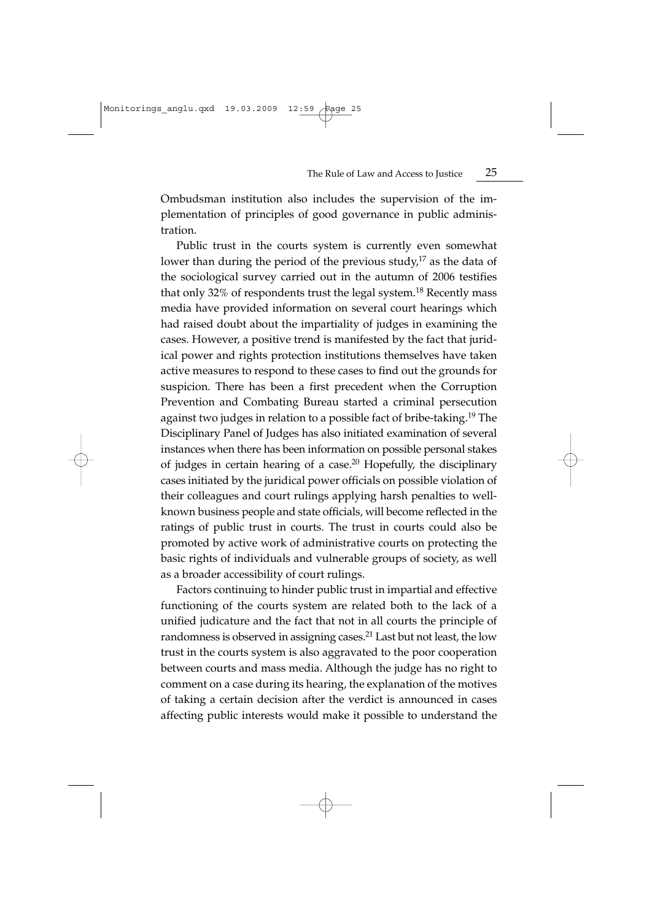#### The Rule of Law and Access to Justice 25

Ombudsman institution also includes the supervision of the implementation of principles of good governance in public administration.

Public trust in the courts system is currently even somewhat lower than during the period of the previous study,<sup>17</sup> as the data of the sociological survey carried out in the autumn of 2006 testifies that only  $32\%$  of respondents trust the legal system.<sup>18</sup> Recently mass media have provided information on several court hearings which had raised doubt about the impartiality of judges in examining the cases. However, a positive trend is manifested by the fact that juridical power and rights protection institutions themselves have taken active measures to respond to these cases to find out the grounds for suspicion. There has been a first precedent when the Corruption Prevention and Combating Bureau started a criminal persecution against two judges in relation to a possible fact of bribe-taking.<sup>19</sup> The Disciplinary Panel of Judges has also initiated examination of several instances when there has been information on possible personal stakes of judges in certain hearing of a case. $20$  Hopefully, the disciplinary cases initiated by the juridical power officials on possible violation of their colleagues and court rulings applying harsh penalties to wellknown business people and state officials, will become reflected in the ratings of public trust in courts. The trust in courts could also be promoted by active work of administrative courts on protecting the basic rights of individuals and vulnerable groups of society, as well as a broader accessibility of court rulings.

Factors continuing to hinder public trust in impartial and effective functioning of the courts system are related both to the lack of a unified judicature and the fact that not in all courts the principle of randomness is observed in assigning cases.<sup>21</sup> Last but not least, the low trust in the courts system is also aggravated to the poor cooperation between courts and mass media. Although the judge has no right to comment on a case during its hearing, the explanation of the motives of taking a certain decision after the verdict is announced in cases affecting public interests would make it possible to understand the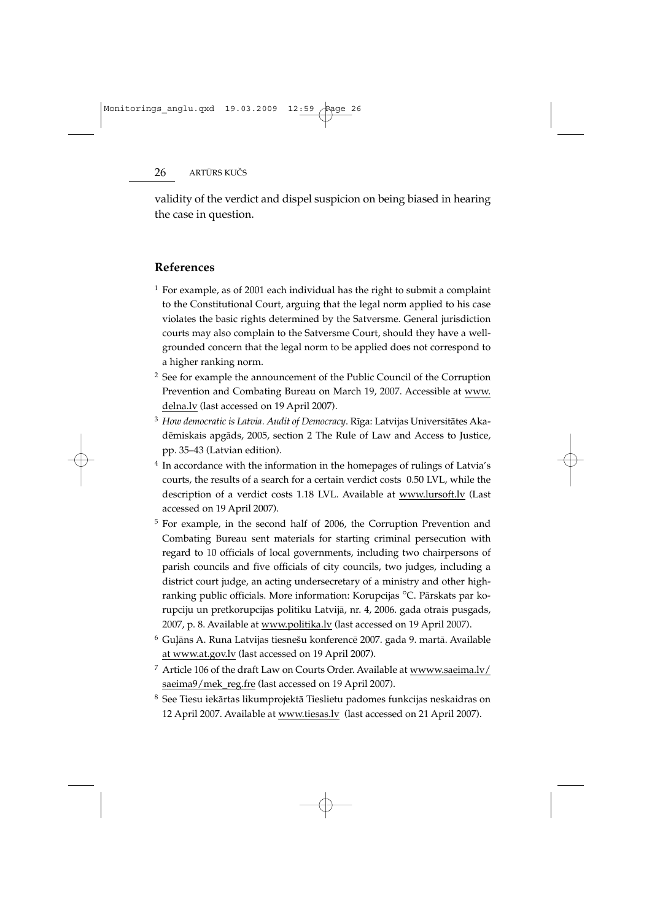#### 26 ARTÛRS KUÈS

validity of the verdict and dispel suspicion on being biased in hearing the case in question.

#### **References**

- $1$  For example, as of 2001 each individual has the right to submit a complaint to the Constitutional Court, arguing that the legal norm applied to his case violates the basic rights determined by the Satversme. General jurisdiction courts may also complain to the Satversme Court, should they have a wellgrounded concern that the legal norm to be applied does not correspond to a higher ranking norm.
- <sup>2</sup> See for example the announcement of the Public Council of the Corruption Prevention and Combating Bureau on March 19, 2007. Accessible at www. delna.lv (last accessed on 19 April 2007).
- <sup>3</sup> *How democratic is Latvia. Audit of Democracy*. Rîga: Latvijas Universitâtes Akadēmiskais apgāds, 2005, section 2 The Rule of Law and Access to Justice, pp. 35–43 (Latvian edition).
- <sup>4</sup> In accordance with the information in the homepages of rulings of Latvia's courts, the results of a search for a certain verdict costs 0.50 LVL, while the description of a verdict costs 1.18 LVL. Available at www.lursoft.lv (Last accessed on 19 April 2007).
- <sup>5</sup> For example, in the second half of 2006, the Corruption Prevention and Combating Bureau sent materials for starting criminal persecution with regard to 10 officials of local governments, including two chairpersons of parish councils and five officials of city councils, two judges, including a district court judge, an acting undersecretary of a ministry and other highranking public officials. More information: Korupcijas °C. Pârskats par korupciju un pretkorupcijas politiku Latvijâ, nr. 4, 2006. gada otrais pusgads, 2007, p. 8. Available at www.politika.lv (last accessed on 19 April 2007).
- <sup>6</sup> Guļāns A. Runa Latvijas tiesnešu konferencē 2007. gada 9. martā. Available at www.at.gov.lv (last accessed on 19 April 2007).
- <sup>7</sup> Article 106 of the draft Law on Courts Order. Available at wwww.saeima.lv/ saeima9/mek reg.fre (last accessed on 19 April 2007).
- <sup>8</sup> See Tiesu iekârtas likumprojektâ Tieslietu padomes funkcijas neskaidras on 12 April 2007. Available at www.tiesas.lv (last accessed on 21 April 2007).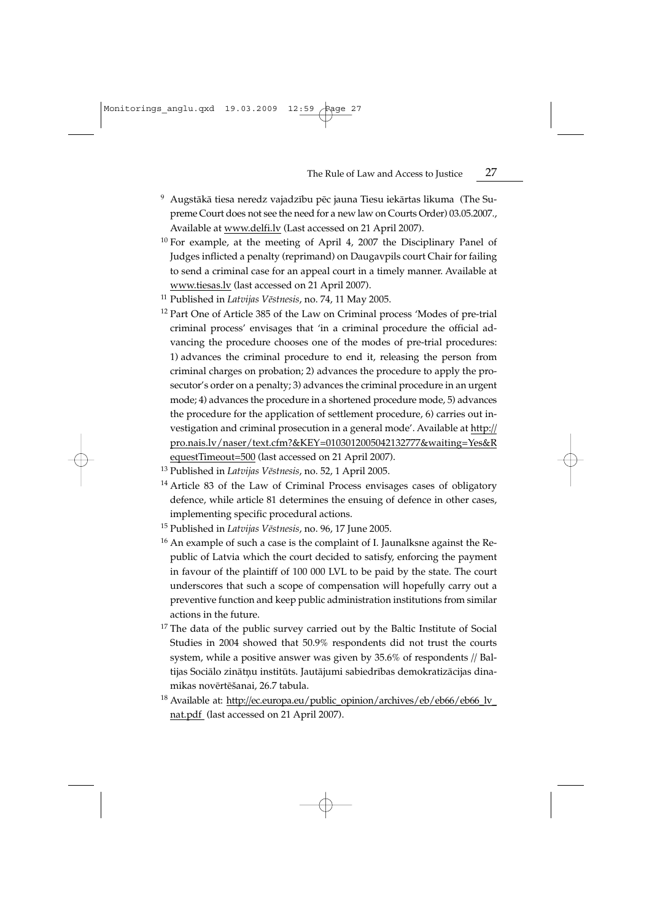#### The Rule of Law and Access to Justice 27

- $9$  Augstākā tiesa neredz vajadzību pēc jauna Tiesu iekārtas likuma (The Supreme Court does not see the need for a new law on Courts Order) 03.05.2007., Available at www.delfi.lv (Last accessed on 21 April 2007).
- <sup>10</sup> For example, at the meeting of April 4, 2007 the Disciplinary Panel of Judges inflicted a penalty (reprimand) on Daugavpils court Chair for failing to send a criminal case for an appeal court in a timely manner. Available at www.tiesas.lv (last accessed on 21 April 2007).
- <sup>11</sup> Published in *Latvijas Vçstnesis*, no. 74, 11 May 2005.
- <sup>12</sup> Part One of Article 385 of the Law on Criminal process 'Modes of pre-trial criminal process' envisages that 'in a criminal procedure the official advancing the procedure chooses one of the modes of pre-trial procedures: 1) advances the criminal procedure to end it, releasing the person from criminal charges on probation; 2) advances the procedure to apply the prosecutor's order on a penalty; 3) advances the criminal procedure in an urgent mode; 4) advances the procedure in a shortened procedure mode, 5) advances the procedure for the application of settlement procedure, 6) carries out investigation and criminal prosecution in a general mode'. Available at http:*//* pro.nais.lv/naser/text.cfm?&KEY=0103012005042132777&waiting=Yes&R equestTimeout=500 (last accessed on 21 April 2007).
- <sup>13</sup> Published in *Latvijas Vçstnesis*, no. 52, 1 April 2005.
- <sup>14</sup> Article 83 of the Law of Criminal Process envisages cases of obligatory defence, while article 81 determines the ensuing of defence in other cases, implementing specific procedural actions.
- <sup>15</sup> Published in *Latvijas Vçstnesis*, no. 96, 17 June 2005.
- <sup>16</sup> An example of such a case is the complaint of I. Jaunalksne against the Republic of Latvia which the court decided to satisfy, enforcing the payment in favour of the plaintiff of 100 000 LVL to be paid by the state. The court underscores that such a scope of compensation will hopefully carry out a preventive function and keep public administration institutions from similar actions in the future.
- <sup>17</sup> The data of the public survey carried out by the Baltic Institute of Social Studies in 2004 showed that 50.9% respondents did not trust the courts system, while a positive answer was given by 35.6% of respondents *//* Baltijas Sociālo zinātņu institūts. Jautājumi sabiedrības demokratizācijas dinamikas novērtēšanai, 26.7 tabula.
- <sup>18</sup> Available at: http://ec.europa.eu/public\_opinion/archives/eb/eb66/eb66\_lv\_ nat.pdf (last accessed on 21 April 2007).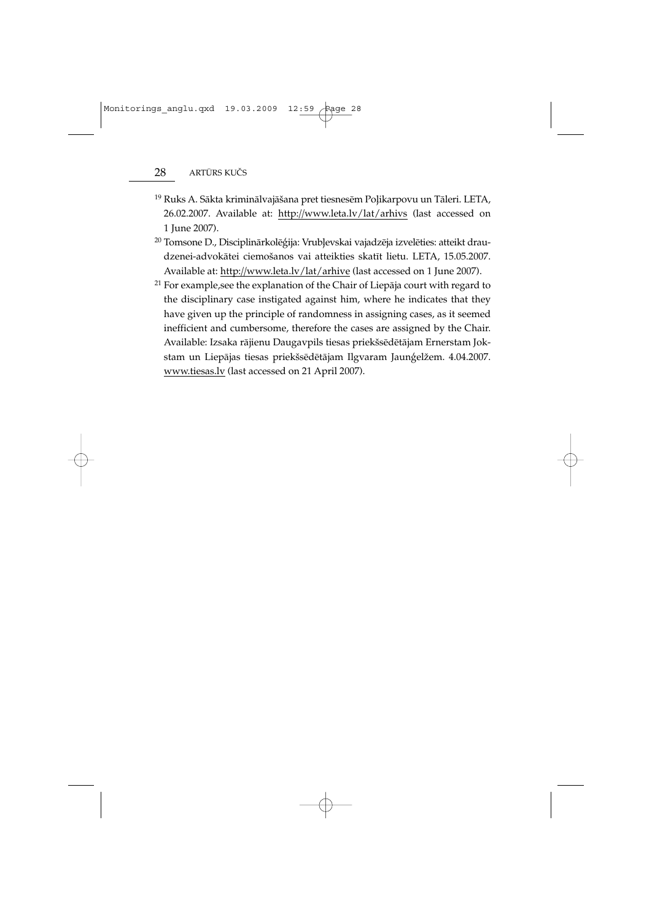#### 28 ARTÛRS KUÈS

- <sup>19</sup> Ruks A. Sākta kriminālvajāšana pret tiesnesēm Poļikarpovu un Tāleri. LETA, 26.02.2007. Available at: http:*//*www.leta.lv/lat/arhivs (last accessed on 1 June 2007).
- <sup>20</sup> Tomsone D., Disciplinārkolēģija: Vrubļevskai vajadzēja izvelēties: atteikt draudzenei-advokâtei ciemoðanos vai atteikties skatît lietu. LETA, 15.05.2007. Available at: http:*//*www.leta.lv/lat/arhive (last accessed on 1 June 2007).
- <sup>21</sup> For example,see the explanation of the Chair of Liepâja court with regard to the disciplinary case instigated against him, where he indicates that they have given up the principle of randomness in assigning cases, as it seemed inefficient and cumbersome, therefore the cases are assigned by the Chair. Available: Izsaka râjienu Daugavpils tiesas priekðsçdçtâjam Ernerstam Jokstam un Liepājas tiesas priekšsēdētājam Ilgvaram Jaunģelžem. 4.04.2007. www.tiesas.lv (last accessed on 21 April 2007).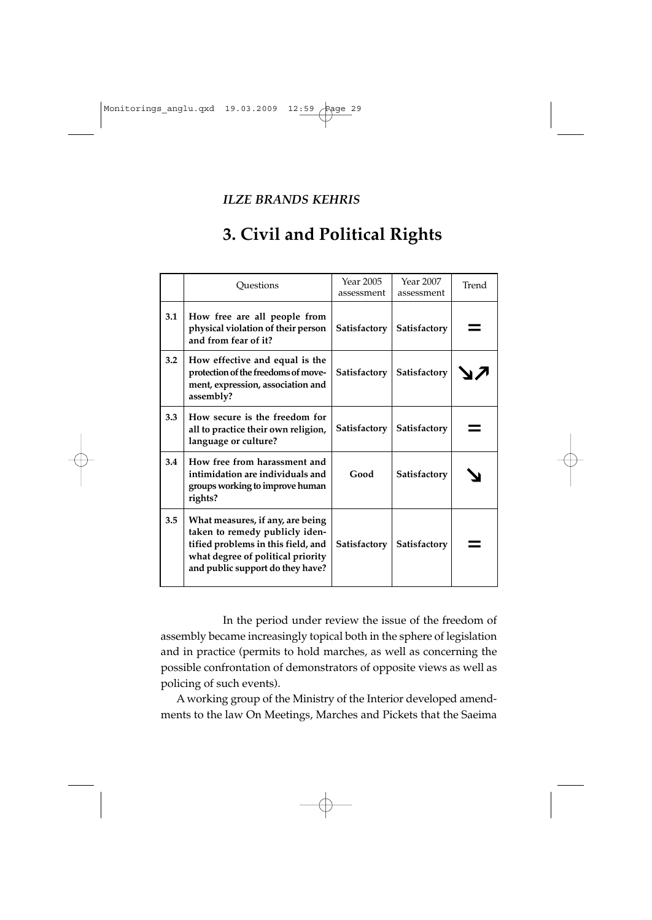$M$ onitorings\_anglu.qxd 19.03.2009 12:59  $\frac{P}{Q}$ 

### *ILZE BRANDS KEHRIS*

## **3. Civil and Political Rights**

|     | Ouestions                                                                                                                                                                         | Year 2005<br>assessment | Year 2007<br>assessment | Trend |
|-----|-----------------------------------------------------------------------------------------------------------------------------------------------------------------------------------|-------------------------|-------------------------|-------|
| 3.1 | How free are all people from<br>physical violation of their person<br>and from fear of it?                                                                                        | Satisfactory            | Satisfactory            |       |
| 3.2 | How effective and equal is the<br>protection of the freedoms of move-<br>ment, expression, association and<br>assembly?                                                           | Satisfactory            | Satisfactory            |       |
| 3.3 | How secure is the freedom for<br>all to practice their own religion,<br>language or culture?                                                                                      | Satisfactory            | Satisfactory            |       |
| 3.4 | How free from harassment and<br>intimidation are individuals and<br>groups working to improve human<br>rights?                                                                    | Good                    | Satisfactory            |       |
| 3.5 | What measures, if any, are being<br>taken to remedy publicly iden-<br>tified problems in this field, and<br>what degree of political priority<br>and public support do they have? | Satisfactory            | Satisfactory            |       |

In the period under review the issue of the freedom of assembly became increasingly topical both in the sphere of legislation and in practice (permits to hold marches, as well as concerning the possible confrontation of demonstrators of opposite views as well as policing of such events).

A working group of the Ministry of the Interior developed amendments to the law On Meetings, Marches and Pickets that the Saeima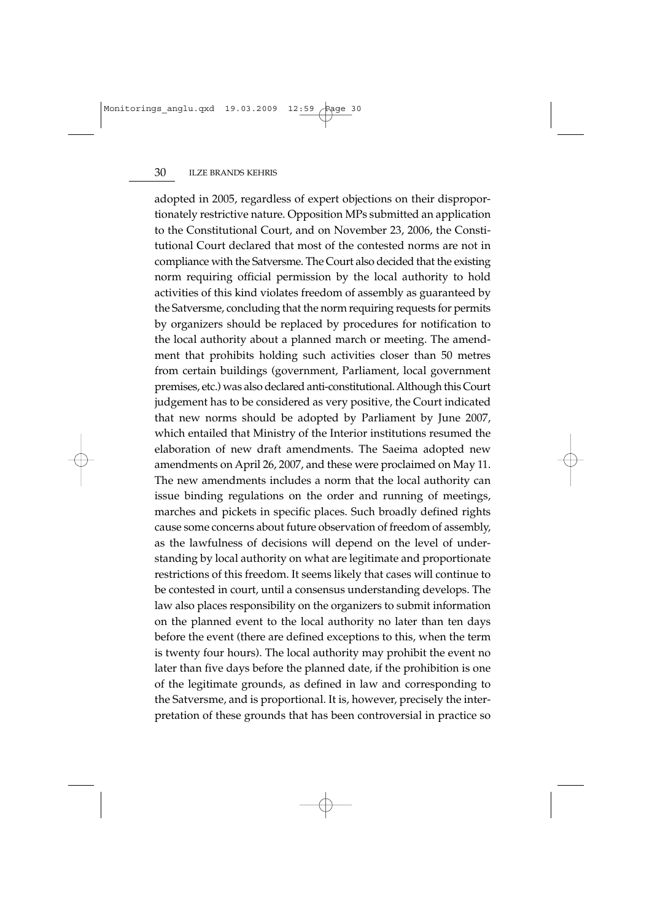#### 30 ILZE BRANDS KEHRIS

adopted in 2005, regardless of expert objections on their disproportionately restrictive nature. Opposition MPs submitted an application to the Constitutional Court, and on November 23, 2006, the Constitutional Court declared that most of the contested norms are not in compliance with the Satversme. The Court also decided that the existing norm requiring official permission by the local authority to hold activities of this kind violates freedom of assembly as guaranteed by the Satversme, concluding that the norm requiring requests for permits by organizers should be replaced by procedures for notification to the local authority about a planned march or meeting. The amendment that prohibits holding such activities closer than 50 metres from certain buildings (government, Parliament, local government premises, etc.) was also declared anti-constitutional. Although this Court judgement has to be considered as very positive, the Court indicated that new norms should be adopted by Parliament by June 2007, which entailed that Ministry of the Interior institutions resumed the elaboration of new draft amendments. The Saeima adopted new amendments on April 26, 2007, and these were proclaimed on May 11. The new amendments includes a norm that the local authority can issue binding regulations on the order and running of meetings, marches and pickets in specific places. Such broadly defined rights cause some concerns about future observation of freedom of assembly, as the lawfulness of decisions will depend on the level of understanding by local authority on what are legitimate and proportionate restrictions of this freedom. It seems likely that cases will continue to be contested in court, until a consensus understanding develops. The law also places responsibility on the organizers to submit information on the planned event to the local authority no later than ten days before the event (there are defined exceptions to this, when the term is twenty four hours). The local authority may prohibit the event no later than five days before the planned date, if the prohibition is one of the legitimate grounds, as defined in law and corresponding to the Satversme, and is proportional. It is, however, precisely the interpretation of these grounds that has been controversial in practice so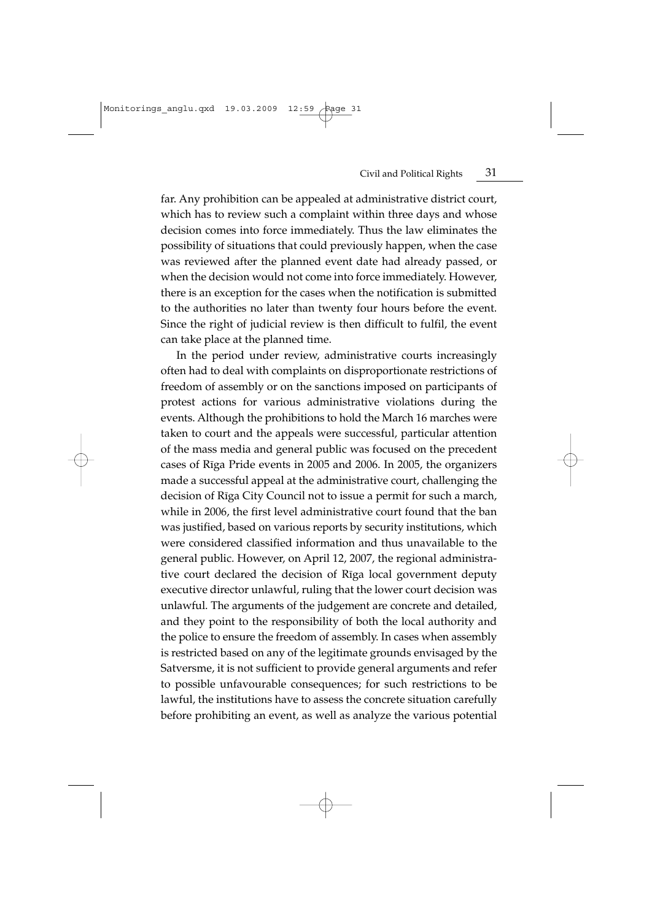Monitorings\_anglu.qxd 19.03.2009

#### Civil and Political Rights 31

far. Any prohibition can be appealed at administrative district court, which has to review such a complaint within three days and whose decision comes into force immediately. Thus the law eliminates the possibility of situations that could previously happen, when the case was reviewed after the planned event date had already passed, or when the decision would not come into force immediately. However, there is an exception for the cases when the notification is submitted to the authorities no later than twenty four hours before the event. Since the right of judicial review is then difficult to fulfil, the event can take place at the planned time.

In the period under review, administrative courts increasingly often had to deal with complaints on disproportionate restrictions of freedom of assembly or on the sanctions imposed on participants of protest actions for various administrative violations during the events. Although the prohibitions to hold the March 16 marches were taken to court and the appeals were successful, particular attention of the mass media and general public was focused on the precedent cases of Rîga Pride events in 2005 and 2006. In 2005, the organizers made a successful appeal at the administrative court, challenging the decision of Rîga City Council not to issue a permit for such a march, while in 2006, the first level administrative court found that the ban was justified, based on various reports by security institutions, which were considered classified information and thus unavailable to the general public. However, on April 12, 2007, the regional administrative court declared the decision of Rîga local government deputy executive director unlawful, ruling that the lower court decision was unlawful. The arguments of the judgement are concrete and detailed, and they point to the responsibility of both the local authority and the police to ensure the freedom of assembly. In cases when assembly is restricted based on any of the legitimate grounds envisaged by the Satversme, it is not sufficient to provide general arguments and refer to possible unfavourable consequences; for such restrictions to be lawful, the institutions have to assess the concrete situation carefully before prohibiting an event, as well as analyze the various potential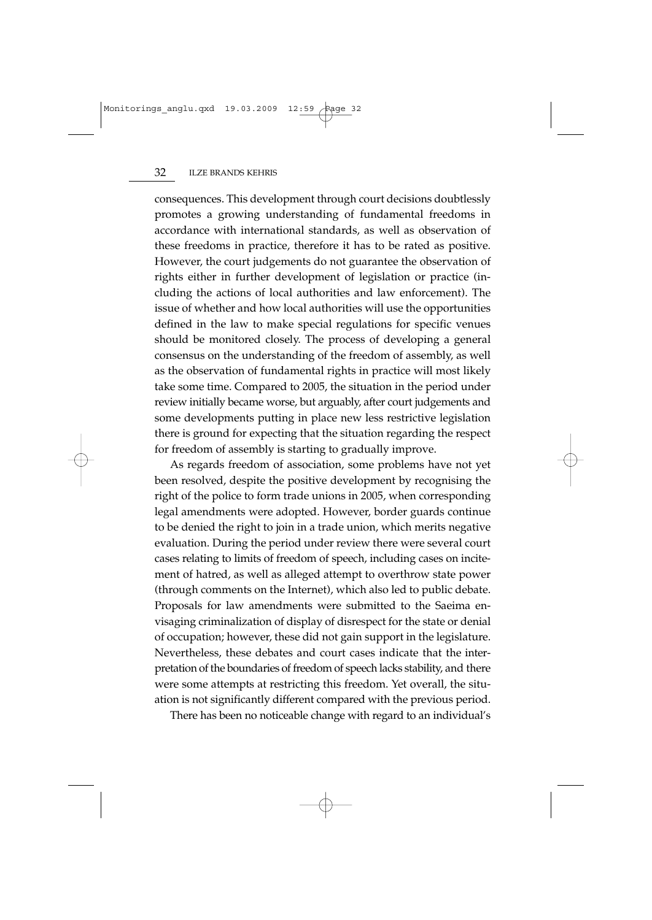#### 32 ILZE BRANDS KEHRIS

consequences. This development through court decisions doubtlessly promotes a growing understanding of fundamental freedoms in accordance with international standards, as well as observation of these freedoms in practice, therefore it has to be rated as positive. However, the court judgements do not guarantee the observation of rights either in further development of legislation or practice (including the actions of local authorities and law enforcement). The issue of whether and how local authorities will use the opportunities defined in the law to make special regulations for specific venues should be monitored closely. The process of developing a general consensus on the understanding of the freedom of assembly, as well as the observation of fundamental rights in practice will most likely take some time. Compared to 2005, the situation in the period under review initially became worse, but arguably, after court judgements and some developments putting in place new less restrictive legislation there is ground for expecting that the situation regarding the respect for freedom of assembly is starting to gradually improve.

As regards freedom of association, some problems have not yet been resolved, despite the positive development by recognising the right of the police to form trade unions in 2005, when corresponding legal amendments were adopted. However, border guards continue to be denied the right to join in a trade union, which merits negative evaluation. During the period under review there were several court cases relating to limits of freedom of speech, including cases on incitement of hatred, as well as alleged attempt to overthrow state power (through comments on the Internet), which also led to public debate. Proposals for law amendments were submitted to the Saeima envisaging criminalization of display of disrespect for the state or denial of occupation; however, these did not gain support in the legislature. Nevertheless, these debates and court cases indicate that the interpretation of the boundaries of freedom of speech lacks stability, and there were some attempts at restricting this freedom. Yet overall, the situation is not significantly different compared with the previous period.

There has been no noticeable change with regard to an individual's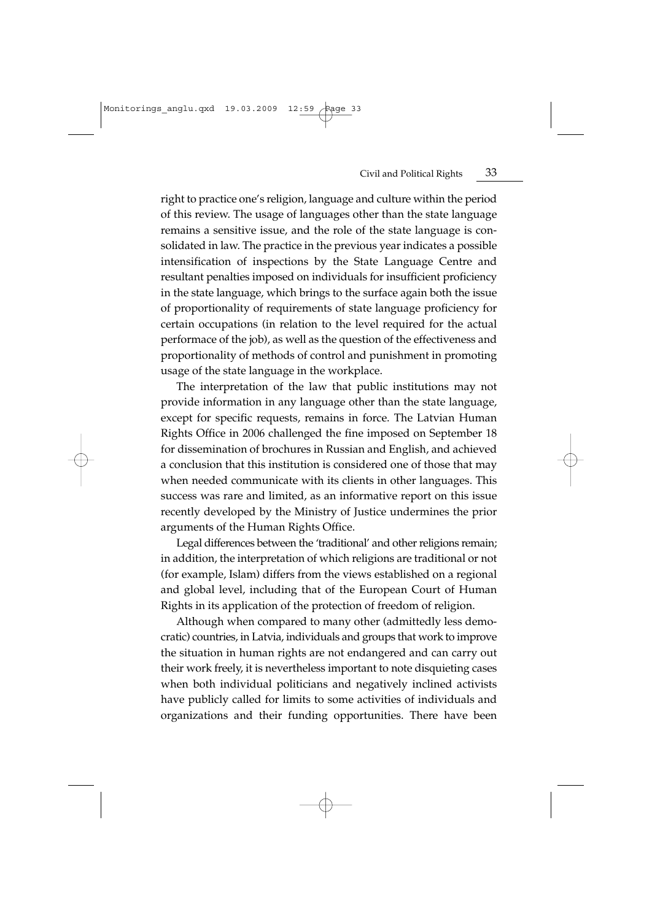#### Civil and Political Rights 33

right to practice one's religion, language and culture within the period of this review. The usage of languages other than the state language remains a sensitive issue, and the role of the state language is consolidated in law. The practice in the previous year indicates a possible intensification of inspections by the State Language Centre and resultant penalties imposed on individuals for insufficient proficiency in the state language, which brings to the surface again both the issue of proportionality of requirements of state language proficiency for certain occupations (in relation to the level required for the actual performace of the job), as well as the question of the effectiveness and proportionality of methods of control and punishment in promoting usage of the state language in the workplace.

The interpretation of the law that public institutions may not provide information in any language other than the state language, except for specific requests, remains in force. The Latvian Human Rights Office in 2006 challenged the fine imposed on September 18 for dissemination of brochures in Russian and English, and achieved a conclusion that this institution is considered one of those that may when needed communicate with its clients in other languages. This success was rare and limited, as an informative report on this issue recently developed by the Ministry of Justice undermines the prior arguments of the Human Rights Office.

Legal differences between the 'traditional' and other religions remain; in addition, the interpretation of which religions are traditional or not (for example, Islam) differs from the views established on a regional and global level, including that of the European Court of Human Rights in its application of the protection of freedom of religion.

Although when compared to many other (admittedly less democratic) countries, in Latvia, individuals and groups that work to improve the situation in human rights are not endangered and can carry out their work freely, it is nevertheless important to note disquieting cases when both individual politicians and negatively inclined activists have publicly called for limits to some activities of individuals and organizations and their funding opportunities. There have been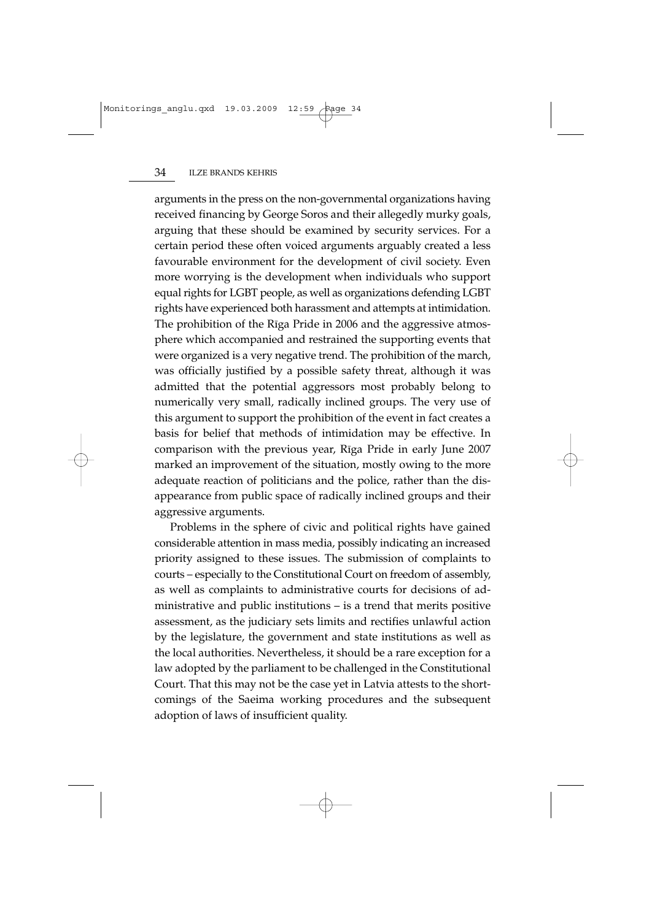#### 34 ILZE BRANDS KEHRIS

arguments in the press on the non-governmental organizations having received financing by George Soros and their allegedly murky goals, arguing that these should be examined by security services. For a certain period these often voiced arguments arguably created a less favourable environment for the development of civil society. Even more worrying is the development when individuals who support equal rights for LGBT people, as well as organizations defending LGBT rights have experienced both harassment and attempts at intimidation. The prohibition of the Rîga Pride in 2006 and the aggressive atmosphere which accompanied and restrained the supporting events that were organized is a very negative trend. The prohibition of the march, was officially justified by a possible safety threat, although it was admitted that the potential aggressors most probably belong to numerically very small, radically inclined groups. The very use of this argument to support the prohibition of the event in fact creates a basis for belief that methods of intimidation may be effective. In comparison with the previous year, Rîga Pride in early June 2007 marked an improvement of the situation, mostly owing to the more adequate reaction of politicians and the police, rather than the disappearance from public space of radically inclined groups and their aggressive arguments.

Problems in the sphere of civic and political rights have gained considerable attention in mass media, possibly indicating an increased priority assigned to these issues. The submission of complaints to courts – especially to the Constitutional Court on freedom of assembly, as well as complaints to administrative courts for decisions of administrative and public institutions – is a trend that merits positive assessment, as the judiciary sets limits and rectifies unlawful action by the legislature, the government and state institutions as well as the local authorities. Nevertheless, it should be a rare exception for a law adopted by the parliament to be challenged in the Constitutional Court. That this may not be the case yet in Latvia attests to the shortcomings of the Saeima working procedures and the subsequent adoption of laws of insufficient quality.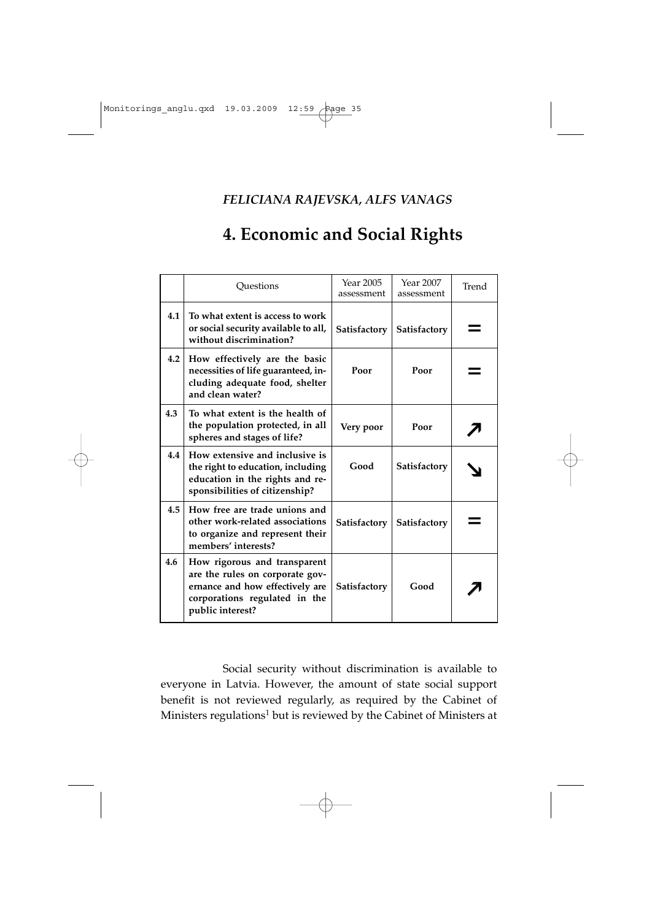Monitorings\_anglu.qxd 19.03.2009 12:59 Page 35

## *FELICIANA RAJEVSKA, ALFS VANAGS*

# **4. Economic and Social Rights**

|     | Ouestions                                                                                                                                               | Year 2005<br>assessment | Year 2007<br>assessment | Trend |
|-----|---------------------------------------------------------------------------------------------------------------------------------------------------------|-------------------------|-------------------------|-------|
| 4.1 | To what extent is access to work<br>or social security available to all,<br>without discrimination?                                                     | Satisfactory            | <b>Satisfactory</b>     |       |
| 4.2 | How effectively are the basic<br>necessities of life guaranteed, in-<br>cluding adequate food, shelter<br>and clean water?                              | Poor                    | Poor                    |       |
| 4.3 | To what extent is the health of<br>the population protected, in all<br>spheres and stages of life?                                                      | Very poor               | Poor                    |       |
| 4.4 | How extensive and inclusive is<br>the right to education, including<br>education in the rights and re-<br>sponsibilities of citizenship?                | Good                    | Satisfactory            |       |
| 4.5 | How free are trade unions and<br>other work-related associations<br>to organize and represent their<br>members' interests?                              | Satisfactory            | Satisfactory            |       |
| 4.6 | How rigorous and transparent<br>are the rules on corporate gov-<br>ernance and how effectively are<br>corporations regulated in the<br>public interest? | Satisfactory            | Good                    |       |

Social security without discrimination is available to everyone in Latvia. However, the amount of state social support benefit is not reviewed regularly, as required by the Cabinet of Ministers regulations<sup>1</sup> but is reviewed by the Cabinet of Ministers at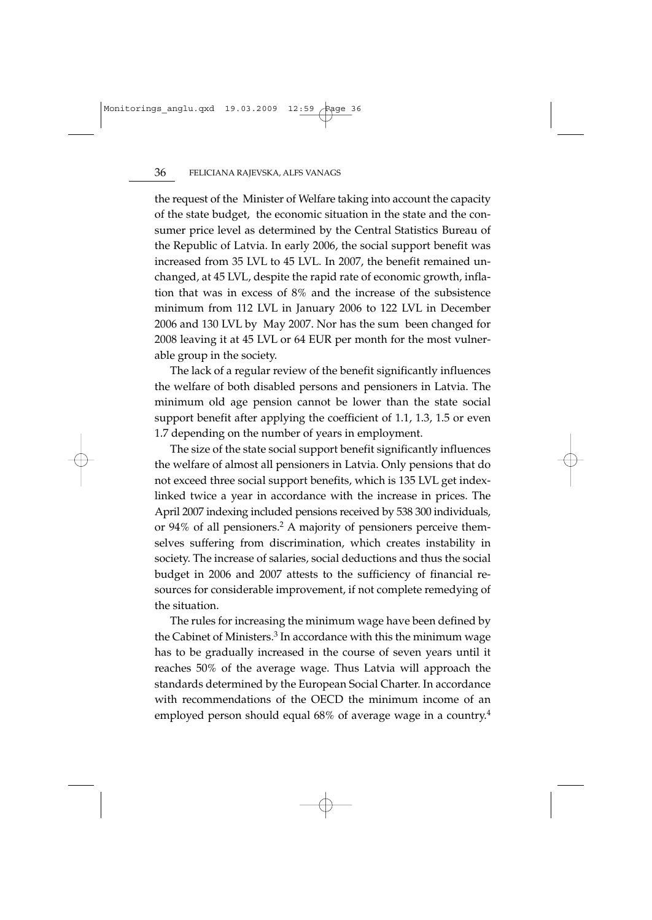#### 36 FELICIANA RAJEVSKA, ALFS VANAGS

the request of the Minister of Welfare taking into account the capacity of the state budget, the economic situation in the state and the consumer price level as determined by the Central Statistics Bureau of the Republic of Latvia. In early 2006, the social support benefit was increased from 35 LVL to 45 LVL. In 2007, the benefit remained unchanged, at 45 LVL, despite the rapid rate of economic growth, inflation that was in excess of 8% and the increase of the subsistence minimum from 112 LVL in January 2006 to 122 LVL in December 2006 and 130 LVL by May 2007. Nor has the sum been changed for 2008 leaving it at 45 LVL or 64 EUR per month for the most vulnerable group in the society.

The lack of a regular review of the benefit significantly influences the welfare of both disabled persons and pensioners in Latvia. The minimum old age pension cannot be lower than the state social support benefit after applying the coefficient of 1.1, 1.3, 1.5 or even 1.7 depending on the number of years in employment.

The size of the state social support benefit significantly influences the welfare of almost all pensioners in Latvia. Only pensions that do not exceed three social support benefits, which is 135 LVL get indexlinked twice a year in accordance with the increase in prices. The April 2007 indexing included pensions received by 538 300 individuals, or 94% of all pensioners.<sup>2</sup> A majority of pensioners perceive themselves suffering from discrimination, which creates instability in society. The increase of salaries, social deductions and thus the social budget in 2006 and 2007 attests to the sufficiency of financial resources for considerable improvement, if not complete remedying of the situation.

The rules for increasing the minimum wage have been defined by the Cabinet of Ministers. $3$  In accordance with this the minimum wage has to be gradually increased in the course of seven years until it reaches 50% of the average wage. Thus Latvia will approach the standards determined by the European Social Charter. In accordance with recommendations of the OECD the minimum income of an employed person should equal 68% of average wage in a country.<sup>4</sup>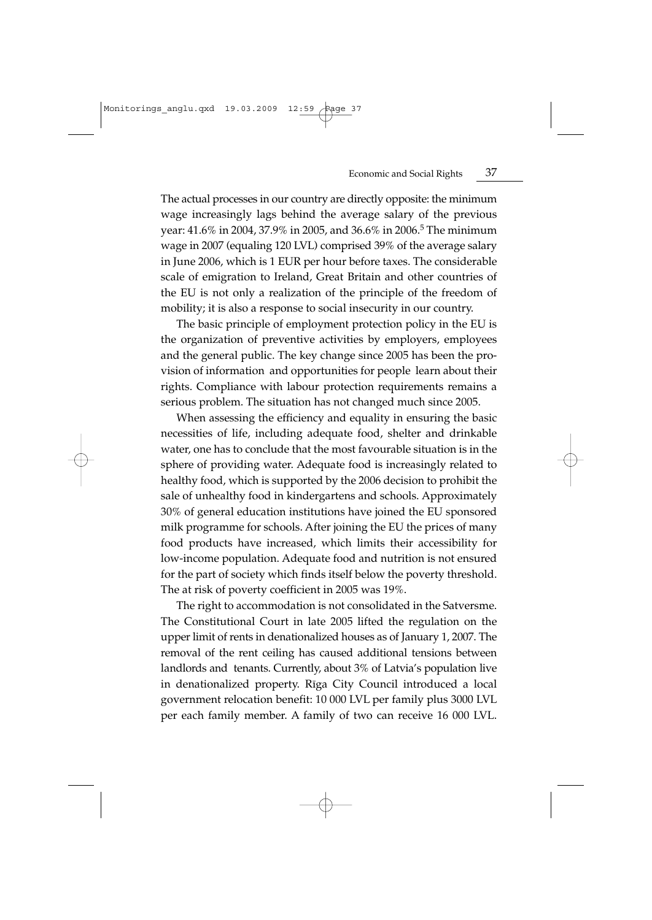Monitorings\_anglu.qxd 19.03.2009

#### Economic and Social Rights 37

The actual processes in our country are directly opposite: the minimum wage increasingly lags behind the average salary of the previous year: 41.6% in 2004, 37.9% in 2005, and 36.6% in 2006.<sup>5</sup> The minimum wage in 2007 (equaling 120 LVL) comprised 39% of the average salary in June 2006, which is 1 EUR per hour before taxes. The considerable scale of emigration to Ireland, Great Britain and other countries of the EU is not only a realization of the principle of the freedom of mobility; it is also a response to social insecurity in our country.

The basic principle of employment protection policy in the EU is the organization of preventive activities by employers, employees and the general public. The key change since 2005 has been the provision of information and opportunities for people learn about their rights. Compliance with labour protection requirements remains a serious problem. The situation has not changed much since 2005.

When assessing the efficiency and equality in ensuring the basic necessities of life, including adequate food, shelter and drinkable water, one has to conclude that the most favourable situation is in the sphere of providing water. Adequate food is increasingly related to healthy food, which is supported by the 2006 decision to prohibit the sale of unhealthy food in kindergartens and schools. Approximately 30% of general education institutions have joined the EU sponsored milk programme for schools. After joining the EU the prices of many food products have increased, which limits their accessibility for low-income population. Adequate food and nutrition is not ensured for the part of society which finds itself below the poverty threshold. The at risk of poverty coefficient in 2005 was 19%.

The right to accommodation is not consolidated in the Satversme. The Constitutional Court in late 2005 lifted the regulation on the upper limit of rents in denationalized houses as of January 1, 2007. The removal of the rent ceiling has caused additional tensions between landlords and tenants. Currently, about 3% of Latvia's population live in denationalized property. Rîga City Council introduced a local government relocation benefit: 10 000 LVL per family plus 3000 LVL per each family member. A family of two can receive 16 000 LVL.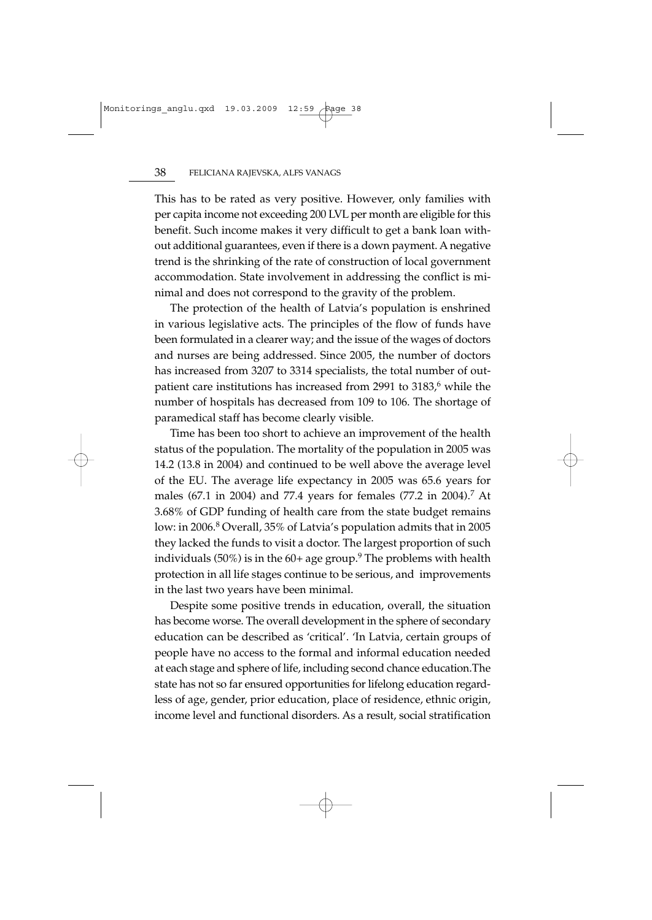#### 38 FELICIANA RAJEVSKA, ALFS VANAGS

This has to be rated as very positive. However, only families with per capita income not exceeding 200 LVL per month are eligible for this benefit. Such income makes it very difficult to get a bank loan without additional guarantees, even if there is a down payment. A negative trend is the shrinking of the rate of construction of local government accommodation. State involvement in addressing the conflict is minimal and does not correspond to the gravity of the problem.

The protection of the health of Latvia's population is enshrined in various legislative acts. The principles of the flow of funds have been formulated in a clearer way; and the issue of the wages of doctors and nurses are being addressed. Since 2005, the number of doctors has increased from 3207 to 3314 specialists, the total number of outpatient care institutions has increased from 2991 to 3183,<sup>6</sup> while the number of hospitals has decreased from 109 to 106. The shortage of paramedical staff has become clearly visible.

Time has been too short to achieve an improvement of the health status of the population. The mortality of the population in 2005 was 14.2 (13.8 in 2004) and continued to be well above the average level of the EU. The average life expectancy in 2005 was 65.6 years for males (67.1 in 2004) and 77.4 years for females (77.2 in 2004).<sup>7</sup> At 3.68% of GDP funding of health care from the state budget remains low: in 2006.<sup>8</sup> Overall, 35% of Latvia's population admits that in 2005 they lacked the funds to visit a doctor. The largest proportion of such individuals (50%) is in the  $60+$  age group.<sup>9</sup> The problems with health protection in all life stages continue to be serious, and improvements in the last two years have been minimal.

Despite some positive trends in education, overall, the situation has become worse. The overall development in the sphere of secondary education can be described as 'critical'. 'In Latvia, certain groups of people have no access to the formal and informal education needed at each stage and sphere of life, including second chance education.The state has not so far ensured opportunities for lifelong education regardless of age, gender, prior education, place of residence, ethnic origin, income level and functional disorders. As a result, social stratification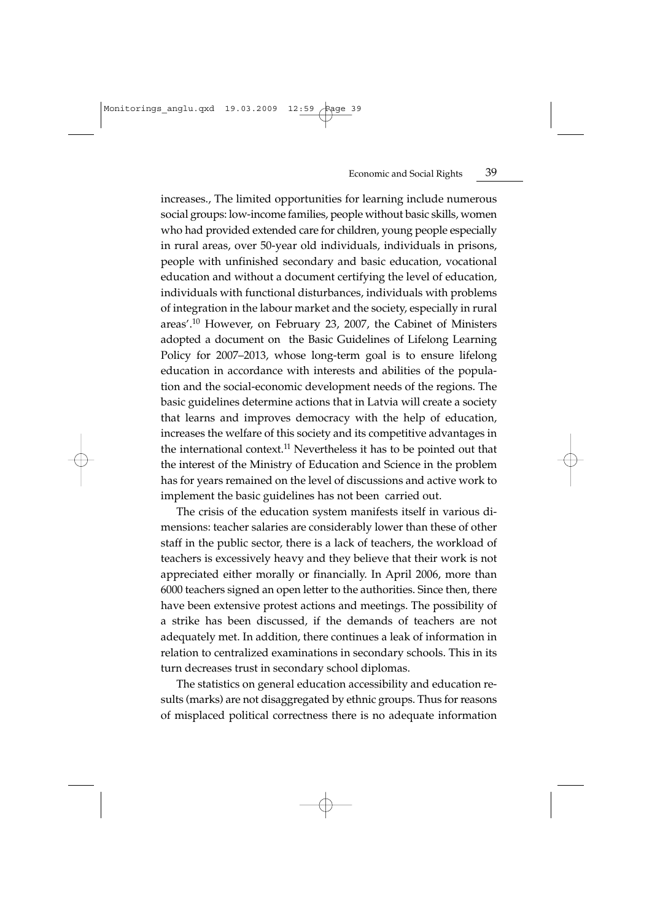Monitorings\_anglu.qxd 19.03.2009

#### Economic and Social Rights 39

increases., The limited opportunities for learning include numerous social groups: low-income families, people without basic skills, women who had provided extended care for children, young people especially in rural areas, over 50-year old individuals, individuals in prisons, people with unfinished secondary and basic education, vocational education and without a document certifying the level of education, individuals with functional disturbances, individuals with problems of integration in the labour market and the society, especially in rural areas'.10 However, on February 23, 2007, the Cabinet of Ministers adopted a document on the Basic Guidelines of Lifelong Learning Policy for 2007–2013, whose long-term goal is to ensure lifelong education in accordance with interests and abilities of the population and the social-economic development needs of the regions. The basic guidelines determine actions that in Latvia will create a society that learns and improves democracy with the help of education, increases the welfare of this society and its competitive advantages in the international context.11 Nevertheless it has to be pointed out that the interest of the Ministry of Education and Science in the problem has for years remained on the level of discussions and active work to implement the basic guidelines has not been carried out.

The crisis of the education system manifests itself in various dimensions: teacher salaries are considerably lower than these of other staff in the public sector, there is a lack of teachers, the workload of teachers is excessively heavy and they believe that their work is not appreciated either morally or financially. In April 2006, more than 6000 teachers signed an open letter to the authorities. Since then, there have been extensive protest actions and meetings. The possibility of a strike has been discussed, if the demands of teachers are not adequately met. In addition, there continues a leak of information in relation to centralized examinations in secondary schools. This in its turn decreases trust in secondary school diplomas.

The statistics on general education accessibility and education results (marks) are not disaggregated by ethnic groups. Thus for reasons of misplaced political correctness there is no adequate information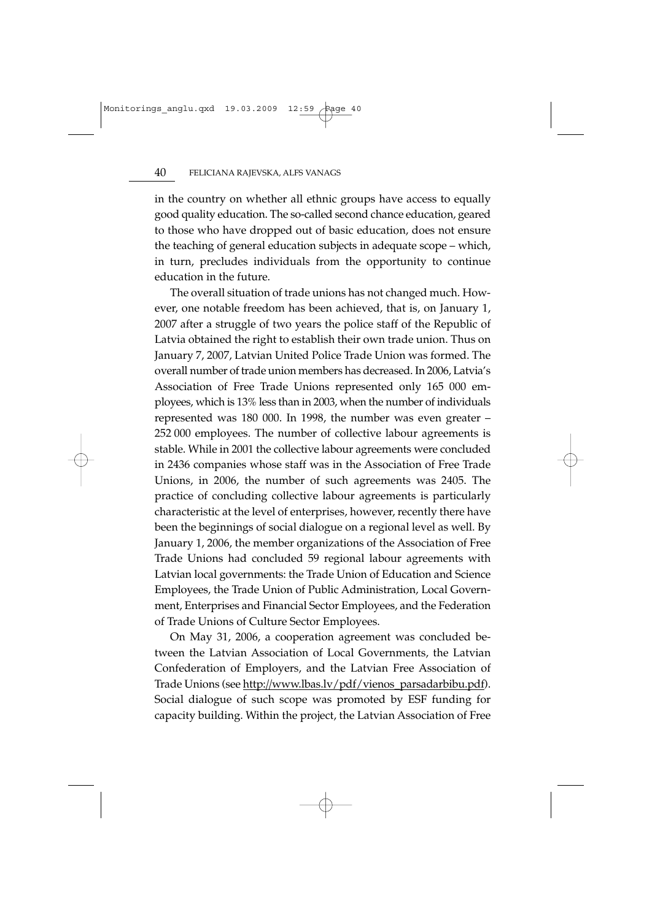#### 40 FELICIANA RAJEVSKA, ALFS VANAGS

in the country on whether all ethnic groups have access to equally good quality education. The so-called second chance education, geared to those who have dropped out of basic education, does not ensure the teaching of general education subjects in adequate scope – which, in turn, precludes individuals from the opportunity to continue education in the future.

The overall situation of trade unions has not changed much. However, one notable freedom has been achieved, that is, on January 1, 2007 after a struggle of two years the police staff of the Republic of Latvia obtained the right to establish their own trade union. Thus on January 7, 2007, Latvian United Police Trade Union was formed. The overall number of trade union members has decreased. In 2006, Latvia's Association of Free Trade Unions represented only 165 000 employees, which is 13% less than in 2003, when the number of individuals represented was 180 000. In 1998, the number was even greater – 252 000 employees. The number of collective labour agreements is stable. While in 2001 the collective labour agreements were concluded in 2436 companies whose staff was in the Association of Free Trade Unions, in 2006, the number of such agreements was 2405. The practice of concluding collective labour agreements is particularly characteristic at the level of enterprises, however, recently there have been the beginnings of social dialogue on a regional level as well. By January 1, 2006, the member organizations of the Association of Free Trade Unions had concluded 59 regional labour agreements with Latvian local governments: the Trade Union of Education and Science Employees, the Trade Union of Public Administration, Local Government, Enterprises and Financial Sector Employees, and the Federation of Trade Unions of Culture Sector Employees.

On May 31, 2006, a cooperation agreement was concluded between the Latvian Association of Local Governments, the Latvian Confederation of Employers, and the Latvian Free Association of Trade Unions (see http:*//*www.lbas.lv/pdf/vienos\_parsadarbibu.pdf). Social dialogue of such scope was promoted by ESF funding for capacity building. Within the project, the Latvian Association of Free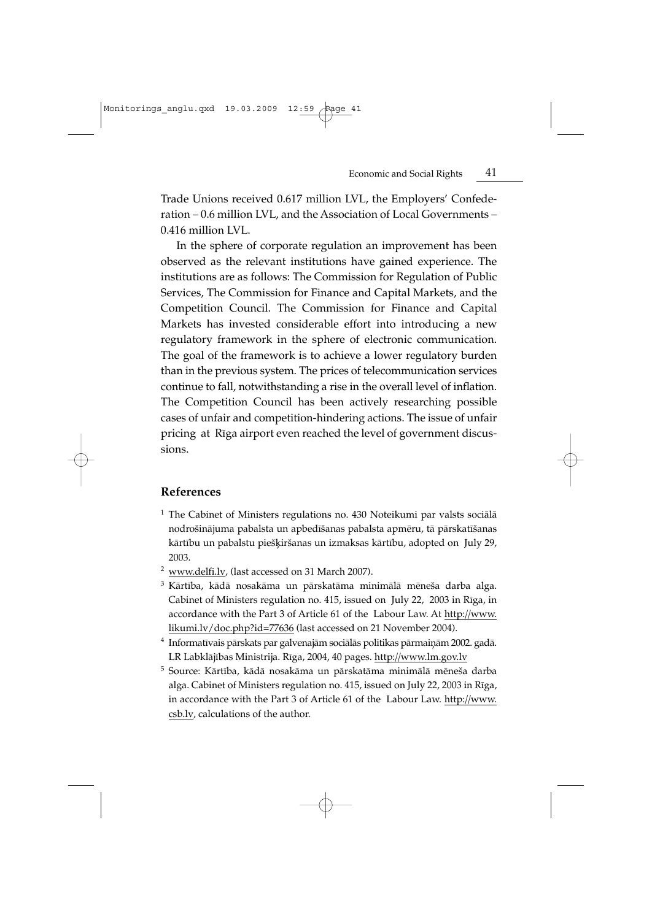Monitorings\_anglu.qxd 19.03.2009

#### Economic and Social Rights 41

Trade Unions received 0.617 million LVL, the Employers' Confederation – 0.6 million LVL, and the Association of Local Governments – 0.416 million LVL.

In the sphere of corporate regulation an improvement has been observed as the relevant institutions have gained experience. The institutions are as follows: The Commission for Regulation of Public Services, The Commission for Finance and Capital Markets, and the Competition Council. The Commission for Finance and Capital Markets has invested considerable effort into introducing a new regulatory framework in the sphere of electronic communication. The goal of the framework is to achieve a lower regulatory burden than in the previous system. The prices of telecommunication services continue to fall, notwithstanding a rise in the overall level of inflation. The Competition Council has been actively researching possible cases of unfair and competition-hindering actions. The issue of unfair pricing at Rîga airport even reached the level of government discussions.

#### **References**

- <sup>1</sup> The Cabinet of Ministers regulations no. 430 Noteikumi par valsts sociālā nodroðinâjuma pabalsta un apbedîðanas pabalsta apmçru, tâ pârskatîðanas kārtību un pabalstu piešķiršanas un izmaksas kārtību, adopted on July 29, 2003.
- <sup>2</sup> www.delfi.lv, (last accessed on 31 March 2007).
- <sup>3</sup> Kārtība, kādā nosakāma un pārskatāma minimālā mēneša darba alga. Cabinet of Ministers regulation no. 415, issued on July 22, 2003 in Rîga, in accordance with the Part 3 of Article 61 of the Labour Law. At http:*//*www. likumi.lv/doc.php?id=77636 (last accessed on 21 November 2004).
- <sup>4</sup> Informatīvais pārskats par galvenajām sociālās politikas pārmaiņām 2002. gadā. LR Labklâjîbas Ministrija. Rîga, 2004, 40 pages. http:*//*www.lm.gov.lv
- <sup>5</sup> Source: Kārtība, kādā nosakāma un pārskatāma minimālā mēneša darba alga. Cabinet of Ministers regulation no. 415, issued on July 22, 2003 in Rîga, in accordance with the Part 3 of Article 61 of the Labour Law. http:*//*www. csb.lv, calculations of the author.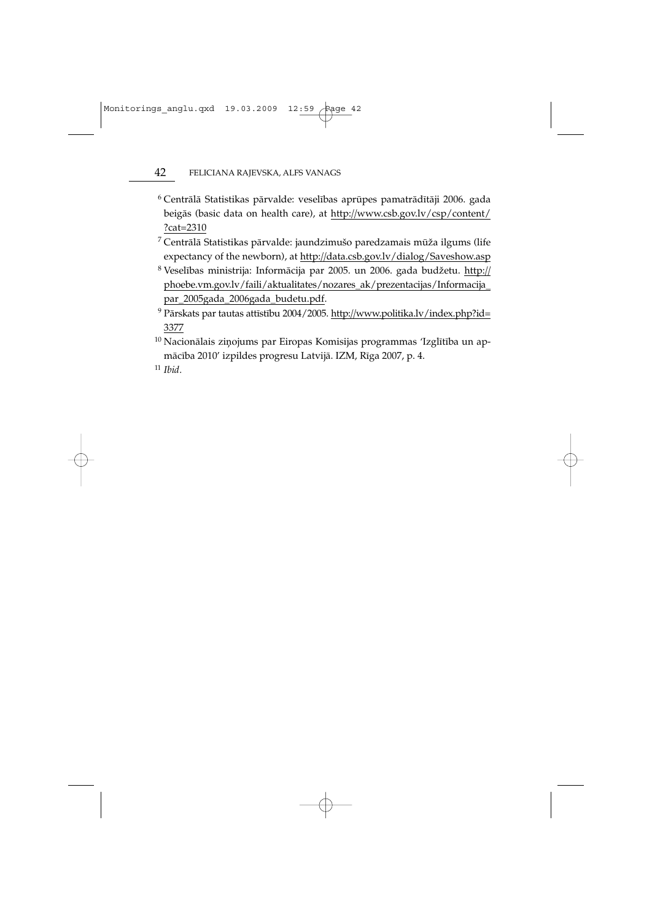42 FELICIANA RAJEVSKA, ALFS VANAGS

- <sup>6</sup> Centrâlâ Statistikas pârvalde: veselîbas aprûpes pamatrâdîtâji 2006. gada beigâs (basic data on health care), at http:*//*www.csb.gov.lv/csp/content/ ?cat=2310
- $7$  Centrālā Statistikas pārvalde: jaundzimušo paredzamais mūža ilgums (life expectancy of the newborn), at http:*//*data.csb.gov.lv/dialog/Saveshow.asp
- 8 Veselības ministrija: Informācija par 2005. un 2006. gada budžetu. http:// phoebe.vm.gov.lv/faili/aktualitates/nozares\_ak/prezentacijas/Informacija\_ par\_2005gada\_2006gada\_budetu.pdf.
- <sup>9</sup> Pârskats par tautas attîstîbu 2004/2005. http:*//*www.politika.lv/index.php?id= 3377
- $10$  Nacionālais ziņojums par Eiropas Komisijas programmas 'Izglītība un apmâcîba 2010' izpildes progresu Latvijâ. IZM, Rîga 2007, p. 4.
- <sup>11</sup> *Ibid.*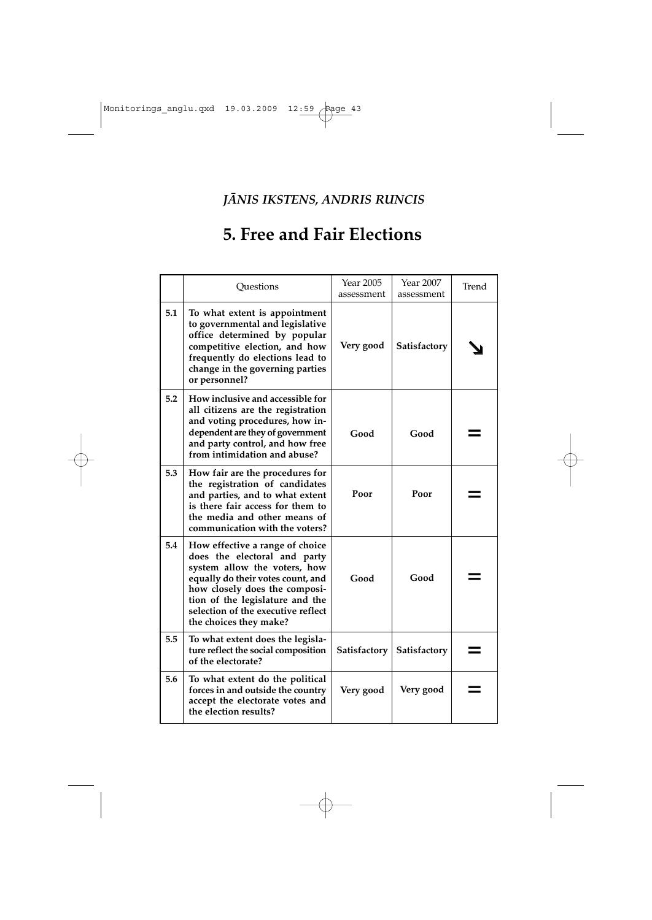Monitorings\_anglu.qxd  $19.03.2009$   $12:59$  Page 43

## *JÂNIS IKSTENS, ANDRIS RUNCIS*

# **5. Free and Fair Elections**

|     | Questions                                                                                                                                                                                                                                                                | <b>Year 2005</b><br>assessment | <b>Year 2007</b><br>assessment | Trend |
|-----|--------------------------------------------------------------------------------------------------------------------------------------------------------------------------------------------------------------------------------------------------------------------------|--------------------------------|--------------------------------|-------|
| 5.1 | To what extent is appointment<br>to governmental and legislative<br>office determined by popular<br>competitive election, and how<br>frequently do elections lead to<br>change in the governing parties<br>or personnel?                                                 | Very good                      | Satisfactory                   |       |
| 5.2 | How inclusive and accessible for<br>all citizens are the registration<br>and voting procedures, how in-<br>dependent are they of government<br>and party control, and how free<br>from infimidation and abuse?                                                           | Good                           | Good                           |       |
| 5.3 | How fair are the procedures for<br>the registration of candidates<br>and parties, and to what extent<br>is there fair access for them to<br>the media and other means of<br>communication with the voters?                                                               | Poor                           | Poor                           |       |
| 5.4 | How effective a range of choice<br>does the electoral and party<br>system allow the voters, how<br>equally do their votes count, and<br>how closely does the composi-<br>tion of the legislature and the<br>selection of the executive reflect<br>the choices they make? | Good                           | Good                           |       |
| 5.5 | To what extent does the legisla-<br>ture reflect the social composition<br>of the electorate?                                                                                                                                                                            | Satisfactory                   | Satisfactory                   |       |
| 5.6 | To what extent do the political<br>forces in and outside the country<br>accept the electorate votes and<br>the election results?                                                                                                                                         | Very good                      | Very good                      |       |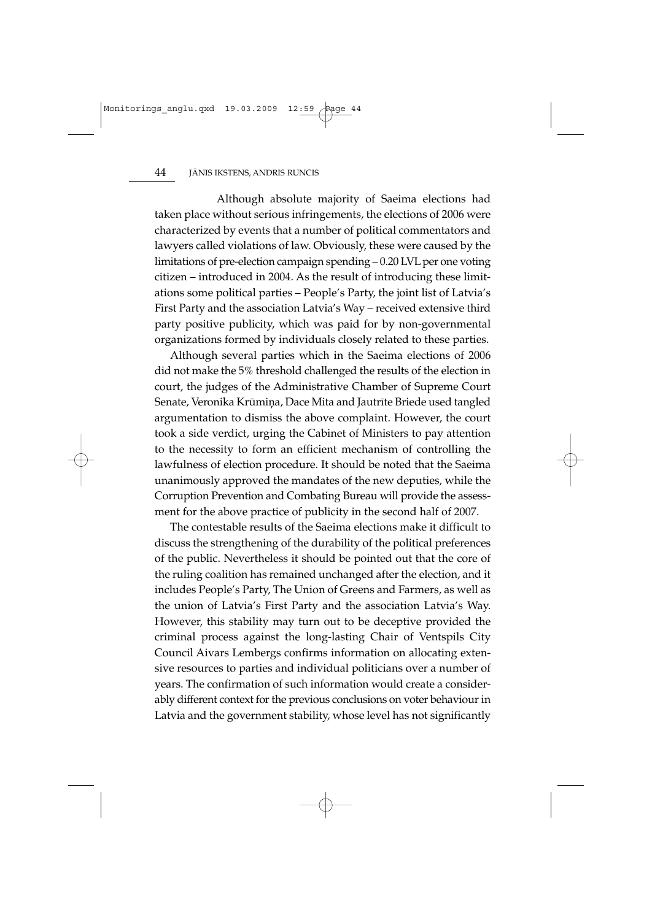#### 44 JÂNIS IKSTENS, ANDRIS RUNCIS

Although absolute majority of Saeima elections had taken place without serious infringements, the elections of 2006 were characterized by events that a number of political commentators and lawyers called violations of law. Obviously, these were caused by the limitations of pre-election campaign spending – 0.20 LVL per one voting citizen – introduced in 2004. As the result of introducing these limitations some political parties – People's Party, the joint list of Latvia's First Party and the association Latvia's Way – received extensive third party positive publicity, which was paid for by non-governmental organizations formed by individuals closely related to these parties.

Although several parties which in the Saeima elections of 2006 did not make the 5% threshold challenged the results of the election in court, the judges of the Administrative Chamber of Supreme Court Senate, Veronika Krūmiņa, Dace Mita and Jautrīte Briede used tangled argumentation to dismiss the above complaint. However, the court took a side verdict, urging the Cabinet of Ministers to pay attention to the necessity to form an efficient mechanism of controlling the lawfulness of election procedure. It should be noted that the Saeima unanimously approved the mandates of the new deputies, while the Corruption Prevention and Combating Bureau will provide the assessment for the above practice of publicity in the second half of 2007.

The contestable results of the Saeima elections make it difficult to discuss the strengthening of the durability of the political preferences of the public. Nevertheless it should be pointed out that the core of the ruling coalition has remained unchanged after the election, and it includes People's Party, The Union of Greens and Farmers, as well as the union of Latvia's First Party and the association Latvia's Way. However, this stability may turn out to be deceptive provided the criminal process against the long-lasting Chair of Ventspils City Council Aivars Lembergs confirms information on allocating extensive resources to parties and individual politicians over a number of years. The confirmation of such information would create a considerably different context for the previous conclusions on voter behaviour in Latvia and the government stability, whose level has not significantly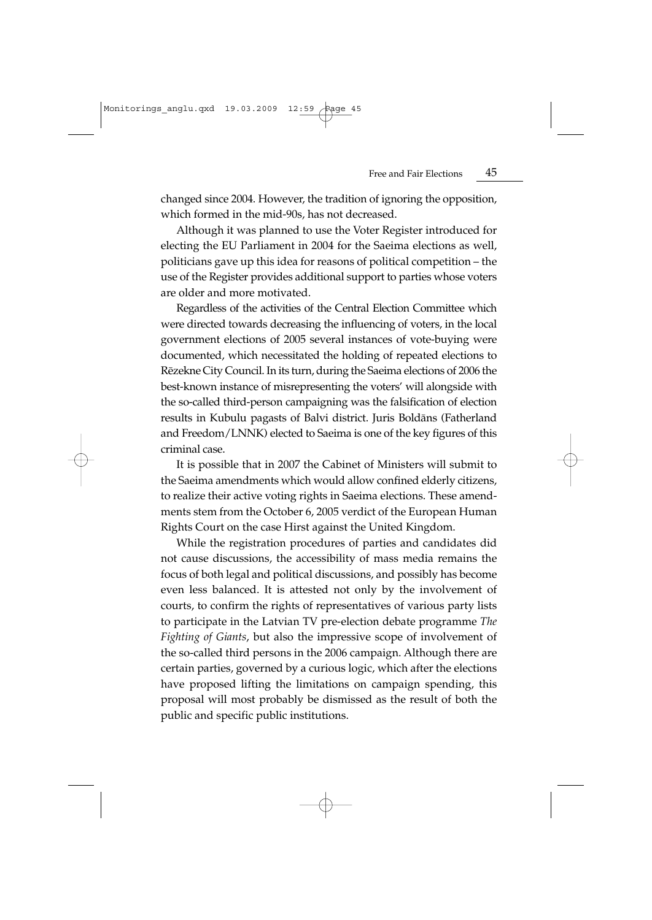Free and Fair Elections 45

changed since 2004. However, the tradition of ignoring the opposition, which formed in the mid-90s, has not decreased.

Although it was planned to use the Voter Register introduced for electing the EU Parliament in 2004 for the Saeima elections as well, politicians gave up this idea for reasons of political competition – the use of the Register provides additional support to parties whose voters are older and more motivated.

Regardless of the activities of the Central Election Committee which were directed towards decreasing the influencing of voters, in the local government elections of 2005 several instances of vote-buying were documented, which necessitated the holding of repeated elections to Rēzekne City Council. In its turn, during the Saeima elections of 2006 the best-known instance of misrepresenting the voters' will alongside with the so-called third-person campaigning was the falsification of election results in Kubulu pagasts of Balvi district. Juris Boldâns (Fatherland and Freedom/LNNK) elected to Saeima is one of the key figures of this criminal case.

It is possible that in 2007 the Cabinet of Ministers will submit to the Saeima amendments which would allow confined elderly citizens, to realize their active voting rights in Saeima elections. These amendments stem from the October 6, 2005 verdict of the European Human Rights Court on the case Hirst against the United Kingdom.

While the registration procedures of parties and candidates did not cause discussions, the accessibility of mass media remains the focus of both legal and political discussions, and possibly has become even less balanced. It is attested not only by the involvement of courts, to confirm the rights of representatives of various party lists to participate in the Latvian TV pre-election debate programme *The Fighting of Giants*, but also the impressive scope of involvement of the so-called third persons in the 2006 campaign. Although there are certain parties, governed by a curious logic, which after the elections have proposed lifting the limitations on campaign spending, this proposal will most probably be dismissed as the result of both the public and specific public institutions.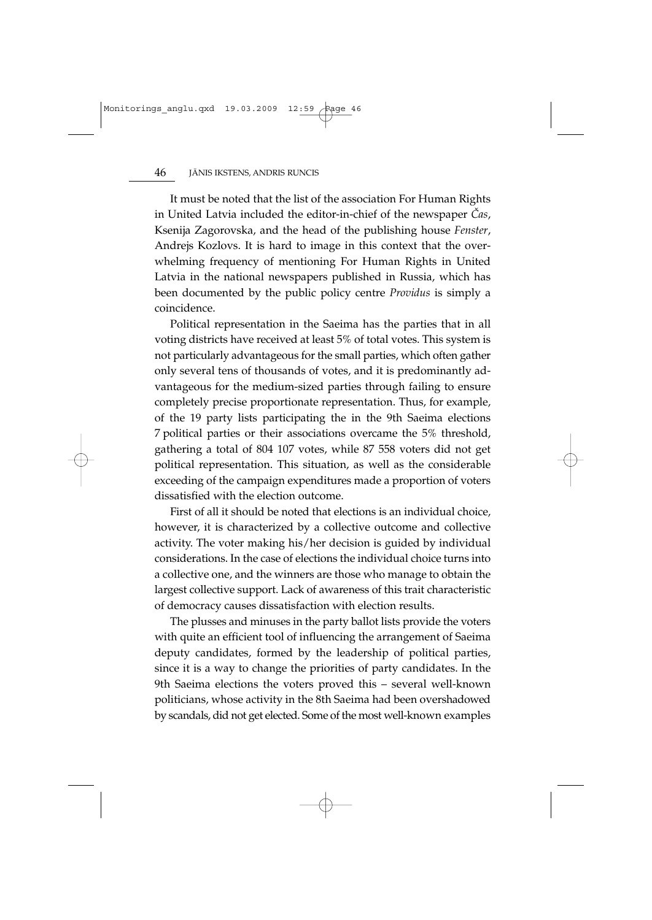#### 46 JÂNIS IKSTENS, ANDRIS RUNCIS

It must be noted that the list of the association For Human Rights in United Latvia included the editor-in-chief of the newspaper *Èas*, Ksenija Zagorovska, and the head of the publishing house *Fenster*, Andrejs Kozlovs. It is hard to image in this context that the overwhelming frequency of mentioning For Human Rights in United Latvia in the national newspapers published in Russia, which has been documented by the public policy centre *Providus* is simply a coincidence.

Political representation in the Saeima has the parties that in all voting districts have received at least 5% of total votes. This system is not particularly advantageous for the small parties, which often gather only several tens of thousands of votes, and it is predominantly advantageous for the medium-sized parties through failing to ensure completely precise proportionate representation. Thus, for example, of the 19 party lists participating the in the 9th Saeima elections 7 political parties or their associations overcame the 5% threshold, gathering a total of 804 107 votes, while 87 558 voters did not get political representation. This situation, as well as the considerable exceeding of the campaign expenditures made a proportion of voters dissatisfied with the election outcome.

First of all it should be noted that elections is an individual choice, however, it is characterized by a collective outcome and collective activity. The voter making his/her decision is guided by individual considerations. In the case of elections the individual choice turns into a collective one, and the winners are those who manage to obtain the largest collective support. Lack of awareness of this trait characteristic of democracy causes dissatisfaction with election results.

The plusses and minuses in the party ballot lists provide the voters with quite an efficient tool of influencing the arrangement of Saeima deputy candidates, formed by the leadership of political parties, since it is a way to change the priorities of party candidates. In the 9th Saeima elections the voters proved this – several well-known politicians, whose activity in the 8th Saeima had been overshadowed by scandals, did not get elected. Some of the most well-known examples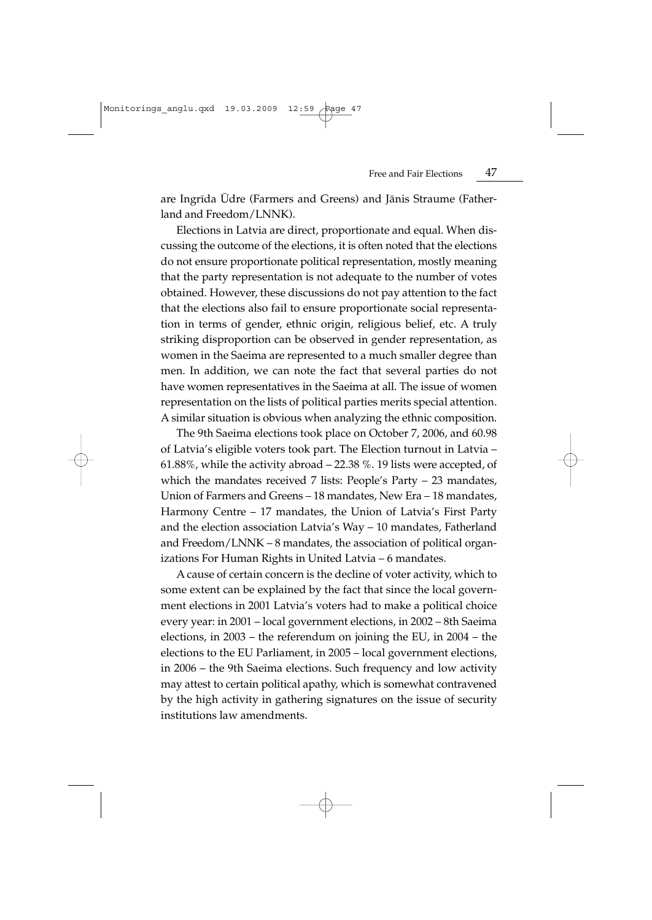Monitorings\_anglu.qxd 19.03.2009

Free and Fair Elections 47

are Ingrîda Ûdre (Farmers and Greens) and Jânis Straume (Fatherland and Freedom/LNNK).

Elections in Latvia are direct, proportionate and equal. When discussing the outcome of the elections, it is often noted that the elections do not ensure proportionate political representation, mostly meaning that the party representation is not adequate to the number of votes obtained. However, these discussions do not pay attention to the fact that the elections also fail to ensure proportionate social representation in terms of gender, ethnic origin, religious belief, etc. A truly striking disproportion can be observed in gender representation, as women in the Saeima are represented to a much smaller degree than men. In addition, we can note the fact that several parties do not have women representatives in the Saeima at all. The issue of women representation on the lists of political parties merits special attention. A similar situation is obvious when analyzing the ethnic composition.

The 9th Saeima elections took place on October 7, 2006, and 60.98 of Latvia's eligible voters took part. The Election turnout in Latvia – 61.88%, while the activity abroad – 22.38 %. 19 lists were accepted, of which the mandates received 7 lists: People's Party – 23 mandates, Union of Farmers and Greens – 18 mandates, New Era – 18 mandates, Harmony Centre – 17 mandates, the Union of Latvia's First Party and the election association Latvia's Way – 10 mandates, Fatherland and Freedom/LNNK – 8 mandates, the association of political organizations For Human Rights in United Latvia – 6 mandates.

A cause of certain concern is the decline of voter activity, which to some extent can be explained by the fact that since the local government elections in 2001 Latvia's voters had to make a political choice every year: in 2001 – local government elections, in 2002 – 8th Saeima elections, in 2003 – the referendum on joining the EU, in 2004 – the elections to the EU Parliament, in 2005 – local government elections, in 2006 – the 9th Saeima elections. Such frequency and low activity may attest to certain political apathy, which is somewhat contravened by the high activity in gathering signatures on the issue of security institutions law amendments.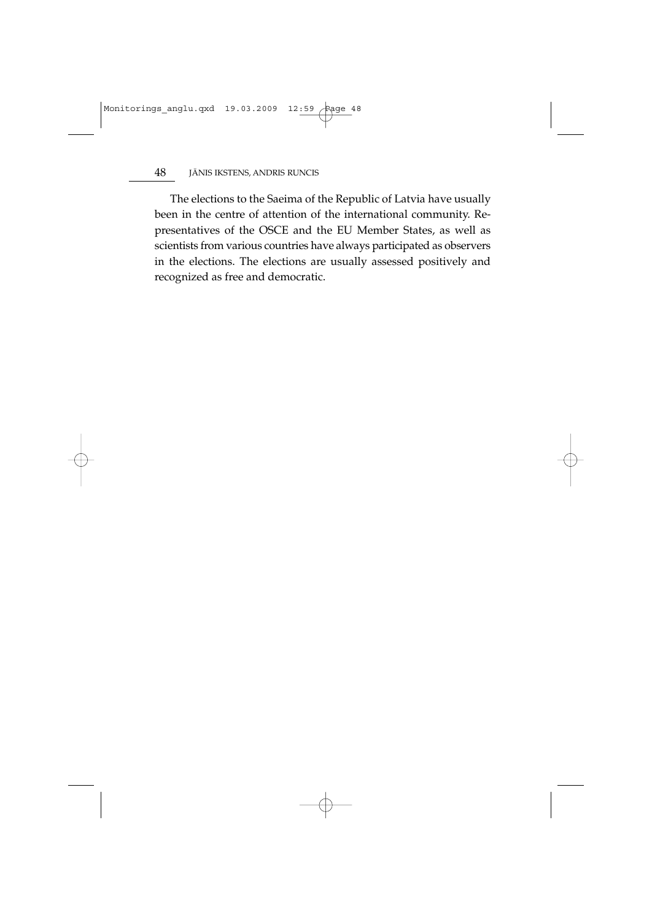### 48 JÂNIS IKSTENS, ANDRIS RUNCIS

The elections to the Saeima of the Republic of Latvia have usually been in the centre of attention of the international community. Representatives of the OSCE and the EU Member States, as well as scientists from various countries have always participated as observers in the elections. The elections are usually assessed positively and recognized as free and democratic.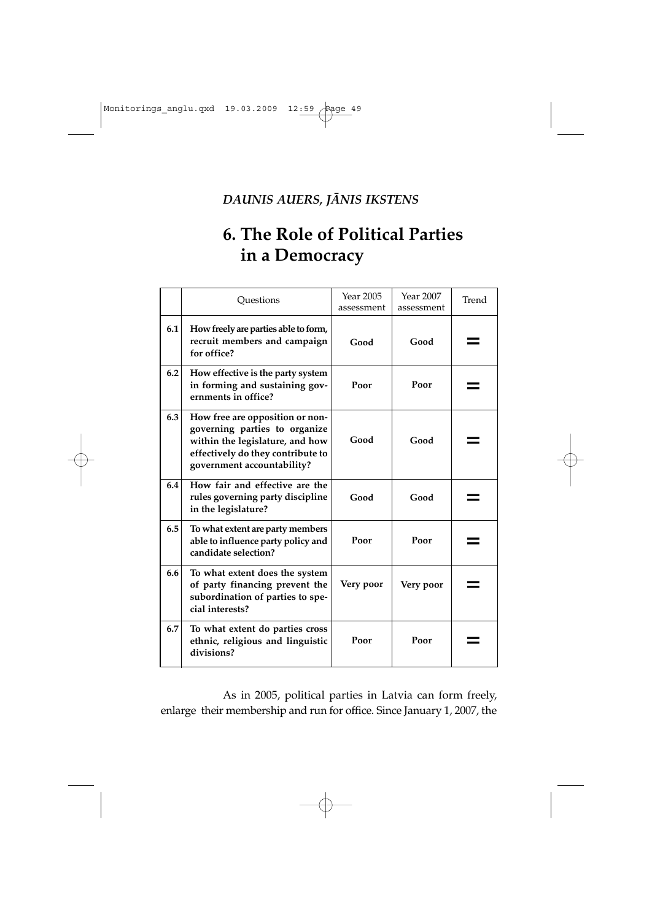$M$ onitorings\_anglu.qxd 19.03.2009 12:59  $\frac{1}{2}$ 

### *DAUNIS AUERS, JÂNIS IKSTENS*

# **6. The Role of Political Parties in a Democracy**

|     | Ouestions                                                                                                                                                              | Year 2005<br>assessment | Year 2007<br>assessment | Trend |
|-----|------------------------------------------------------------------------------------------------------------------------------------------------------------------------|-------------------------|-------------------------|-------|
| 6.1 | How freely are parties able to form,<br>recruit members and campaign<br>for office?                                                                                    | Good                    | Good                    |       |
| 6.2 | How effective is the party system<br>in forming and sustaining gov-<br>ernments in office?                                                                             | Poor                    | Poor                    |       |
| 6.3 | How free are opposition or non-<br>governing parties to organize<br>within the legislature, and how<br>effectively do they contribute to<br>government accountability? | Good                    | Good                    |       |
| 6.4 | How fair and effective are the<br>rules governing party discipline<br>in the legislature?                                                                              | Good                    | Good                    |       |
| 6.5 | To what extent are party members<br>able to influence party policy and<br>candidate selection?                                                                         | Poor                    | Poor                    |       |
| 6.6 | To what extent does the system<br>of party financing prevent the<br>subordination of parties to spe-<br>cial interests?                                                | Very poor               | Very poor               |       |
| 6.7 | To what extent do parties cross<br>ethnic, religious and linguistic<br>divisions?                                                                                      | Poor                    | Poor                    |       |

As in 2005, political parties in Latvia can form freely, enlarge their membership and run for office. Since January 1, 2007, the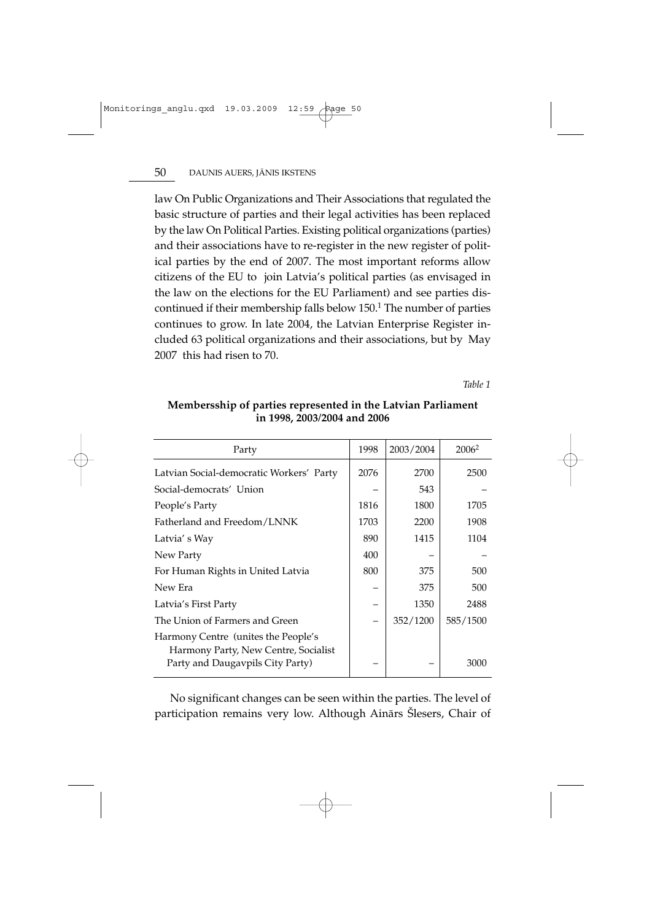#### 50 DAUNIS AUERS, JÂNIS IKSTENS

law On Public Organizations and Their Associations that regulated the basic structure of parties and their legal activities has been replaced by the law On Political Parties. Existing political organizations (parties) and their associations have to re-register in the new register of political parties by the end of 2007. The most important reforms allow citizens of the EU to join Latvia's political parties (as envisaged in the law on the elections for the EU Parliament) and see parties discontinued if their membership falls below 150.<sup>1</sup> The number of parties continues to grow. In late 2004, the Latvian Enterprise Register included 63 political organizations and their associations, but by May 2007 this had risen to 70.

*Table 1*

| Party                                                                                                           | 1998 | 2003/2004 | 2006 <sup>2</sup> |
|-----------------------------------------------------------------------------------------------------------------|------|-----------|-------------------|
| Latvian Social-democratic Workers' Party                                                                        | 2076 | 2700      | 2500              |
| Social-democrats' Union                                                                                         |      | 543       |                   |
| People's Party                                                                                                  | 1816 | 1800      | 1705              |
| Fatherland and Freedom/LNNK                                                                                     | 1703 | 2200      | 1908              |
| Latvia's Way                                                                                                    | 890  | 1415      | 1104              |
| New Party                                                                                                       | 400  |           |                   |
| For Human Rights in United Latvia                                                                               | 800  | 375       | 500               |
| New Era                                                                                                         |      | 375       | 500               |
| Latvia's First Party                                                                                            |      | 1350      | 2488              |
| The Union of Farmers and Green                                                                                  |      | 352/1200  | 585/1500          |
| Harmony Centre (unites the People's<br>Harmony Party, New Centre, Socialist<br>Party and Daugavpils City Party) |      |           | 3000              |
|                                                                                                                 |      |           |                   |

**Membersship of parties represented in the Latvian Parliament in 1998, 2003/2004 and 2006**

No significant changes can be seen within the parties. The level of participation remains very low. Although Ainârs Ðlesers, Chair of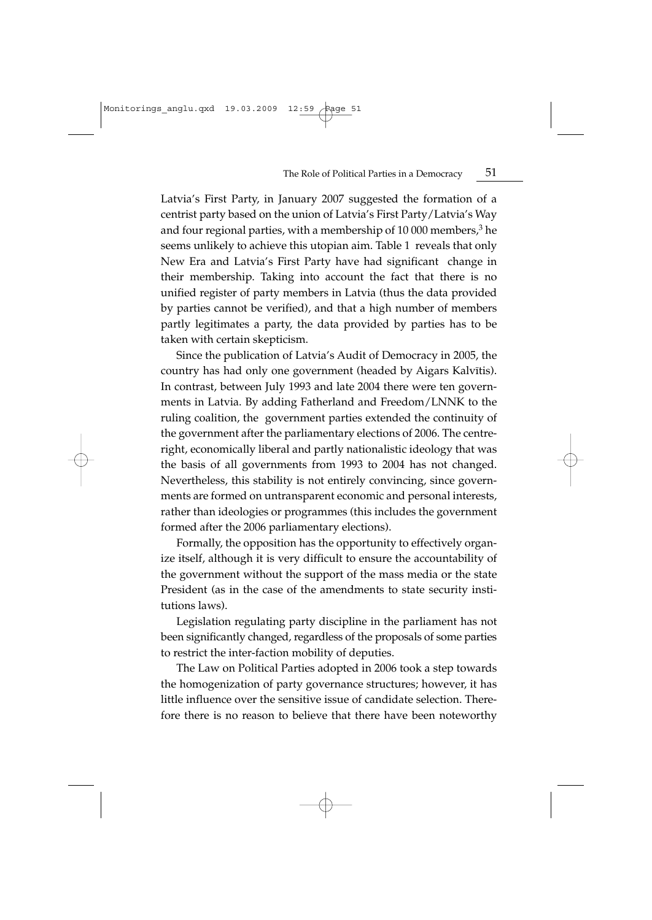#### The Role of Political Parties in a Democracy 51

Latvia's First Party, in January 2007 suggested the formation of a centrist party based on the union of Latvia's First Party/Latvia's Way and four regional parties, with a membership of  $10\,000$  members,<sup>3</sup> he seems unlikely to achieve this utopian aim. Table 1 reveals that only New Era and Latvia's First Party have had significant change in their membership. Taking into account the fact that there is no unified register of party members in Latvia (thus the data provided by parties cannot be verified), and that a high number of members partly legitimates a party, the data provided by parties has to be taken with certain skepticism.

Since the publication of Latvia's Audit of Democracy in 2005, the country has had only one government (headed by Aigars Kalvîtis). In contrast, between July 1993 and late 2004 there were ten governments in Latvia. By adding Fatherland and Freedom/LNNK to the ruling coalition, the government parties extended the continuity of the government after the parliamentary elections of 2006. The centreright, economically liberal and partly nationalistic ideology that was the basis of all governments from 1993 to 2004 has not changed. Nevertheless, this stability is not entirely convincing, since governments are formed on untransparent economic and personal interests, rather than ideologies or programmes (this includes the government formed after the 2006 parliamentary elections).

Formally, the opposition has the opportunity to effectively organize itself, although it is very difficult to ensure the accountability of the government without the support of the mass media or the state President (as in the case of the amendments to state security institutions laws).

Legislation regulating party discipline in the parliament has not been significantly changed, regardless of the proposals of some parties to restrict the inter-faction mobility of deputies.

The Law on Political Parties adopted in 2006 took a step towards the homogenization of party governance structures; however, it has little influence over the sensitive issue of candidate selection. Therefore there is no reason to believe that there have been noteworthy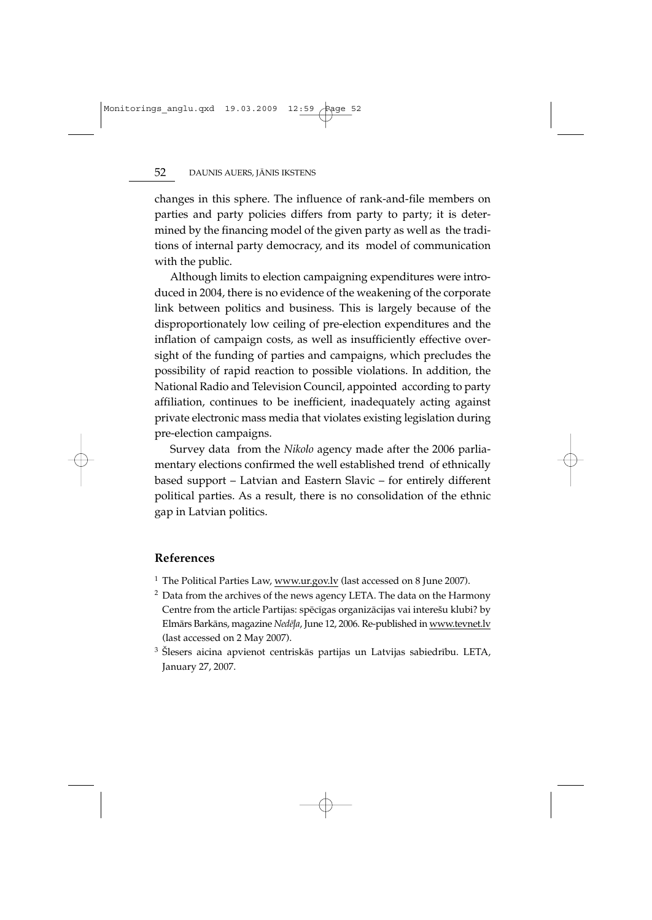#### 52 DAUNIS AUERS, JÂNIS IKSTENS

changes in this sphere. The influence of rank-and-file members on parties and party policies differs from party to party; it is determined by the financing model of the given party as well as the traditions of internal party democracy, and its model of communication with the public.

Although limits to election campaigning expenditures were introduced in 2004, there is no evidence of the weakening of the corporate link between politics and business. This is largely because of the disproportionately low ceiling of pre-election expenditures and the inflation of campaign costs, as well as insufficiently effective oversight of the funding of parties and campaigns, which precludes the possibility of rapid reaction to possible violations. In addition, the National Radio and Television Council, appointed according to party affiliation, continues to be inefficient, inadequately acting against private electronic mass media that violates existing legislation during pre-election campaigns.

Survey data from the *Nikolo* agency made after the 2006 parliamentary elections confirmed the well established trend of ethnically based support – Latvian and Eastern Slavic – for entirely different political parties. As a result, there is no consolidation of the ethnic gap in Latvian politics.

#### **References**

- <sup>1</sup> The Political Parties Law, www.ur.gov.lv (last accessed on 8 June 2007).
- <sup>2</sup> Data from the archives of the news agency LETA. The data on the Harmony Centre from the article Partijas: spçcîgas organizâcijas vai intereðu klubi? by Elmârs Barkâns, magazine *Nedçïa*, June 12, 2006. Re-published in www.tevnet.lv (last accessed on 2 May 2007).
- <sup>3</sup> Šlesers aicina apvienot centriskās partijas un Latvijas sabiedrību. LETA, January 27, 2007.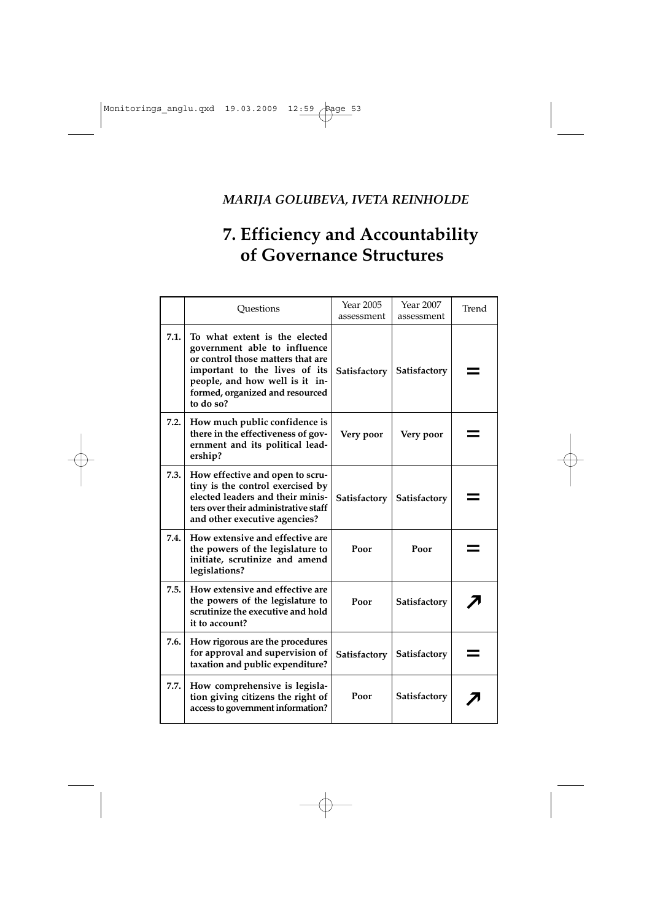Monitorings\_anglu.qxd  $19.03.2009$   $12:59$  Page 53

### *MARIJA GOLUBEVA, IVETA REINHOLDE*

## **7. Efficiency and Accountability of Governance Structures**

|      | Questions                                                                                                                                                                                                             | <b>Year 2005</b><br>assessment | Year 2007<br>assessment | Trend |
|------|-----------------------------------------------------------------------------------------------------------------------------------------------------------------------------------------------------------------------|--------------------------------|-------------------------|-------|
| 7.1. | To what extent is the elected<br>government able to influence<br>or control those matters that are<br>important to the lives of its<br>people, and how well is it in-<br>formed, organized and resourced<br>to do so? | Satisfactory                   | Satisfactory            |       |
| 7.2. | How much public confidence is<br>there in the effectiveness of gov-<br>ernment and its political lead-<br>ership?                                                                                                     | Very poor                      | Very poor               |       |
| 7.3. | How effective and open to scru-<br>tiny is the control exercised by<br>elected leaders and their minis-<br>ters over their administrative staff<br>and other executive agencies?                                      | Satisfactory                   | Satisfactory            |       |
| 7.4. | How extensive and effective are<br>the powers of the legislature to<br>initiate, scrutinize and amend<br>legislations?                                                                                                | Poor                           | Poor                    |       |
| 7.5. | How extensive and effective are<br>the powers of the legislature to<br>scrutinize the executive and hold<br>it to account?                                                                                            | Poor                           | Satisfactory            |       |
| 7.6. | How rigorous are the procedures<br>for approval and supervision of<br>taxation and public expenditure?                                                                                                                | Satisfactory                   | Satisfactory            |       |
| 7.7. | How comprehensive is legisla-<br>tion giving citizens the right of<br>access to government information?                                                                                                               | Poor                           | Satisfactory            |       |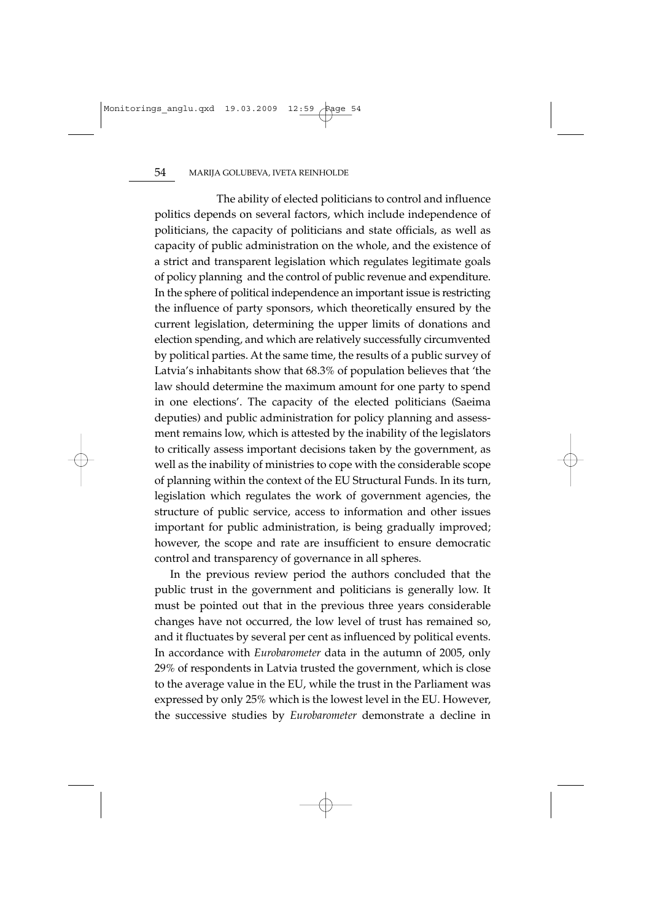#### 54 MARIJA GOLUBEVA, IVETA REINHOLDE

The ability of elected politicians to control and influence politics depends on several factors, which include independence of politicians, the capacity of politicians and state officials, as well as capacity of public administration on the whole, and the existence of a strict and transparent legislation which regulates legitimate goals of policy planning and the control of public revenue and expenditure. In the sphere of political independence an important issue is restricting the influence of party sponsors, which theoretically ensured by the current legislation, determining the upper limits of donations and election spending, and which are relatively successfully circumvented by political parties. At the same time, the results of a public survey of Latvia's inhabitants show that 68.3% of population believes that 'the law should determine the maximum amount for one party to spend in one elections'. The capacity of the elected politicians (Saeima deputies) and public administration for policy planning and assessment remains low, which is attested by the inability of the legislators to critically assess important decisions taken by the government, as well as the inability of ministries to cope with the considerable scope of planning within the context of the EU Structural Funds. In its turn, legislation which regulates the work of government agencies, the structure of public service, access to information and other issues important for public administration, is being gradually improved; however, the scope and rate are insufficient to ensure democratic control and transparency of governance in all spheres.

In the previous review period the authors concluded that the public trust in the government and politicians is generally low. It must be pointed out that in the previous three years considerable changes have not occurred, the low level of trust has remained so, and it fluctuates by several per cent as influenced by political events. In accordance with *Eurobarometer* data in the autumn of 2005, only 29% of respondents in Latvia trusted the government, which is close to the average value in the EU, while the trust in the Parliament was expressed by only 25% which is the lowest level in the EU. However, the successive studies by *Eurobarometer* demonstrate a decline in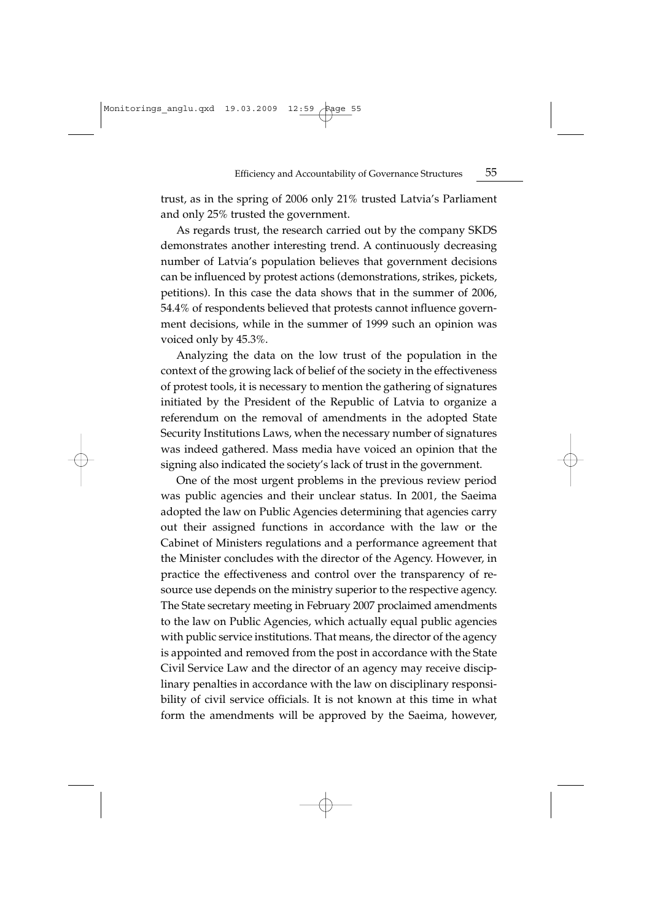#### Efficiency and Accountability of Governance Structures 55

trust, as in the spring of 2006 only 21% trusted Latvia's Parliament and only 25% trusted the government.

As regards trust, the research carried out by the company SKDS demonstrates another interesting trend. A continuously decreasing number of Latvia's population believes that government decisions can be influenced by protest actions (demonstrations, strikes, pickets, petitions). In this case the data shows that in the summer of 2006, 54.4% of respondents believed that protests cannot influence government decisions, while in the summer of 1999 such an opinion was voiced only by 45.3%.

Analyzing the data on the low trust of the population in the context of the growing lack of belief of the society in the effectiveness of protest tools, it is necessary to mention the gathering of signatures initiated by the President of the Republic of Latvia to organize a referendum on the removal of amendments in the adopted State Security Institutions Laws, when the necessary number of signatures was indeed gathered. Mass media have voiced an opinion that the signing also indicated the society's lack of trust in the government.

One of the most urgent problems in the previous review period was public agencies and their unclear status. In 2001, the Saeima adopted the law on Public Agencies determining that agencies carry out their assigned functions in accordance with the law or the Cabinet of Ministers regulations and a performance agreement that the Minister concludes with the director of the Agency. However, in practice the effectiveness and control over the transparency of resource use depends on the ministry superior to the respective agency. The State secretary meeting in February 2007 proclaimed amendments to the law on Public Agencies, which actually equal public agencies with public service institutions. That means, the director of the agency is appointed and removed from the post in accordance with the State Civil Service Law and the director of an agency may receive disciplinary penalties in accordance with the law on disciplinary responsibility of civil service officials. It is not known at this time in what form the amendments will be approved by the Saeima, however,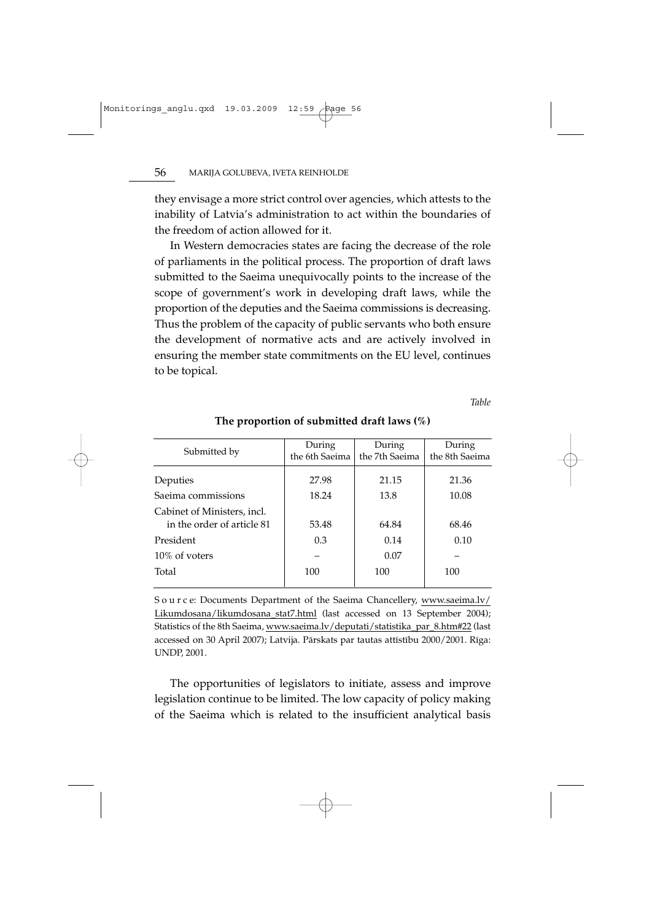#### 56 MARIJA GOLUBEVA, IVETA REINHOLDE

they envisage a more strict control over agencies, which attests to the inability of Latvia's administration to act within the boundaries of the freedom of action allowed for it.

In Western democracies states are facing the decrease of the role of parliaments in the political process. The proportion of draft laws submitted to the Saeima unequivocally points to the increase of the scope of government's work in developing draft laws, while the proportion of the deputies and the Saeima commissions is decreasing. Thus the problem of the capacity of public servants who both ensure the development of normative acts and are actively involved in ensuring the member state commitments on the EU level, continues to be topical.

*Table*

| Submitted by                                              | During<br>the 6th Saeima | During<br>the 7th Saeima | During<br>the 8th Saeima |  |
|-----------------------------------------------------------|--------------------------|--------------------------|--------------------------|--|
| Deputies                                                  | 27.98                    | 21.15                    | 21.36                    |  |
| Saeima commissions                                        | 18.24                    | 13.8                     | 10.08                    |  |
| Cabinet of Ministers, incl.<br>in the order of article 81 | 53.48                    | 64.84                    | 68.46                    |  |
| President                                                 | 0.3                      | 0.14                     | 0.10                     |  |
| 10\% of voters                                            |                          | 0.07                     |                          |  |
| Total                                                     | 100                      | 100                      | 100                      |  |
|                                                           |                          |                          |                          |  |

#### **The proportion of submitted draft laws (%)**

S o u r c e: Documents Department of the Saeima Chancellery, www.saeima.lv/ Likumdosana/likumdosana\_stat7.html (last accessed on 13 September 2004); Statistics of the 8th Saeima, www.saeima.lv/deputati/statistika\_par\_8.htm#22 (last accessed on 30 April 2007); Latvija. Pârskats par tautas attîstîbu 2000/2001. Rîga: UNDP, 2001.

The opportunities of legislators to initiate, assess and improve legislation continue to be limited. The low capacity of policy making of the Saeima which is related to the insufficient analytical basis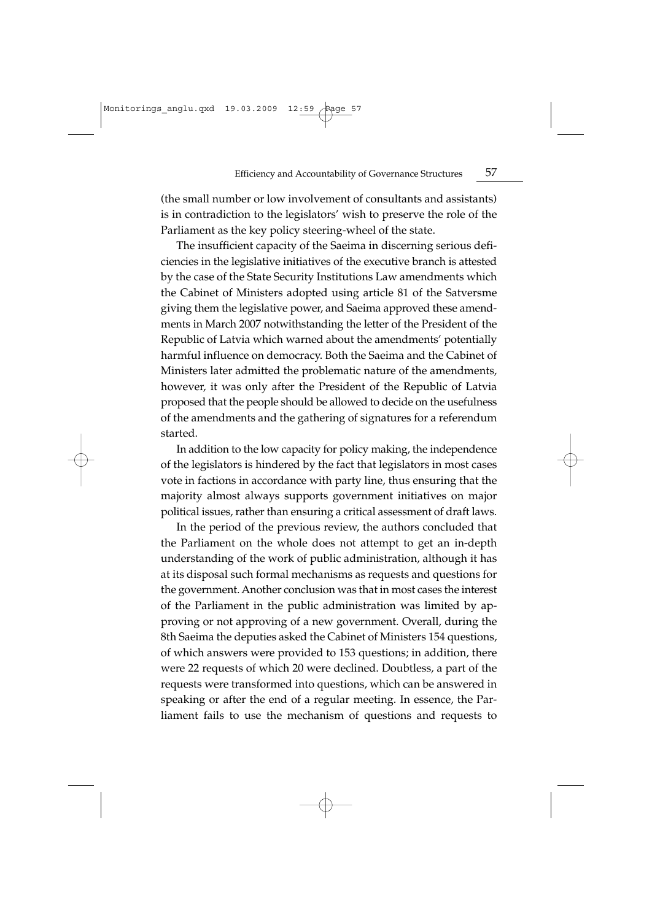#### Efficiency and Accountability of Governance Structures 57

(the small number or low involvement of consultants and assistants) is in contradiction to the legislators' wish to preserve the role of the Parliament as the key policy steering-wheel of the state.

The insufficient capacity of the Saeima in discerning serious deficiencies in the legislative initiatives of the executive branch is attested by the case of the State Security Institutions Law amendments which the Cabinet of Ministers adopted using article 81 of the Satversme giving them the legislative power, and Saeima approved these amendments in March 2007 notwithstanding the letter of the President of the Republic of Latvia which warned about the amendments' potentially harmful influence on democracy. Both the Saeima and the Cabinet of Ministers later admitted the problematic nature of the amendments, however, it was only after the President of the Republic of Latvia proposed that the people should be allowed to decide on the usefulness of the amendments and the gathering of signatures for a referendum started.

In addition to the low capacity for policy making, the independence of the legislators is hindered by the fact that legislators in most cases vote in factions in accordance with party line, thus ensuring that the majority almost always supports government initiatives on major political issues, rather than ensuring a critical assessment of draft laws.

In the period of the previous review, the authors concluded that the Parliament on the whole does not attempt to get an in-depth understanding of the work of public administration, although it has at its disposal such formal mechanisms as requests and questions for the government. Another conclusion was that in most cases the interest of the Parliament in the public administration was limited by approving or not approving of a new government. Overall, during the 8th Saeima the deputies asked the Cabinet of Ministers 154 questions, of which answers were provided to 153 questions; in addition, there were 22 requests of which 20 were declined. Doubtless, a part of the requests were transformed into questions, which can be answered in speaking or after the end of a regular meeting. In essence, the Parliament fails to use the mechanism of questions and requests to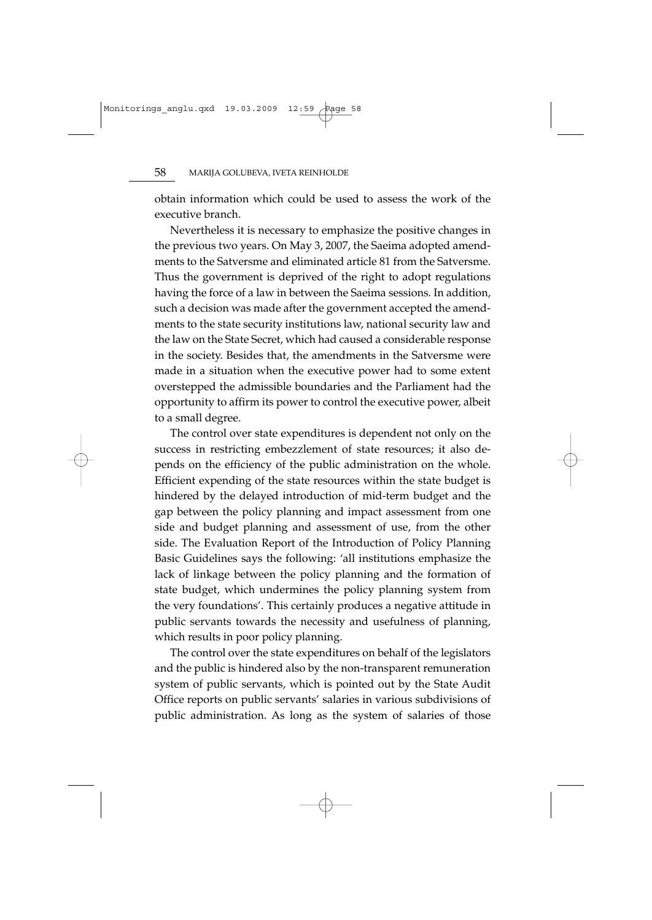#### 58 MARIJA GOLUBEVA, IVETA REINHOLDE

obtain information which could be used to assess the work of the executive branch.

Nevertheless it is necessary to emphasize the positive changes in the previous two years. On May 3, 2007, the Saeima adopted amendments to the Satversme and eliminated article 81 from the Satversme. Thus the government is deprived of the right to adopt regulations having the force of a law in between the Saeima sessions. In addition, such a decision was made after the government accepted the amendments to the state security institutions law, national security law and the law on the State Secret, which had caused a considerable response in the society. Besides that, the amendments in the Satversme were made in a situation when the executive power had to some extent overstepped the admissible boundaries and the Parliament had the opportunity to affirm its power to control the executive power, albeit to a small degree.

The control over state expenditures is dependent not only on the success in restricting embezzlement of state resources; it also depends on the efficiency of the public administration on the whole. Efficient expending of the state resources within the state budget is hindered by the delayed introduction of mid-term budget and the gap between the policy planning and impact assessment from one side and budget planning and assessment of use, from the other side. The Evaluation Report of the Introduction of Policy Planning Basic Guidelines says the following: 'all institutions emphasize the lack of linkage between the policy planning and the formation of state budget, which undermines the policy planning system from the very foundations'. This certainly produces a negative attitude in public servants towards the necessity and usefulness of planning, which results in poor policy planning.

The control over the state expenditures on behalf of the legislators and the public is hindered also by the non-transparent remuneration system of public servants, which is pointed out by the State Audit Office reports on public servants' salaries in various subdivisions of public administration. As long as the system of salaries of those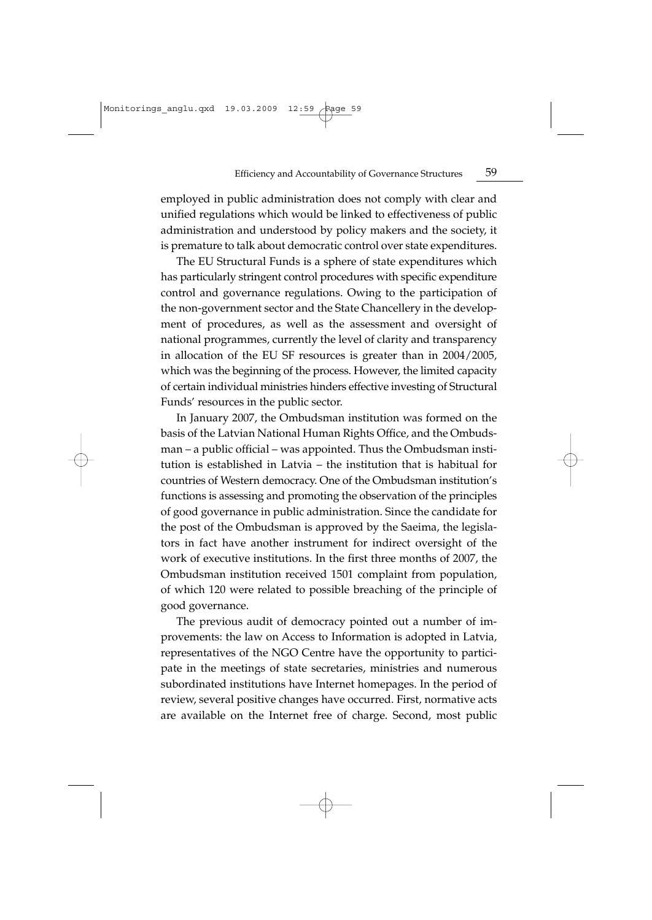#### Efficiency and Accountability of Governance Structures 59

employed in public administration does not comply with clear and unified regulations which would be linked to effectiveness of public administration and understood by policy makers and the society, it is premature to talk about democratic control over state expenditures.

The EU Structural Funds is a sphere of state expenditures which has particularly stringent control procedures with specific expenditure control and governance regulations. Owing to the participation of the non-government sector and the State Chancellery in the development of procedures, as well as the assessment and oversight of national programmes, currently the level of clarity and transparency in allocation of the EU SF resources is greater than in 2004/2005, which was the beginning of the process. However, the limited capacity of certain individual ministries hinders effective investing of Structural Funds' resources in the public sector.

In January 2007, the Ombudsman institution was formed on the basis of the Latvian National Human Rights Office, and the Ombudsman – a public official – was appointed. Thus the Ombudsman institution is established in Latvia – the institution that is habitual for countries of Western democracy. One of the Ombudsman institution's functions is assessing and promoting the observation of the principles of good governance in public administration. Since the candidate for the post of the Ombudsman is approved by the Saeima, the legislators in fact have another instrument for indirect oversight of the work of executive institutions. In the first three months of 2007, the Ombudsman institution received 1501 complaint from population, of which 120 were related to possible breaching of the principle of good governance.

The previous audit of democracy pointed out a number of improvements: the law on Access to Information is adopted in Latvia, representatives of the NGO Centre have the opportunity to participate in the meetings of state secretaries, ministries and numerous subordinated institutions have Internet homepages. In the period of review, several positive changes have occurred. First, normative acts are available on the Internet free of charge. Second, most public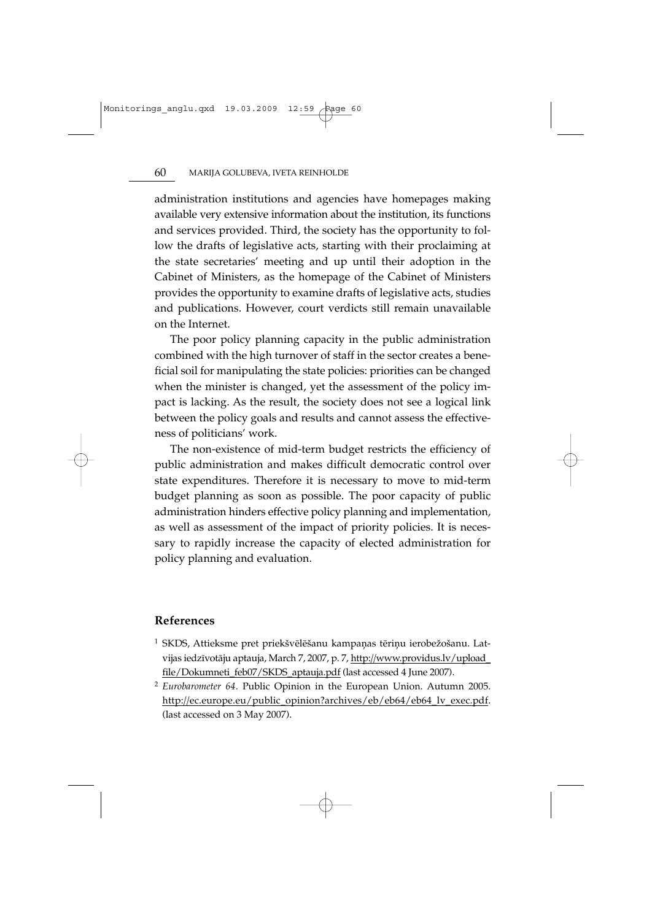#### 60 MARIJA GOLUBEVA, IVETA REINHOLDE

administration institutions and agencies have homepages making available very extensive information about the institution, its functions and services provided. Third, the society has the opportunity to follow the drafts of legislative acts, starting with their proclaiming at the state secretaries' meeting and up until their adoption in the Cabinet of Ministers, as the homepage of the Cabinet of Ministers provides the opportunity to examine drafts of legislative acts, studies and publications. However, court verdicts still remain unavailable on the Internet.

The poor policy planning capacity in the public administration combined with the high turnover of staff in the sector creates a beneficial soil for manipulating the state policies: priorities can be changed when the minister is changed, yet the assessment of the policy impact is lacking. As the result, the society does not see a logical link between the policy goals and results and cannot assess the effectiveness of politicians' work.

The non-existence of mid-term budget restricts the efficiency of public administration and makes difficult democratic control over state expenditures. Therefore it is necessary to move to mid-term budget planning as soon as possible. The poor capacity of public administration hinders effective policy planning and implementation, as well as assessment of the impact of priority policies. It is necessary to rapidly increase the capacity of elected administration for policy planning and evaluation.

#### **References**

- <sup>1</sup> SKDS, Attieksme pret priekšvēlēšanu kampaņas tēriņu ierobežošanu. Latvijas iedzîvotâju aptauja, March 7, 2007, p. 7, http:*//*www.providus.lv/upload\_ file/Dokumneti\_feb07/SKDS\_aptauja.pdf (last accessed 4 June 2007).
- <sup>2</sup> *Eurobarometer 64.* Public Opinion in the European Union. Autumn 2005. http:*//*ec.europe.eu/public\_opinion?archives/eb/eb64/eb64\_lv\_exec.pdf. (last accessed on 3 May 2007).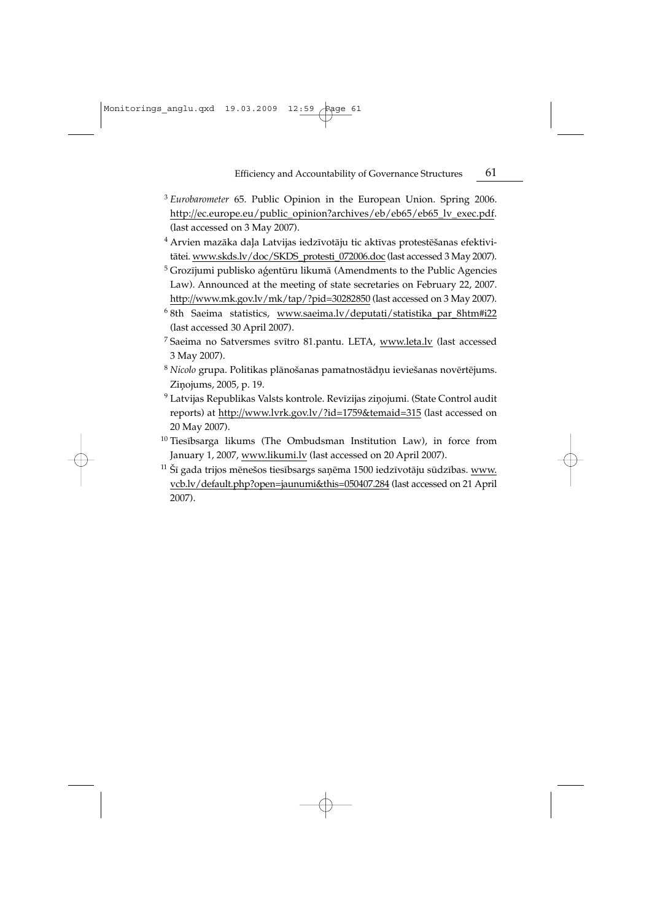Efficiency and Accountability of Governance Structures 61

- <sup>3</sup> *Eurobarometer* 65. Public Opinion in the European Union. Spring 2006. http:*//*ec.europe.eu/public\_opinion?archives/eb/eb65/eb65\_lv\_exec.pdf. (last accessed on 3 May 2007).
- <sup>4</sup> Arvien mazāka daļa Latvijas iedzīvotāju tic aktīvas protestēšanas efektivitâtei. www.skds.lv/doc/SKDS\_protesti\_072006.doc (last accessed 3 May 2007).
- $5$  Grozījumi publisko aģentūru likumā (Amendments to the Public Agencies Law). Announced at the meeting of state secretaries on February 22, 2007. http:*//*www.mk.gov.lv/mk/tap/?pid=30282850 (last accessed on 3 May 2007).
- <sup>6</sup> 8th Saeima statistics, www.saeima.lv/deputati/statistika\_par\_8htm#i22 (last accessed 30 April 2007).
- <sup>7</sup> Saeima no Satversmes svîtro 81.pantu. LETA, www.leta.lv (last accessed 3 May 2007).
- <sup>8</sup> Nicolo grupa. Politikas plānošanas pamatnostādņu ieviešanas novērtējums. Ziņojums, 2005, p. 19.
- <sup>9</sup> Latvijas Republikas Valsts kontrole. Revīzijas zinojumi. (State Control audit reports) at http:*//*www.lvrk.gov.lv/?id=1759&temaid=315 (last accessed on 20 May 2007).
- <sup>10</sup> Tiesîbsarga likums (The Ombudsman Institution Law), in force from January 1, 2007, www.likumi.lv (last accessed on 20 April 2007).
- $11$  Šī gada trijos mēnešos tiesībsargs saņēma 1500 iedzīvotāju sūdzības. www. vcb.lv/default.php?open=jaunumi&this=050407.284 (last accessed on 21 April 2007).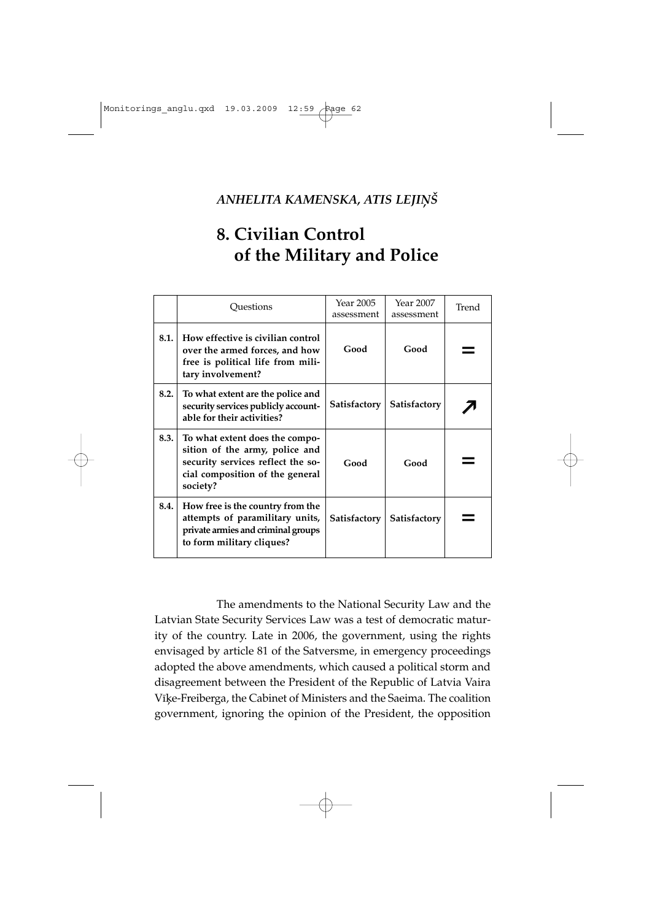Monitorings\_anglu.qxd 19.03.2009 12:59 Page 62

### **ANHELITA KAMENSKA, ATIS LEJIŅŠ**

# **8. Civilian Control of the Military and Police**

|      | Ouestions                                                                                                                                            | Year 2005<br>assessment | Year 2007<br>assessment | Trend |
|------|------------------------------------------------------------------------------------------------------------------------------------------------------|-------------------------|-------------------------|-------|
| 8.1. | How effective is civilian control<br>over the armed forces, and how<br>free is political life from mili-<br>tary involvement?                        | Good                    | Good                    |       |
| 8.2. | To what extent are the police and<br>security services publicly account-<br>able for their activities?                                               | Satisfactory            | Satisfactory            |       |
| 8.3. | To what extent does the compo-<br>sition of the army, police and<br>security services reflect the so-<br>cial composition of the general<br>society? | Good                    | Good                    |       |
| 8.4. | How free is the country from the<br>attempts of paramilitary units,<br>private armies and criminal groups<br>to form military cliques?               | Satisfactory            | Satisfactory            |       |

The amendments to the National Security Law and the Latvian State Security Services Law was a test of democratic maturity of the country. Late in 2006, the government, using the rights envisaged by article 81 of the Satversme, in emergency proceedings adopted the above amendments, which caused a political storm and disagreement between the President of the Republic of Latvia Vaira Vîíe-Freiberga, the Cabinet of Ministers and the Saeima. The coalition government, ignoring the opinion of the President, the opposition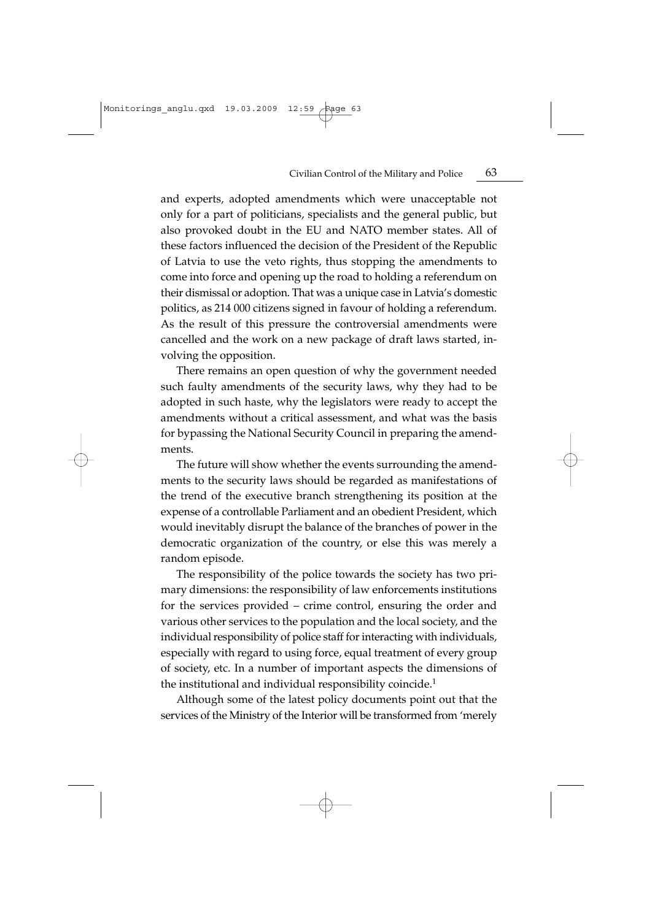#### Civilian Control of the Military and Police 63

and experts, adopted amendments which were unacceptable not only for a part of politicians, specialists and the general public, but also provoked doubt in the EU and NATO member states. All of these factors influenced the decision of the President of the Republic of Latvia to use the veto rights, thus stopping the amendments to come into force and opening up the road to holding a referendum on their dismissal or adoption. That was a unique case in Latvia's domestic politics, as 214 000 citizens signed in favour of holding a referendum. As the result of this pressure the controversial amendments were cancelled and the work on a new package of draft laws started, involving the opposition.

There remains an open question of why the government needed such faulty amendments of the security laws, why they had to be adopted in such haste, why the legislators were ready to accept the amendments without a critical assessment, and what was the basis for bypassing the National Security Council in preparing the amendments.

The future will show whether the events surrounding the amendments to the security laws should be regarded as manifestations of the trend of the executive branch strengthening its position at the expense of a controllable Parliament and an obedient President, which would inevitably disrupt the balance of the branches of power in the democratic organization of the country, or else this was merely a random episode.

The responsibility of the police towards the society has two primary dimensions: the responsibility of law enforcements institutions for the services provided – crime control, ensuring the order and various other services to the population and the local society, and the individual responsibility of police staff for interacting with individuals, especially with regard to using force, equal treatment of every group of society, etc. In a number of important aspects the dimensions of the institutional and individual responsibility coincide.<sup>1</sup>

Although some of the latest policy documents point out that the services of the Ministry of the Interior will be transformed from 'merely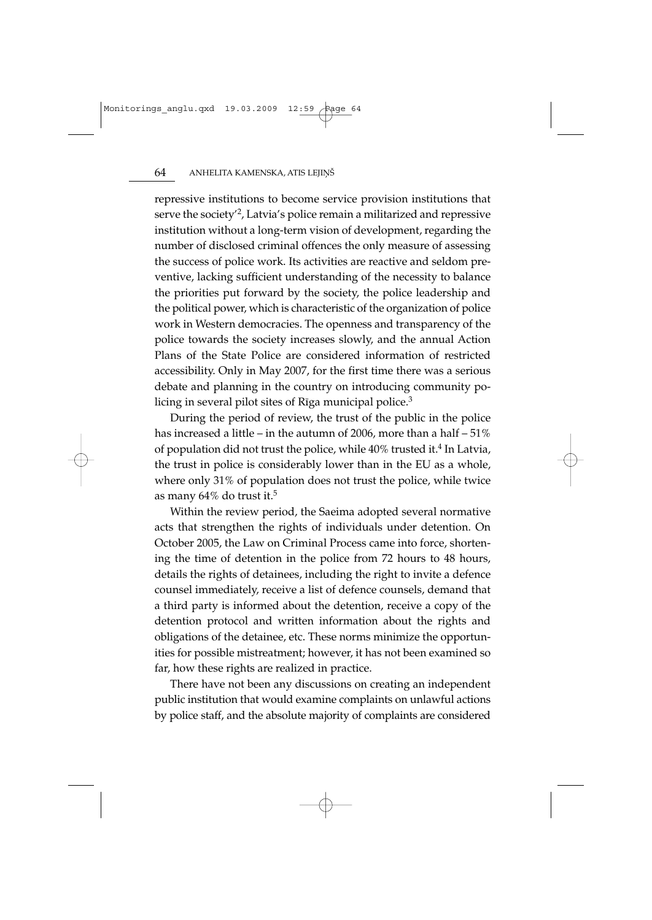#### 64 ANHELITA KAMENSKA, ATIS LEJIŅŠ

repressive institutions to become service provision institutions that serve the society<sup>2</sup>, Latvia's police remain a militarized and repressive institution without a long-term vision of development, regarding the number of disclosed criminal offences the only measure of assessing the success of police work. Its activities are reactive and seldom preventive, lacking sufficient understanding of the necessity to balance the priorities put forward by the society, the police leadership and the political power, which is characteristic of the organization of police work in Western democracies. The openness and transparency of the police towards the society increases slowly, and the annual Action Plans of the State Police are considered information of restricted accessibility. Only in May 2007, for the first time there was a serious debate and planning in the country on introducing community policing in several pilot sites of Rīga municipal police.<sup>3</sup>

During the period of review, the trust of the public in the police has increased a little – in the autumn of 2006, more than a half – 51% of population did not trust the police, while 40% trusted it.<sup>4</sup> In Latvia, the trust in police is considerably lower than in the EU as a whole, where only 31% of population does not trust the police, while twice as many  $64\%$  do trust it.<sup>5</sup>

Within the review period, the Saeima adopted several normative acts that strengthen the rights of individuals under detention. On October 2005, the Law on Criminal Process came into force, shortening the time of detention in the police from 72 hours to 48 hours, details the rights of detainees, including the right to invite a defence counsel immediately, receive a list of defence counsels, demand that a third party is informed about the detention, receive a copy of the detention protocol and written information about the rights and obligations of the detainee, etc. These norms minimize the opportunities for possible mistreatment; however, it has not been examined so far, how these rights are realized in practice.

There have not been any discussions on creating an independent public institution that would examine complaints on unlawful actions by police staff, and the absolute majority of complaints are considered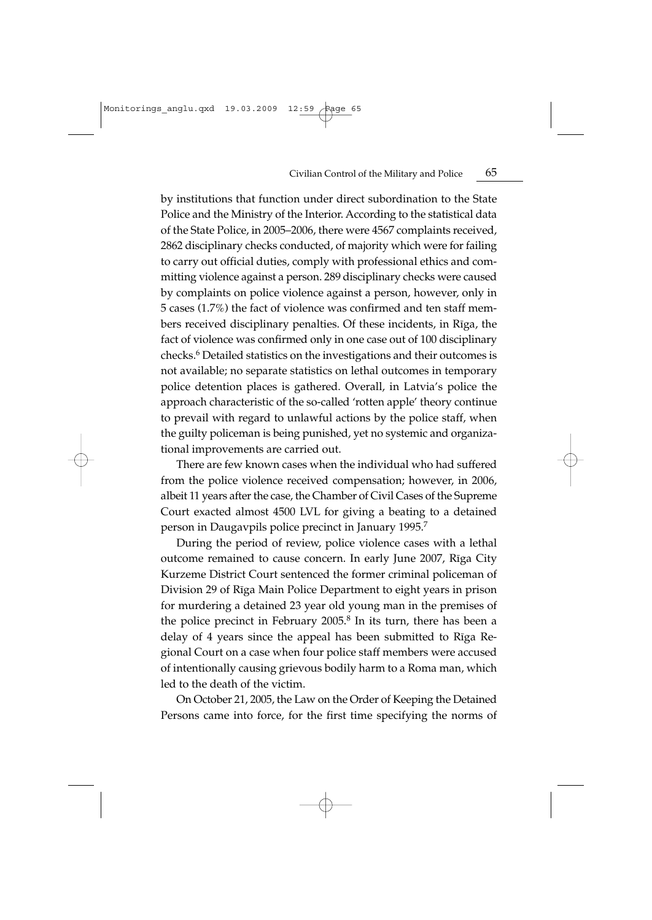#### Civilian Control of the Military and Police 65

by institutions that function under direct subordination to the State Police and the Ministry of the Interior. According to the statistical data of the State Police, in 2005–2006, there were 4567 complaints received, 2862 disciplinary checks conducted, of majority which were for failing to carry out official duties, comply with professional ethics and committing violence against a person. 289 disciplinary checks were caused by complaints on police violence against a person, however, only in 5 cases (1.7%) the fact of violence was confirmed and ten staff members received disciplinary penalties. Of these incidents, in Rîga, the fact of violence was confirmed only in one case out of 100 disciplinary checks.6 Detailed statistics on the investigations and their outcomes is not available; no separate statistics on lethal outcomes in temporary police detention places is gathered. Overall, in Latvia's police the approach characteristic of the so-called 'rotten apple' theory continue to prevail with regard to unlawful actions by the police staff, when the guilty policeman is being punished, yet no systemic and organizational improvements are carried out.

There are few known cases when the individual who had suffered from the police violence received compensation; however, in 2006, albeit 11 years after the case, the Chamber of Civil Cases of the Supreme Court exacted almost 4500 LVL for giving a beating to a detained person in Daugavpils police precinct in January 1995.7

During the period of review, police violence cases with a lethal outcome remained to cause concern. In early June 2007, Rîga City Kurzeme District Court sentenced the former criminal policeman of Division 29 of Rîga Main Police Department to eight years in prison for murdering a detained 23 year old young man in the premises of the police precinct in February  $2005<sup>8</sup>$  In its turn, there has been a delay of 4 years since the appeal has been submitted to Rîga Regional Court on a case when four police staff members were accused of intentionally causing grievous bodily harm to a Roma man, which led to the death of the victim.

On October 21, 2005, the Law on the Order of Keeping the Detained Persons came into force, for the first time specifying the norms of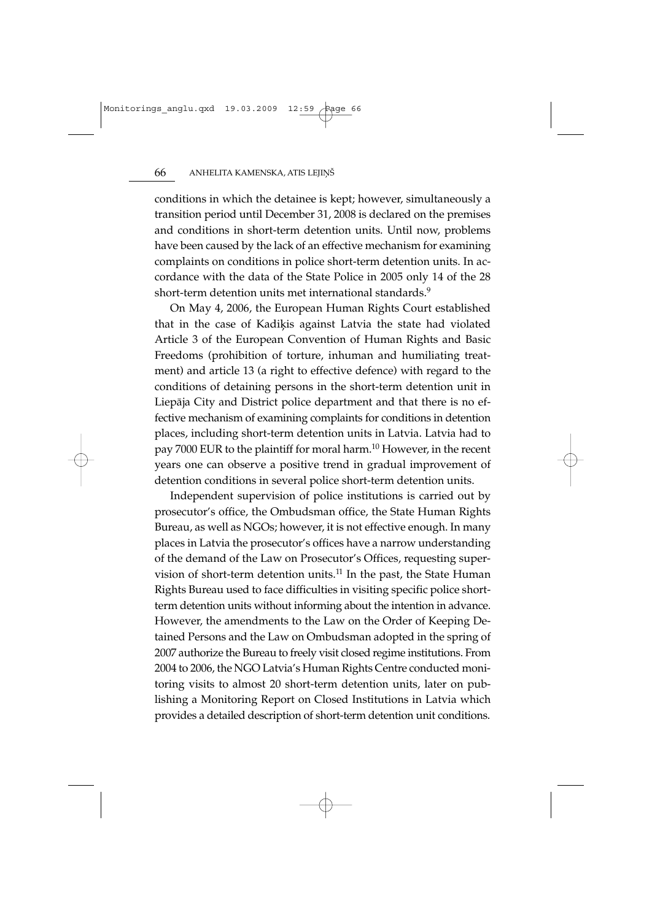#### 66 ANHELITA KAMENSKA, ATIS LEJIŅŠ

conditions in which the detainee is kept; however, simultaneously a transition period until December 31, 2008 is declared on the premises and conditions in short-term detention units. Until now, problems have been caused by the lack of an effective mechanism for examining complaints on conditions in police short-term detention units. In accordance with the data of the State Police in 2005 only 14 of the 28 short-term detention units met international standards.<sup>9</sup>

On May 4, 2006, the European Human Rights Court established that in the case of Kadiķis against Latvia the state had violated Article 3 of the European Convention of Human Rights and Basic Freedoms (prohibition of torture, inhuman and humiliating treatment) and article 13 (a right to effective defence) with regard to the conditions of detaining persons in the short-term detention unit in Liepâja City and District police department and that there is no effective mechanism of examining complaints for conditions in detention places, including short-term detention units in Latvia. Latvia had to pay 7000 EUR to the plaintiff for moral harm.<sup>10</sup> However, in the recent years one can observe a positive trend in gradual improvement of detention conditions in several police short-term detention units.

Independent supervision of police institutions is carried out by prosecutor's office, the Ombudsman office, the State Human Rights Bureau, as well as NGOs; however, it is not effective enough. In many places in Latvia the prosecutor's offices have a narrow understanding of the demand of the Law on Prosecutor's Offices, requesting supervision of short-term detention units.<sup>11</sup> In the past, the State Human Rights Bureau used to face difficulties in visiting specific police shortterm detention units without informing about the intention in advance. However, the amendments to the Law on the Order of Keeping Detained Persons and the Law on Ombudsman adopted in the spring of 2007 authorize the Bureau to freely visit closed regime institutions. From 2004 to 2006, the NGO Latvia's Human Rights Centre conducted monitoring visits to almost 20 short-term detention units, later on publishing a Monitoring Report on Closed Institutions in Latvia which provides a detailed description of short-term detention unit conditions.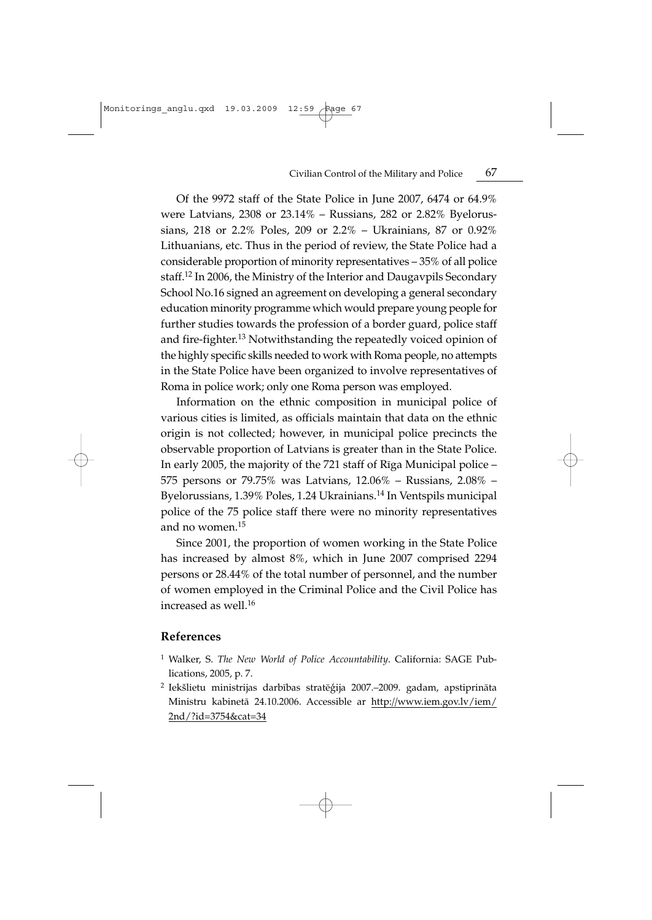#### Civilian Control of the Military and Police 67

Of the 9972 staff of the State Police in June 2007, 6474 or 64.9% were Latvians, 2308 or 23.14% – Russians, 282 or 2.82% Byelorussians, 218 or 2.2% Poles, 209 or 2.2% – Ukrainians, 87 or 0.92% Lithuanians, etc. Thus in the period of review, the State Police had a considerable proportion of minority representatives – 35% of all police staff.<sup>12</sup> In 2006, the Ministry of the Interior and Daugavpils Secondary School No.16 signed an agreement on developing a general secondary education minority programme which would prepare young people for further studies towards the profession of a border guard, police staff and fire-fighter.<sup>13</sup> Notwithstanding the repeatedly voiced opinion of the highly specific skills needed to work with Roma people, no attempts in the State Police have been organized to involve representatives of Roma in police work; only one Roma person was employed.

Information on the ethnic composition in municipal police of various cities is limited, as officials maintain that data on the ethnic origin is not collected; however, in municipal police precincts the observable proportion of Latvians is greater than in the State Police. In early 2005, the majority of the 721 staff of Rîga Municipal police – 575 persons or 79.75% was Latvians, 12.06% – Russians, 2.08% – Byelorussians, 1.39% Poles, 1.24 Ukrainians.14 In Ventspils municipal police of the 75 police staff there were no minority representatives and no women.15

Since 2001, the proportion of women working in the State Police has increased by almost 8%, which in June 2007 comprised 2294 persons or 28.44% of the total number of personnel, and the number of women employed in the Criminal Police and the Civil Police has increased as well.16

#### **References**

- <sup>1</sup> Walker, S. *The New World of Police Accountability*. California: SAGE Publications, 2005, p. 7.
- <sup>2</sup> Iekšlietu ministrijas darbības stratēģija 2007.-2009. gadam, apstiprināta Ministru kabinetâ 24.10.2006. Accessible ar http:*//*www.iem.gov.lv/iem/ 2nd/?id=3754&cat=34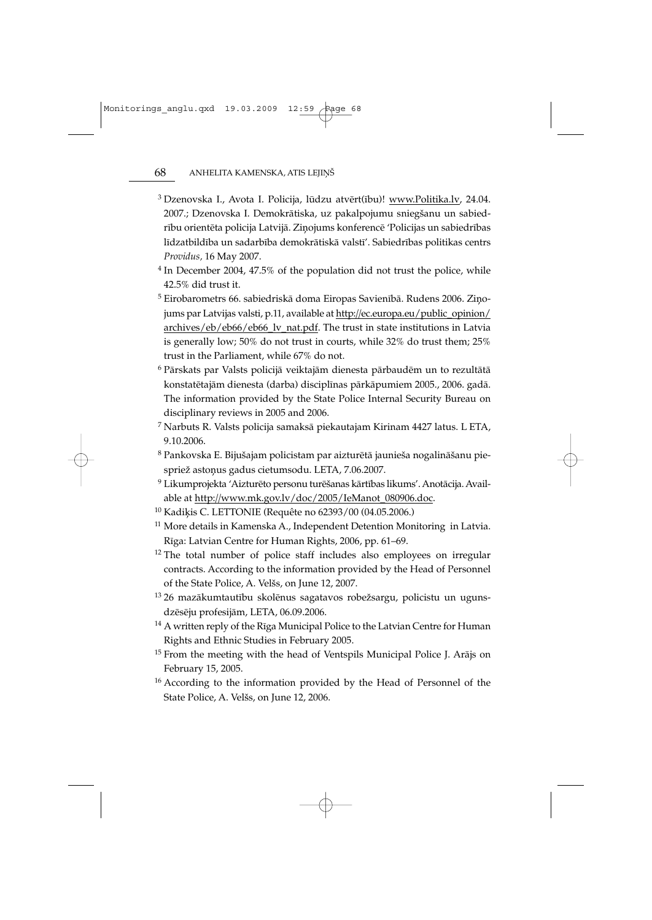#### 68 ANHELITA KAMENSKA, ATIS LEJIŅŠ

- <sup>3</sup> Dzenovska I., Avota I. Policija, lūdzu atvērt(ību)! www.Politika.lv, 24.04. 2007.; Dzenovska I. Demokrātiska, uz pakalpojumu sniegšanu un sabiedrību orientēta policija Latvijā. Ziņojums konferencē 'Policijas un sabiedrības lîdzatbildîba un sadarbîba demokrâtiskâ valstî'. Sabiedrîbas politikas centrs *Providus,* 16 May 2007.
- <sup>4</sup> In December 2004, 47.5% of the population did not trust the police, while 42.5% did trust it.
- <sup>5</sup> Eirobarometrs 66. sabiedriskā doma Eiropas Savienībā. Rudens 2006. Ziņojums par Latvijas valsti, p.11, available at http:*//*ec.europa.eu/public\_opinion/ archives/eb/eb66/eb66\_lv\_nat.pdf. The trust in state institutions in Latvia is generally low; 50% do not trust in courts, while 32% do trust them; 25% trust in the Parliament, while 67% do not.
- <sup>6</sup> Pârskats par Valsts policijâ veiktajâm dienesta pârbaudçm un to rezultâtâ konstatētajām dienesta (darba) disciplīnas pārkāpumiem 2005., 2006. gadā. The information provided by the State Police Internal Security Bureau on disciplinary reviews in 2005 and 2006.
- <sup>7</sup> Narbuts R. Valsts policija samaksâ piekautajam Kirinam 4427 latus. L ETA, 9.10.2006.
- 8 Pankovska E. Bijušajam policistam par aizturētā jaunieša nogalināšanu piespriež astoņus gadus cietumsodu. LETA, 7.06.2007.
- <sup>9</sup> Likumprojekta 'Aizturēto personu turēšanas kārtības likums'. Anotācija. Available at http:*//*www.mk.gov.lv/doc/2005/IeManot\_080906.doc.
- <sup>10</sup> Kadiķis C. LETTONIE (Requête no 62393/00 (04.05.2006.)
- <sup>11</sup> More details in Kamenska A., Independent Detention Monitoring in Latvia. Rîga: Latvian Centre for Human Rights, 2006, pp. 61–69.
- <sup>12</sup> The total number of police staff includes also employees on irregular contracts. According to the information provided by the Head of Personnel of the State Police, A. Velšs, on June 12, 2007.
- $13$  26 mazākumtautību skolēnus sagatavos robežsargu, policistu un ugunsdzēsēju profesijām, LETA, 06.09.2006.
- <sup>14</sup> A written reply of the Rīga Municipal Police to the Latvian Centre for Human Rights and Ethnic Studies in February 2005.
- <sup>15</sup> From the meeting with the head of Ventspils Municipal Police J. Arājs on February 15, 2005.
- <sup>16</sup> According to the information provided by the Head of Personnel of the State Police, A. Velšs, on June 12, 2006.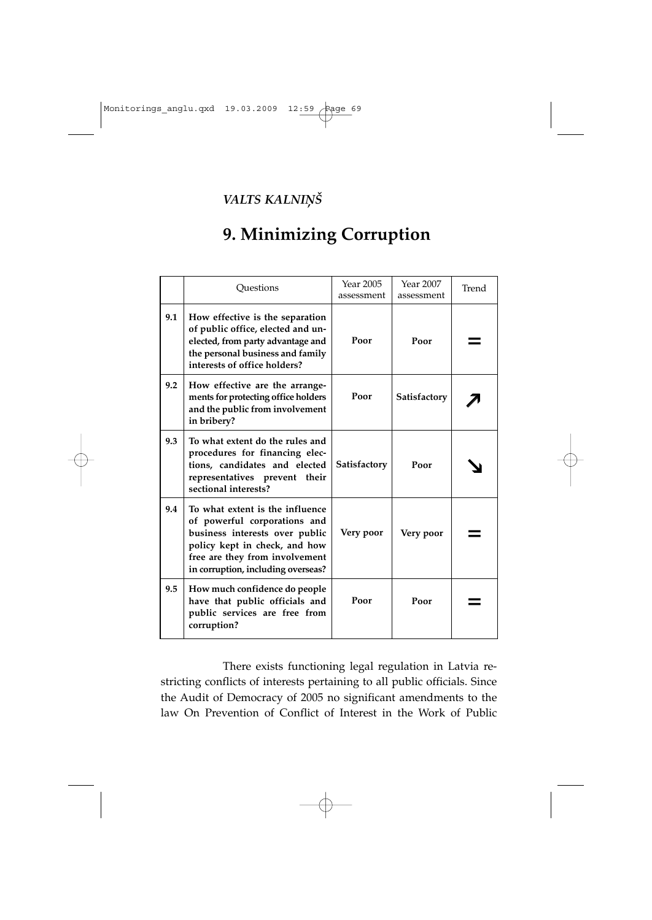Monitorings\_anglu.qxd  $19.03.2009$   $12:59$  Page 69

### **VALTS KALNIŅŠ**

# **9. Minimizing Corruption**

|     | Ouestions                                                                                                                                                                                                  | Year 2005<br>assessment | Year 2007<br>assessment | Trend |
|-----|------------------------------------------------------------------------------------------------------------------------------------------------------------------------------------------------------------|-------------------------|-------------------------|-------|
| 9.1 | How effective is the separation<br>of public office, elected and un-<br>elected, from party advantage and<br>the personal business and family<br>interests of office holders?                              | Poor                    | Poor                    |       |
| 9.2 | How effective are the arrange-<br>ments for protecting office holders<br>and the public from involvement<br>in bribery?                                                                                    | Poor                    | Satisfactory            |       |
| 9.3 | To what extent do the rules and<br>procedures for financing elec-<br>tions, candidates and elected<br>representatives prevent their<br>sectional interests?                                                | Satisfactory            | Poor                    |       |
| 9.4 | To what extent is the influence<br>of powerful corporations and<br>business interests over public<br>policy kept in check, and how<br>free are they from involvement<br>in corruption, including overseas? | Very poor               | Very poor               |       |
| 9.5 | How much confidence do people<br>have that public officials and<br>public services are free from<br>corruption?                                                                                            | Poor                    | Poor                    |       |

There exists functioning legal regulation in Latvia restricting conflicts of interests pertaining to all public officials. Since the Audit of Democracy of 2005 no significant amendments to the law On Prevention of Conflict of Interest in the Work of Public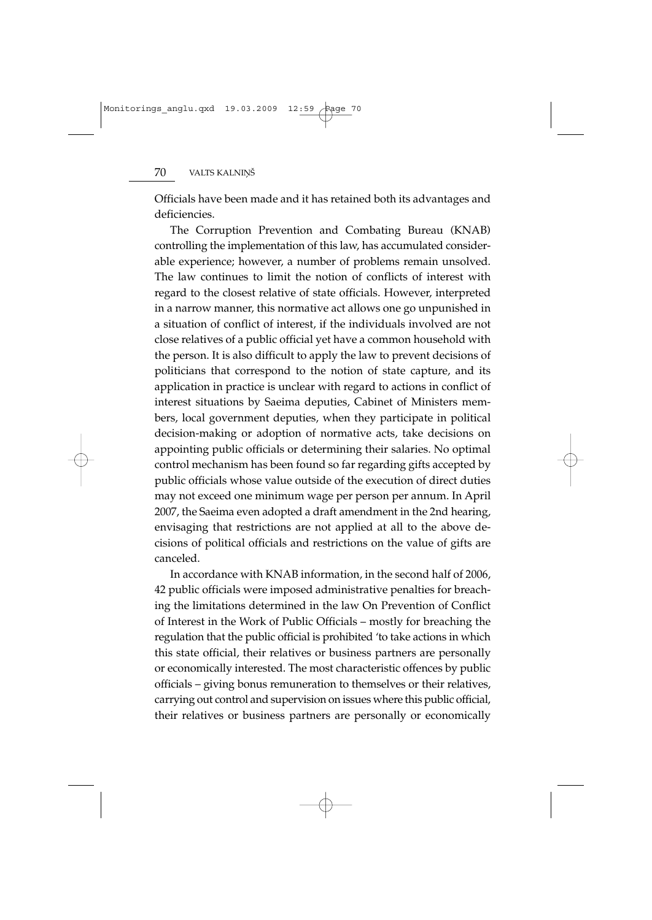#### 70 VALTS KALNIŅŠ

Officials have been made and it has retained both its advantages and deficiencies.

The Corruption Prevention and Combating Bureau (KNAB) controlling the implementation of this law, has accumulated considerable experience; however, a number of problems remain unsolved. The law continues to limit the notion of conflicts of interest with regard to the closest relative of state officials. However, interpreted in a narrow manner, this normative act allows one go unpunished in a situation of conflict of interest, if the individuals involved are not close relatives of a public official yet have a common household with the person. It is also difficult to apply the law to prevent decisions of politicians that correspond to the notion of state capture, and its application in practice is unclear with regard to actions in conflict of interest situations by Saeima deputies, Cabinet of Ministers members, local government deputies, when they participate in political decision-making or adoption of normative acts, take decisions on appointing public officials or determining their salaries. No optimal control mechanism has been found so far regarding gifts accepted by public officials whose value outside of the execution of direct duties may not exceed one minimum wage per person per annum. In April 2007, the Saeima even adopted a draft amendment in the 2nd hearing, envisaging that restrictions are not applied at all to the above decisions of political officials and restrictions on the value of gifts are canceled.

In accordance with KNAB information, in the second half of 2006, 42 public officials were imposed administrative penalties for breaching the limitations determined in the law On Prevention of Conflict of Interest in the Work of Public Officials – mostly for breaching the regulation that the public official is prohibited 'to take actions in which this state official, their relatives or business partners are personally or economically interested. The most characteristic offences by public officials – giving bonus remuneration to themselves or their relatives, carrying out control and supervision on issues where this public official, their relatives or business partners are personally or economically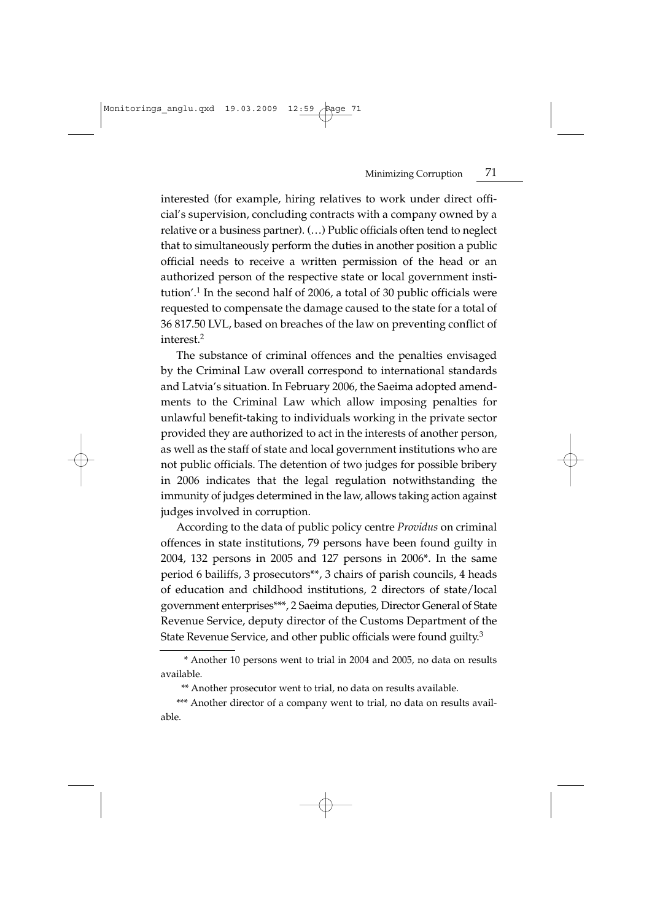Monitorings\_anglu.qxd 19.03.2009

#### Minimizing Corruption 71

interested (for example, hiring relatives to work under direct official's supervision, concluding contracts with a company owned by a relative or a business partner). (…) Public officials often tend to neglect that to simultaneously perform the duties in another position a public official needs to receive a written permission of the head or an authorized person of the respective state or local government institution'.<sup>1</sup> In the second half of 2006, a total of 30 public officials were requested to compensate the damage caused to the state for a total of 36 817.50 LVL, based on breaches of the law on preventing conflict of interest.2

The substance of criminal offences and the penalties envisaged by the Criminal Law overall correspond to international standards and Latvia's situation. In February 2006, the Saeima adopted amendments to the Criminal Law which allow imposing penalties for unlawful benefit-taking to individuals working in the private sector provided they are authorized to act in the interests of another person, as well as the staff of state and local government institutions who are not public officials. The detention of two judges for possible bribery in 2006 indicates that the legal regulation notwithstanding the immunity of judges determined in the law, allows taking action against judges involved in corruption.

According to the data of public policy centre *Providus* on criminal offences in state institutions, 79 persons have been found guilty in 2004, 132 persons in 2005 and 127 persons in 2006\*. In the same period 6 bailiffs, 3 prosecutors\*\*, 3 chairs of parish councils, 4 heads of education and childhood institutions, 2 directors of state/local government enterprises\*\*\*, 2 Saeima deputies, Director General of State Revenue Service, deputy director of the Customs Department of the State Revenue Service, and other public officials were found guilty.<sup>3</sup>

<sup>\*</sup> Another 10 persons went to trial in 2004 and 2005, no data on results available.

<sup>\*\*</sup> Another prosecutor went to trial, no data on results available.

<sup>\*\*\*</sup> Another director of a company went to trial, no data on results available.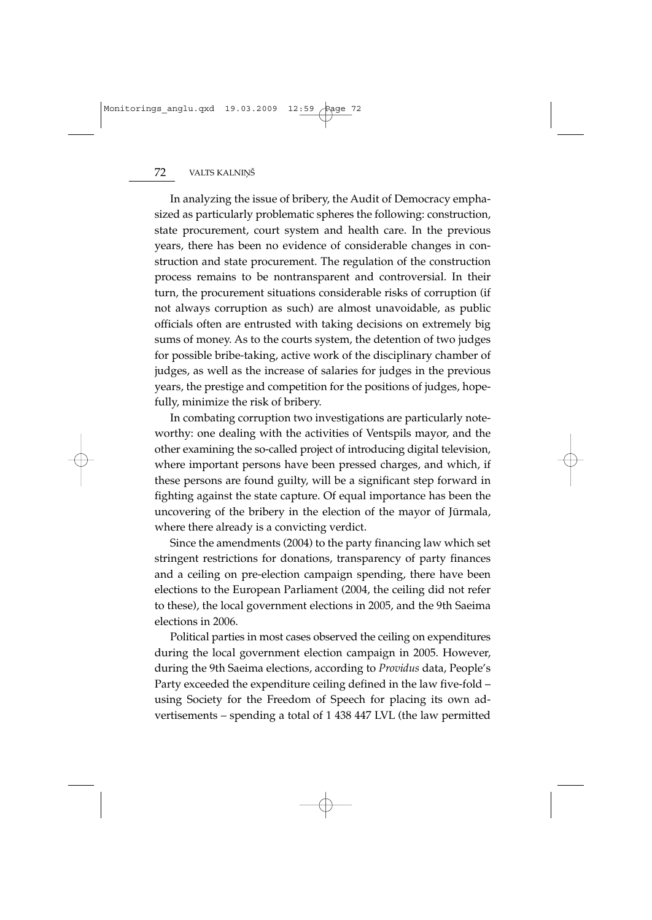#### 72 VALTS KALNIŅŠ

In analyzing the issue of bribery, the Audit of Democracy emphasized as particularly problematic spheres the following: construction, state procurement, court system and health care. In the previous years, there has been no evidence of considerable changes in construction and state procurement. The regulation of the construction process remains to be nontransparent and controversial. In their turn, the procurement situations considerable risks of corruption (if not always corruption as such) are almost unavoidable, as public officials often are entrusted with taking decisions on extremely big sums of money. As to the courts system, the detention of two judges for possible bribe-taking, active work of the disciplinary chamber of judges, as well as the increase of salaries for judges in the previous years, the prestige and competition for the positions of judges, hopefully, minimize the risk of bribery.

In combating corruption two investigations are particularly noteworthy: one dealing with the activities of Ventspils mayor, and the other examining the so-called project of introducing digital television, where important persons have been pressed charges, and which, if these persons are found guilty, will be a significant step forward in fighting against the state capture. Of equal importance has been the uncovering of the bribery in the election of the mayor of Jûrmala, where there already is a convicting verdict.

Since the amendments (2004) to the party financing law which set stringent restrictions for donations, transparency of party finances and a ceiling on pre-election campaign spending, there have been elections to the European Parliament (2004, the ceiling did not refer to these), the local government elections in 2005, and the 9th Saeima elections in 2006.

Political parties in most cases observed the ceiling on expenditures during the local government election campaign in 2005. However, during the 9th Saeima elections, according to *Providus* data, People's Party exceeded the expenditure ceiling defined in the law five-fold – using Society for the Freedom of Speech for placing its own advertisements – spending a total of 1 438 447 LVL (the law permitted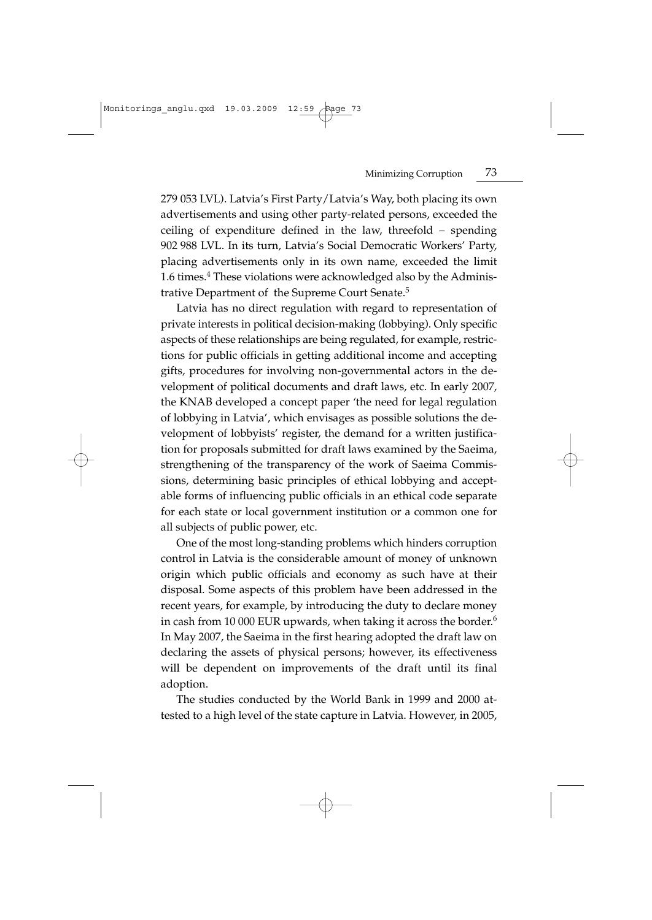# Minimizing Corruption 73

279 053 LVL). Latvia's First Party/Latvia's Way, both placing its own advertisements and using other party-related persons, exceeded the ceiling of expenditure defined in the law, threefold – spending 902 988 LVL. In its turn, Latvia's Social Democratic Workers' Party, placing advertisements only in its own name, exceeded the limit 1.6 times.<sup>4</sup> These violations were acknowledged also by the Administrative Department of the Supreme Court Senate.5

Latvia has no direct regulation with regard to representation of private interests in political decision-making (lobbying). Only specific aspects of these relationships are being regulated, for example, restrictions for public officials in getting additional income and accepting gifts, procedures for involving non-governmental actors in the development of political documents and draft laws, etc. In early 2007, the KNAB developed a concept paper 'the need for legal regulation of lobbying in Latvia', which envisages as possible solutions the development of lobbyists' register, the demand for a written justification for proposals submitted for draft laws examined by the Saeima, strengthening of the transparency of the work of Saeima Commissions, determining basic principles of ethical lobbying and acceptable forms of influencing public officials in an ethical code separate for each state or local government institution or a common one for all subjects of public power, etc.

One of the most long-standing problems which hinders corruption control in Latvia is the considerable amount of money of unknown origin which public officials and economy as such have at their disposal. Some aspects of this problem have been addressed in the recent years, for example, by introducing the duty to declare money in cash from 10 000 EUR upwards, when taking it across the border.<sup>6</sup> In May 2007, the Saeima in the first hearing adopted the draft law on declaring the assets of physical persons; however, its effectiveness will be dependent on improvements of the draft until its final adoption.

The studies conducted by the World Bank in 1999 and 2000 attested to a high level of the state capture in Latvia. However, in 2005,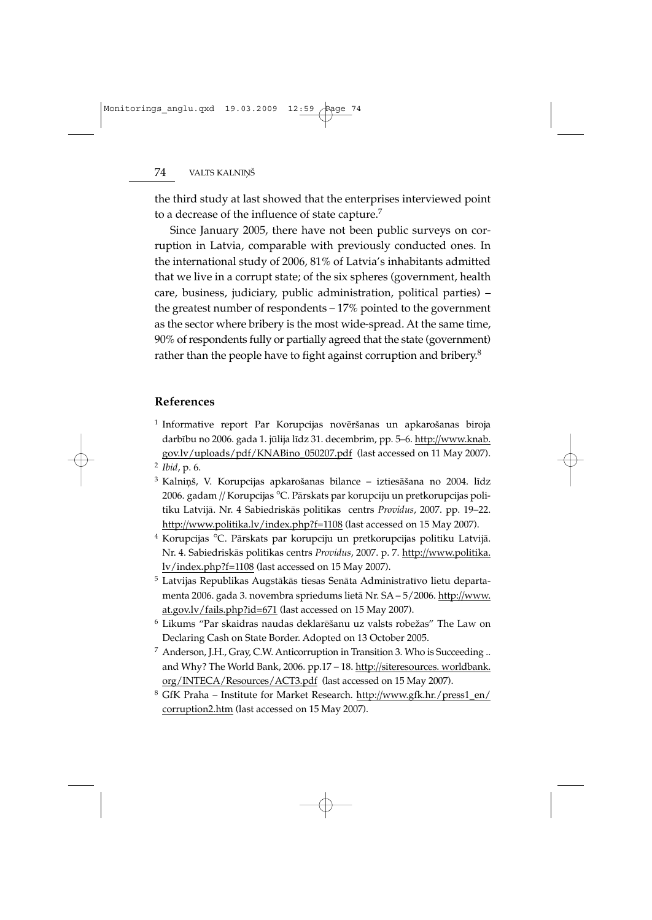### 74 VALTS KALNIŅŠ

the third study at last showed that the enterprises interviewed point to a decrease of the influence of state capture.<sup>7</sup>

Since January 2005, there have not been public surveys on corruption in Latvia, comparable with previously conducted ones. In the international study of 2006, 81% of Latvia's inhabitants admitted that we live in a corrupt state; of the six spheres (government, health care, business, judiciary, public administration, political parties) – the greatest number of respondents – 17% pointed to the government as the sector where bribery is the most wide-spread. At the same time, 90% of respondents fully or partially agreed that the state (government) rather than the people have to fight against corruption and bribery.<sup>8</sup>

## **References**

- <sup>1</sup> Informative report Par Korupcijas novēršanas un apkarošanas biroja darbîbu no 2006. gada 1. jûlija lîdz 31. decembrim, pp. 5–6. http:*//*www.knab. gov.lv/uploads/pdf/KNABino\_050207.pdf (last accessed on 11 May 2007).
- <sup>2</sup> *Ibid*, p. 6.
- $3$  Kalniņš, V. Korupcijas apkarošanas bilance iztiesāšana no 2004. līdz 2006. gadam *//* Korupcijas °C. Pârskats par korupciju un pretkorupcijas politiku Latvijâ. Nr. 4 Sabiedriskâs politikas centrs *Providus*, 2007. pp. 19–22. http://www.politika.lv/index.php?f=1108 (last accessed on 15 May 2007).
- <sup>4</sup> Korupcijas °C. Pârskats par korupciju un pretkorupcijas politiku Latvijâ. Nr. 4. Sabiedriskâs politikas centrs *Providus*, 2007. p. 7. http:*//*www.politika. lv/index.php?f=1108 (last accessed on 15 May 2007).
- <sup>5</sup> Latvijas Republikas Augstâkâs tiesas Senâta Administratîvo lietu departamenta 2006. gada 3. novembra spriedums lietâ Nr. SA – 5/2006. http:*//*www. at.gov.lv/fails.php?id=671 (last accessed on 15 May 2007).
- $6$  Likums "Par skaidras naudas deklarēšanu uz valsts robežas" The Law on Declaring Cash on State Border. Adopted on 13 October 2005.
- <sup>7</sup> Anderson, J.H., Gray, C.W. Anticorruption in Transition 3. Who is Succeeding .. and Why? The World Bank, 2006. pp.17 – 18. http:*//*siteresources. worldbank. org/INTECA/Resources/ACT3.pdf (last accessed on 15 May 2007).
- <sup>8</sup> GfK Praha Institute for Market Research. http:*//*www.gfk.hr./press1\_en/ corruption2.htm (last accessed on 15 May 2007).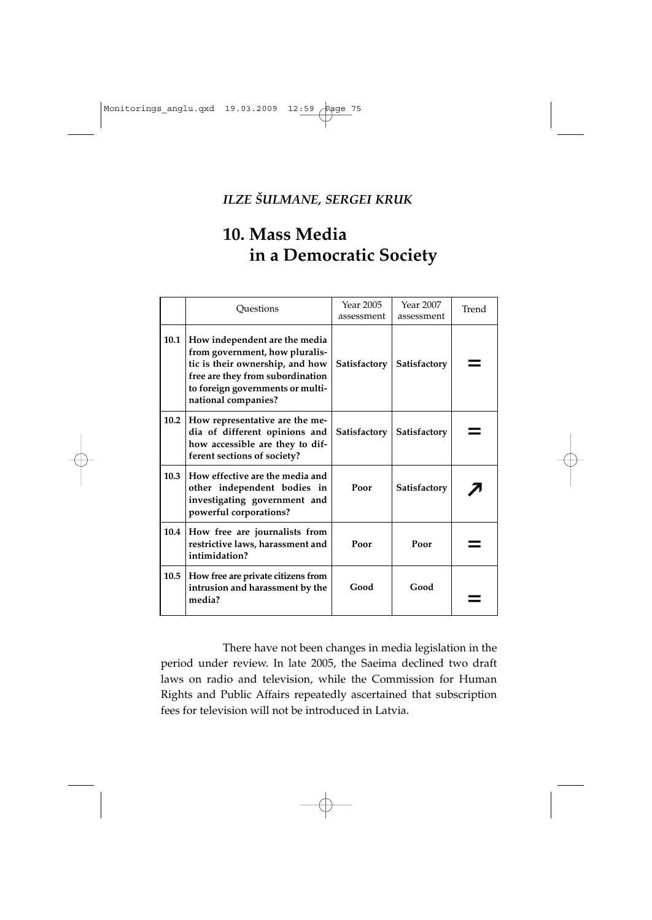Monitorings\_anglu.qxd 19.03.2009 12:59 Page 75

# *ILZE ÐULMANE, SERGEI KRUK*

# **10. Mass Media in a Democratic Society**

|      | Ouestions                                                                                                                                                                                         | Year 2005<br>assessment | Year 2007<br>assessment | Trend |
|------|---------------------------------------------------------------------------------------------------------------------------------------------------------------------------------------------------|-------------------------|-------------------------|-------|
| 10.1 | How independent are the media<br>from government, how pluralis-<br>tic is their ownership, and how<br>free are they from subordination<br>to foreign governments or multi-<br>national companies? | <b>Satisfactory</b>     | <b>Satisfactory</b>     |       |
| 10.2 | How representative are the me-<br>dia of different opinions and<br>how accessible are they to dif-<br>ferent sections of society?                                                                 | Satisfactory            | Satisfactory            |       |
| 10.3 | How effective are the media and<br>other independent bodies in<br>investigating government and<br>powerful corporations?                                                                          | Poor                    | Satisfactory            |       |
| 10.4 | How free are journalists from<br>restrictive laws, harassment and<br>intimidation?                                                                                                                | Poor                    | Poor                    |       |
| 10.5 | How free are private citizens from<br>intrusion and harassment by the<br>media?                                                                                                                   | Good                    | Good                    |       |

There have not been changes in media legislation in the period under review. In late 2005, the Saeima declined two draft laws on radio and television, while the Commission for Human Rights and Public Affairs repeatedly ascertained that subscription fees for television will not be introduced in Latvia.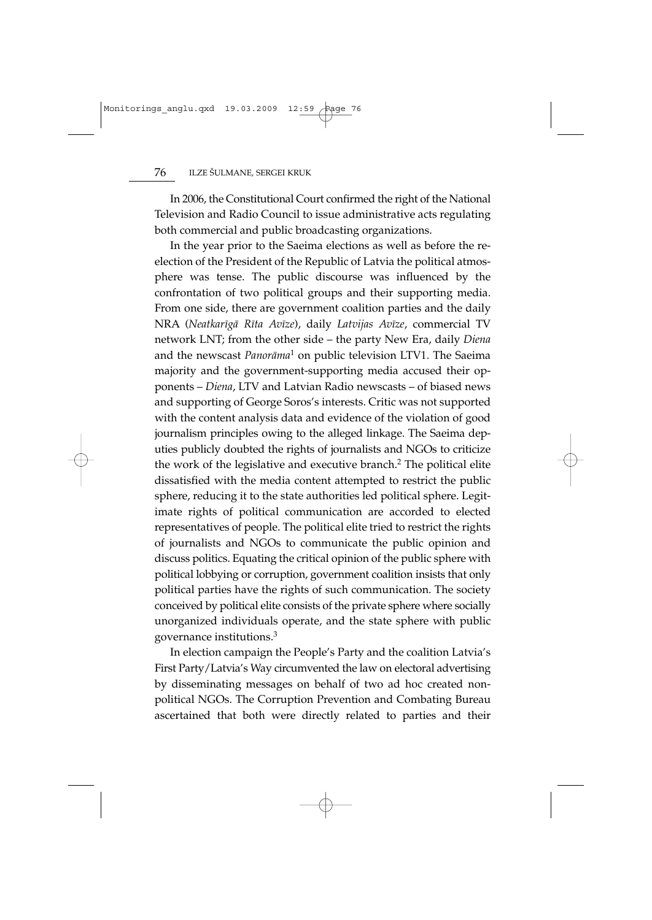#### 76 ILZE ÐULMANE, SERGEI KRUK

In 2006, the Constitutional Court confirmed the right of the National Television and Radio Council to issue administrative acts regulating both commercial and public broadcasting organizations.

In the year prior to the Saeima elections as well as before the reelection of the President of the Republic of Latvia the political atmosphere was tense. The public discourse was influenced by the confrontation of two political groups and their supporting media. From one side, there are government coalition parties and the daily NRA (*Neatkarîgâ Rîta Avîze*), daily *Latvijas Avîze*, commercial TV network LNT; from the other side – the party New Era, daily *Diena* and the newscast *Panorâma*<sup>1</sup> on public television LTV1*.* The Saeima majority and the government-supporting media accused their opponents – *Diena*, LTV and Latvian Radio newscasts – of biased news and supporting of George Soros's interests. Critic was not supported with the content analysis data and evidence of the violation of good journalism principles owing to the alleged linkage. The Saeima deputies publicly doubted the rights of journalists and NGOs to criticize the work of the legislative and executive branch.<sup>2</sup> The political elite dissatisfied with the media content attempted to restrict the public sphere, reducing it to the state authorities led political sphere. Legitimate rights of political communication are accorded to elected representatives of people. The political elite tried to restrict the rights of journalists and NGOs to communicate the public opinion and discuss politics. Equating the critical opinion of the public sphere with political lobbying or corruption, government coalition insists that only political parties have the rights of such communication. The society conceived by political elite consists of the private sphere where socially unorganized individuals operate, and the state sphere with public governance institutions.<sup>3</sup>

In election campaign the People's Party and the coalition Latvia's First Party/Latvia's Way circumvented the law on electoral advertising by disseminating messages on behalf of two ad hoc created nonpolitical NGOs. The Corruption Prevention and Combating Bureau ascertained that both were directly related to parties and their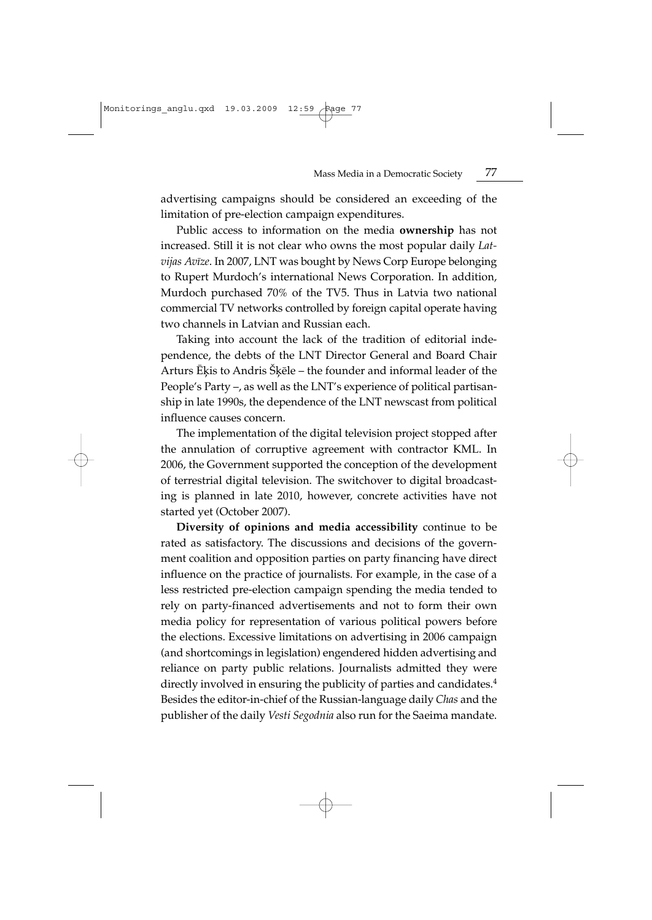### Mass Media in a Democratic Society 77

advertising campaigns should be considered an exceeding of the limitation of pre-election campaign expenditures.

Public access to information on the media **ownership** has not increased. Still it is not clear who owns the most popular daily *Latvijas Avîze*. In 2007, LNT was bought by News Corp Europe belonging to Rupert Murdoch's international News Corporation. In addition, Murdoch purchased 70% of the TV5. Thus in Latvia two national commercial TV networks controlled by foreign capital operate having two channels in Latvian and Russian each.

Taking into account the lack of the tradition of editorial independence, the debts of the LNT Director General and Board Chair Arturs Ēķis to Andris Šķēle – the founder and informal leader of the People's Party –, as well as the LNT's experience of political partisanship in late 1990s, the dependence of the LNT newscast from political influence causes concern.

The implementation of the digital television project stopped after the annulation of corruptive agreement with contractor KML. In 2006, the Government supported the conception of the development of terrestrial digital television. The switchover to digital broadcasting is planned in late 2010, however, concrete activities have not started yet (October 2007).

**Diversity of opinions and media accessibility** continue to be rated as satisfactory. The discussions and decisions of the government coalition and opposition parties on party financing have direct influence on the practice of journalists. For example, in the case of a less restricted pre-election campaign spending the media tended to rely on party-financed advertisements and not to form their own media policy for representation of various political powers before the elections. Excessive limitations on advertising in 2006 campaign (and shortcomings in legislation) engendered hidden advertising and reliance on party public relations. Journalists admitted they were directly involved in ensuring the publicity of parties and candidates.<sup>4</sup> Besides the editor-in-chief of the Russian-language daily *Chas* and the publisher of the daily *Vesti Segodnia* also run for the Saeima mandate.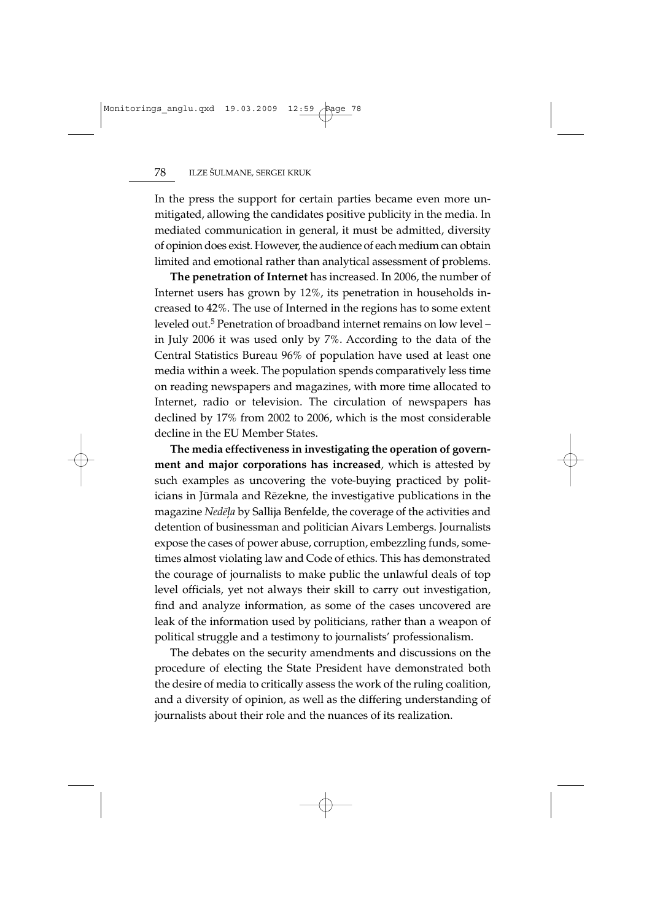#### 78 ILZE ÐULMANE, SERGEI KRUK

In the press the support for certain parties became even more unmitigated, allowing the candidates positive publicity in the media. In mediated communication in general, it must be admitted, diversity of opinion does exist. However, the audience of each medium can obtain limited and emotional rather than analytical assessment of problems.

**The penetration of Internet** has increased. In 2006, the number of Internet users has grown by 12%, its penetration in households increased to 42%. The use of Interned in the regions has to some extent leveled out.5 Penetration of broadband internet remains on low level – in July 2006 it was used only by 7%. According to the data of the Central Statistics Bureau 96% of population have used at least one media within a week. The population spends comparatively less time on reading newspapers and magazines, with more time allocated to Internet, radio or television. The circulation of newspapers has declined by 17% from 2002 to 2006, which is the most considerable decline in the EU Member States.

**The media effectiveness in investigating the operation of government and major corporations has increased**, which is attested by such examples as uncovering the vote-buying practiced by politicians in Jûrmala and Rçzekne, the investigative publications in the magazine *Nedçïa* by Sallija Benfelde, the coverage of the activities and detention of businessman and politician Aivars Lembergs. Journalists expose the cases of power abuse, corruption, embezzling funds, sometimes almost violating law and Code of ethics. This has demonstrated the courage of journalists to make public the unlawful deals of top level officials, yet not always their skill to carry out investigation, find and analyze information, as some of the cases uncovered are leak of the information used by politicians, rather than a weapon of political struggle and a testimony to journalists' professionalism.

The debates on the security amendments and discussions on the procedure of electing the State President have demonstrated both the desire of media to critically assess the work of the ruling coalition, and a diversity of opinion, as well as the differing understanding of journalists about their role and the nuances of its realization.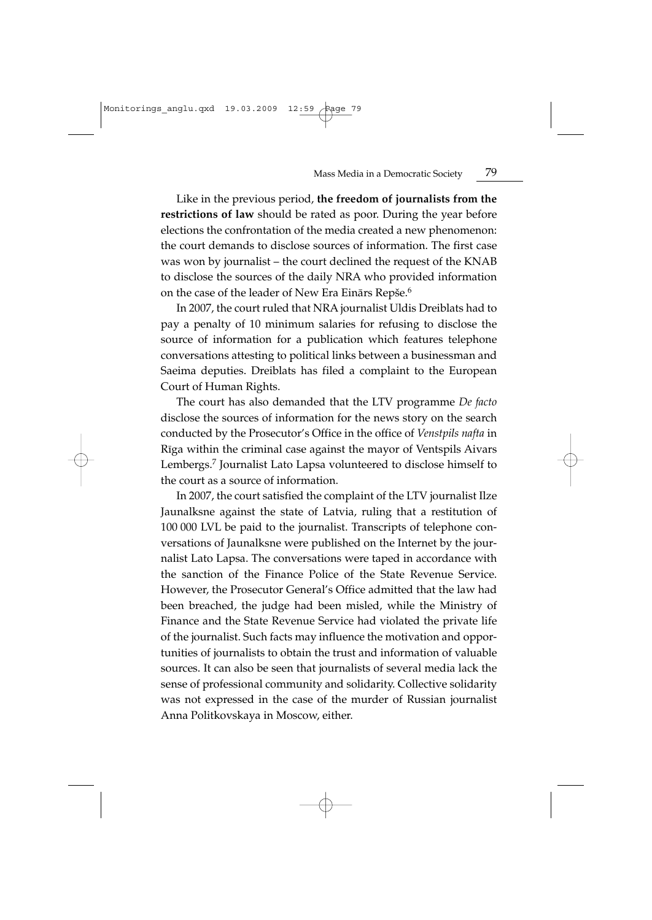# Mass Media in a Democratic Society 79

Like in the previous period, **the freedom of journalists from the restrictions of law** should be rated as poor. During the year before elections the confrontation of the media created a new phenomenon: the court demands to disclose sources of information. The first case was won by journalist – the court declined the request of the KNAB to disclose the sources of the daily NRA who provided information on the case of the leader of New Era Einârs Repðe.6

In 2007, the court ruled that NRA journalist Uldis Dreiblats had to pay a penalty of 10 minimum salaries for refusing to disclose the source of information for a publication which features telephone conversations attesting to political links between a businessman and Saeima deputies. Dreiblats has filed a complaint to the European Court of Human Rights.

The court has also demanded that the LTV programme *De facto* disclose the sources of information for the news story on the search conducted by the Prosecutor's Office in the office of *Venstpils nafta* in Rîga within the criminal case against the mayor of Ventspils Aivars Lembergs.<sup>7</sup> Journalist Lato Lapsa volunteered to disclose himself to the court as a source of information.

In 2007, the court satisfied the complaint of the LTV journalist Ilze Jaunalksne against the state of Latvia, ruling that a restitution of 100 000 LVL be paid to the journalist. Transcripts of telephone conversations of Jaunalksne were published on the Internet by the journalist Lato Lapsa. The conversations were taped in accordance with the sanction of the Finance Police of the State Revenue Service. However, the Prosecutor General's Office admitted that the law had been breached, the judge had been misled, while the Ministry of Finance and the State Revenue Service had violated the private life of the journalist. Such facts may influence the motivation and opportunities of journalists to obtain the trust and information of valuable sources. It can also be seen that journalists of several media lack the sense of professional community and solidarity. Collective solidarity was not expressed in the case of the murder of Russian journalist Anna Politkovskaya in Moscow, either.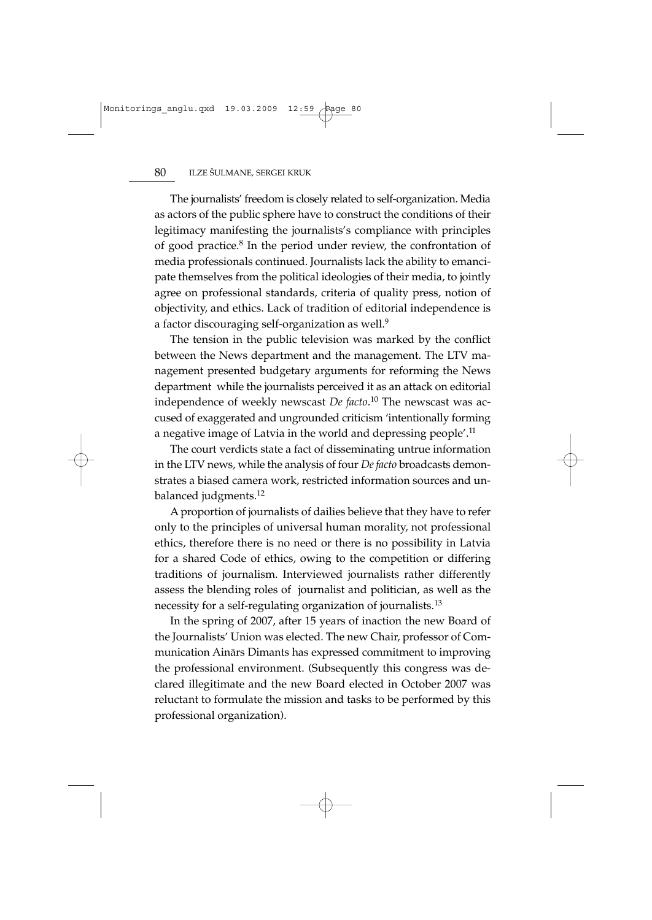#### 80 ILZE ÐULMANE, SERGEI KRUK

The journalists' freedom is closely related to self-organization. Media as actors of the public sphere have to construct the conditions of their legitimacy manifesting the journalists's compliance with principles of good practice.8 In the period under review, the confrontation of media professionals continued. Journalists lack the ability to emancipate themselves from the political ideologies of their media, to jointly agree on professional standards, criteria of quality press, notion of objectivity, and ethics. Lack of tradition of editorial independence is a factor discouraging self-organization as well.<sup>9</sup>

The tension in the public television was marked by the conflict between the News department and the management. The LTV management presented budgetary arguments for reforming the News department while the journalists perceived it as an attack on editorial independence of weekly newscast *De facto*. <sup>10</sup> The newscast was accused of exaggerated and ungrounded criticism 'intentionally forming a negative image of Latvia in the world and depressing people'.11

The court verdicts state a fact of disseminating untrue information in the LTV news, while the analysis of four *De facto* broadcasts demonstrates a biased camera work, restricted information sources and unbalanced judgments.<sup>12</sup>

A proportion of journalists of dailies believe that they have to refer only to the principles of universal human morality, not professional ethics, therefore there is no need or there is no possibility in Latvia for a shared Code of ethics, owing to the competition or differing traditions of journalism. Interviewed journalists rather differently assess the blending roles of journalist and politician, as well as the necessity for a self-regulating organization of journalists.<sup>13</sup>

In the spring of 2007, after 15 years of inaction the new Board of the Journalists' Union was elected. The new Chair, professor of Communication Ainârs Dimants has expressed commitment to improving the professional environment. (Subsequently this congress was declared illegitimate and the new Board elected in October 2007 was reluctant to formulate the mission and tasks to be performed by this professional organization).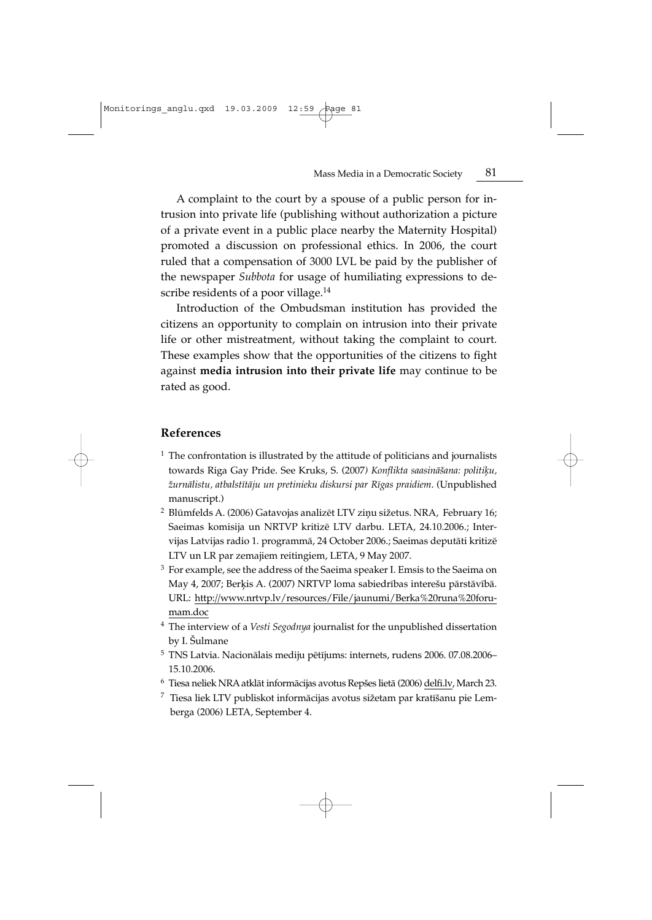Monitorings\_anglu.qxd 19.03.2009

### Mass Media in a Democratic Society 81

A complaint to the court by a spouse of a public person for intrusion into private life (publishing without authorization a picture of a private event in a public place nearby the Maternity Hospital) promoted a discussion on professional ethics. In 2006, the court ruled that a compensation of 3000 LVL be paid by the publisher of the newspaper *Subbota* for usage of humiliating expressions to describe residents of a poor village.<sup>14</sup>

Introduction of the Ombudsman institution has provided the citizens an opportunity to complain on intrusion into their private life or other mistreatment, without taking the complaint to court. These examples show that the opportunities of the citizens to fight against **media intrusion into their private life** may continue to be rated as good.

## **References**

- $1$  The confrontation is illustrated by the attitude of politicians and journalists towards Riga Gay Pride. See Kruks, S. (2007*) Konflikta saasinâðana: politiíu, þurnâlistu, atbalstîtâju un pretinieku diskursi par Rîgas praidiem*. (Unpublished manuscript.)
- <sup>2</sup> Blūmfelds A. (2006) Gatavojas analizēt LTV ziņu sižetus. NRA, February 16; Saeimas komisija un NRTVP kritizç LTV darbu. LETA, 24.10.2006.; Intervijas Latvijas radio 1. programmâ, 24 October 2006.; Saeimas deputâti kritizç LTV un LR par zemajiem reitingiem, LETA, 9 May 2007.
- $3$  For example, see the address of the Saeima speaker I. Emsis to the Saeima on May 4, 2007; Berķis A. (2007) NRTVP loma sabiedrības interešu pārstāvībā. URL: http:*//*www.nrtvp.lv/resources/File/jaunumi/Berka%20runa%20forumam.doc
- <sup>4</sup> The interview of a *Vesti Segodnya* journalist for the unpublished dissertation by I. Ðulmane
- <sup>5</sup> TNS Latvia. Nacionâlais mediju pçtîjums: internets, rudens 2006. 07.08.2006– 15.10.2006.
- <sup>6</sup> Tiesa neliek NRAatklât informâcijas avotus Repðes lietâ (2006) delfi.lv, March 23.
- <sup>7</sup> Tiesa liek LTV publiskot informācijas avotus sižetam par kratīšanu pie Lemberga (2006) LETA, September 4.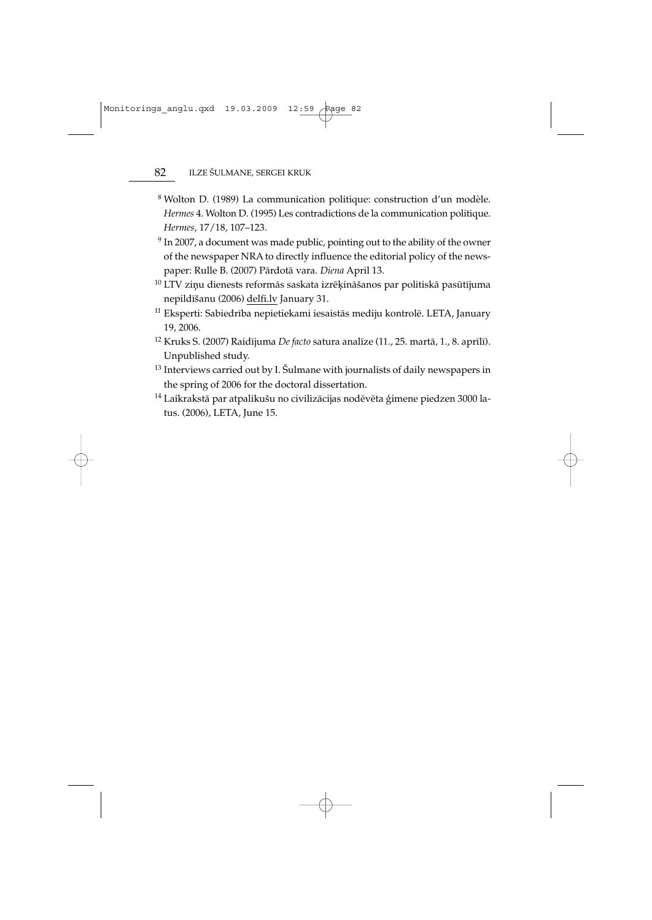# 82 ILZE ÐULMANE, SERGEI KRUK

- <sup>8</sup> Wolton D. (1989) La communication politique: construction d'un modèle. *Hermes* 4. Wolton D. (1995) Les contradictions de la communication politique. *Hermes*, 17/18, 107–123.
- <sup>9</sup> In 2007, a document was made public, pointing out to the ability of the owner of the newspaper NRA to directly influence the editorial policy of the newspaper: Rulle B. (2007) Pârdotâ vara. *Diena* April 13.
- $^{10}\, \rm LTV$ ziņu dienests reformās saskata izrēķināšanos par politiskā pasūtījuma nepildîðanu (2006) delfi.lv January 31.
- <sup>11</sup> Eksperti: Sabiedrîba nepietiekami iesaistâs mediju kontrolç. LETA, January 19, 2006.
- <sup>12</sup> Kruks S. (2007) Raidîjuma *De facto* satura analîze (11., 25. martâ, 1., 8. aprîlî). Unpublished study.
- <sup>13</sup> Interviews carried out by I. Šulmane with journalists of daily newspapers in the spring of 2006 for the doctoral dissertation.
- <sup>14</sup> Laikrakstā par atpalikušu no civilizācijas nodēvēta ģimene piedzen 3000 latus. (2006), LETA, June 15.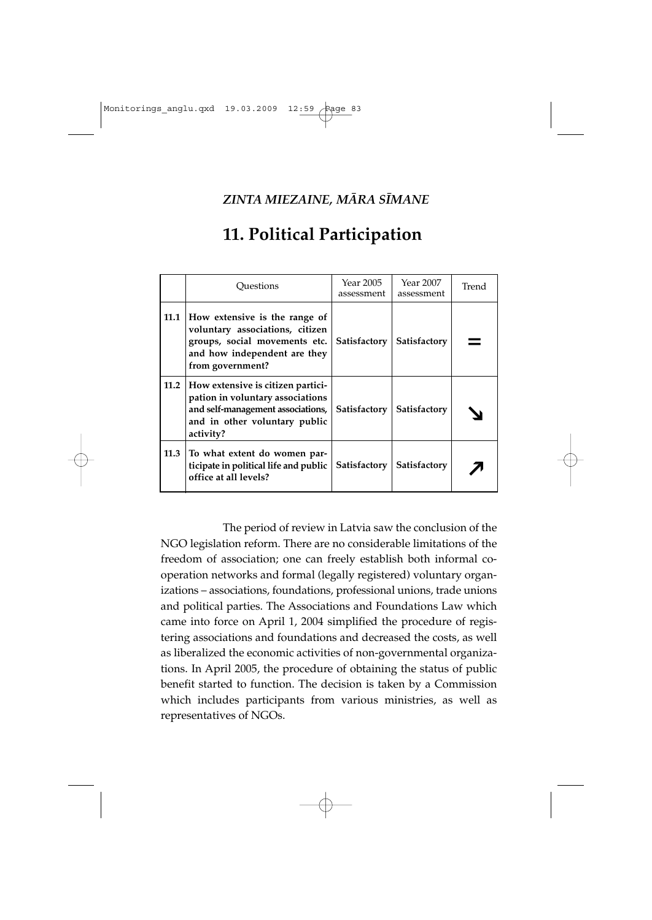Monitorings\_anglu.qxd 19.03.2009 12:59 Page 83

# *ZINTA MIEZAINE, MÂRA SÎMANE*

# **11. Political Participation**

|      | Ouestions                                                                                                                                                | Year 2005<br>assessment | Year 2007<br>assessment | Trend |
|------|----------------------------------------------------------------------------------------------------------------------------------------------------------|-------------------------|-------------------------|-------|
| 11.1 | How extensive is the range of<br>voluntary associations, citizen<br>groups, social movements etc.<br>and how independent are they<br>from government?    | Satisfactory            | <b>Satisfactory</b>     |       |
| 11.2 | How extensive is citizen partici-<br>pation in voluntary associations<br>and self-management associations,<br>and in other voluntary public<br>activity? | <b>Satisfactory</b>     | <b>Satisfactory</b>     |       |
| 11.3 | To what extent do women par-<br>ticipate in political life and public<br>office at all levels?                                                           | Satisfactory            | Satisfactory            |       |

The period of review in Latvia saw the conclusion of the NGO legislation reform. There are no considerable limitations of the freedom of association; one can freely establish both informal cooperation networks and formal (legally registered) voluntary organizations – associations, foundations, professional unions, trade unions and political parties. The Associations and Foundations Law which came into force on April 1, 2004 simplified the procedure of registering associations and foundations and decreased the costs, as well as liberalized the economic activities of non-governmental organizations. In April 2005, the procedure of obtaining the status of public benefit started to function. The decision is taken by a Commission which includes participants from various ministries, as well as representatives of NGOs.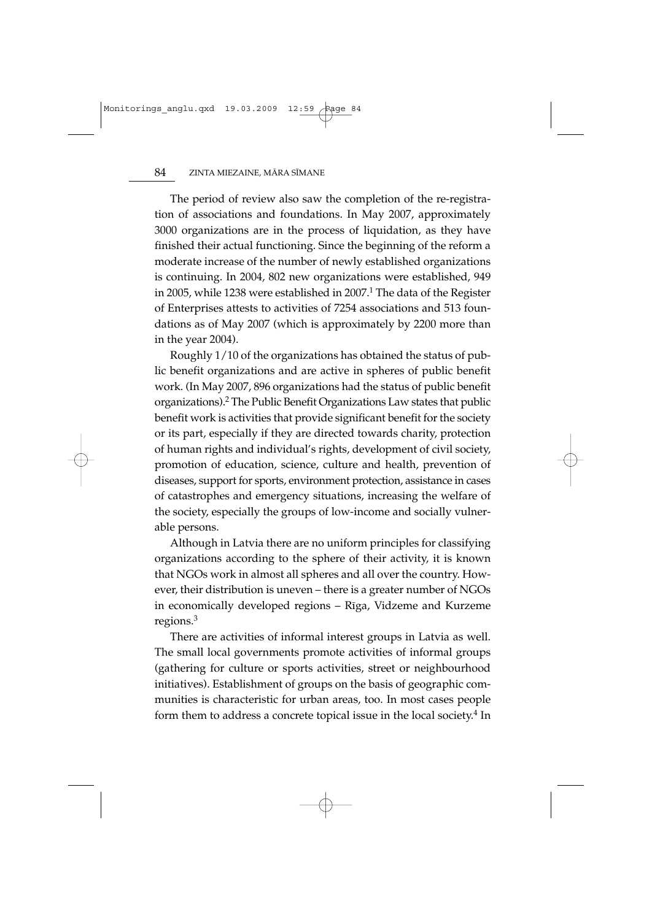#### 84 ZINTA MIEZAINE, MÂRA SÎMANE

The period of review also saw the completion of the re-registration of associations and foundations. In May 2007, approximately 3000 organizations are in the process of liquidation, as they have finished their actual functioning. Since the beginning of the reform a moderate increase of the number of newly established organizations is continuing. In 2004, 802 new organizations were established, 949 in 2005, while 1238 were established in 2007.<sup>1</sup> The data of the Register of Enterprises attests to activities of 7254 associations and 513 foundations as of May 2007 (which is approximately by 2200 more than in the year 2004).

Roughly 1/10 of the organizations has obtained the status of public benefit organizations and are active in spheres of public benefit work. (In May 2007, 896 organizations had the status of public benefit organizations).2 The Public Benefit Organizations Law states that public benefit work is activities that provide significant benefit for the society or its part, especially if they are directed towards charity, protection of human rights and individual's rights, development of civil society, promotion of education, science, culture and health, prevention of diseases, support for sports, environment protection, assistance in cases of catastrophes and emergency situations, increasing the welfare of the society, especially the groups of low-income and socially vulnerable persons.

Although in Latvia there are no uniform principles for classifying organizations according to the sphere of their activity, it is known that NGOs work in almost all spheres and all over the country. However, their distribution is uneven – there is a greater number of NGOs in economically developed regions – Rîga, Vidzeme and Kurzeme regions.<sup>3</sup>

There are activities of informal interest groups in Latvia as well. The small local governments promote activities of informal groups (gathering for culture or sports activities, street or neighbourhood initiatives). Establishment of groups on the basis of geographic communities is characteristic for urban areas, too. In most cases people form them to address a concrete topical issue in the local society. $4$  In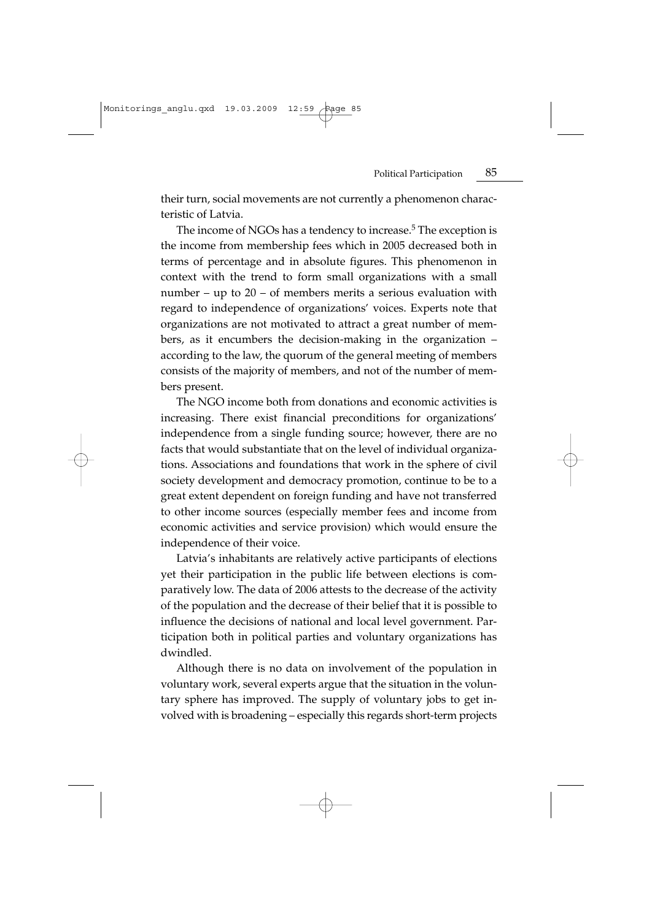Monitorings\_anglu.qxd 19.03.2009

#### Political Participation 85

their turn, social movements are not currently a phenomenon characteristic of Latvia.

The income of NGOs has a tendency to increase.<sup>5</sup> The exception is the income from membership fees which in 2005 decreased both in terms of percentage and in absolute figures. This phenomenon in context with the trend to form small organizations with a small number – up to 20 – of members merits a serious evaluation with regard to independence of organizations' voices. Experts note that organizations are not motivated to attract a great number of members, as it encumbers the decision-making in the organization – according to the law, the quorum of the general meeting of members consists of the majority of members, and not of the number of members present.

The NGO income both from donations and economic activities is increasing. There exist financial preconditions for organizations' independence from a single funding source; however, there are no facts that would substantiate that on the level of individual organizations. Associations and foundations that work in the sphere of civil society development and democracy promotion, continue to be to a great extent dependent on foreign funding and have not transferred to other income sources (especially member fees and income from economic activities and service provision) which would ensure the independence of their voice.

Latvia's inhabitants are relatively active participants of elections yet their participation in the public life between elections is comparatively low. The data of 2006 attests to the decrease of the activity of the population and the decrease of their belief that it is possible to influence the decisions of national and local level government. Participation both in political parties and voluntary organizations has dwindled.

Although there is no data on involvement of the population in voluntary work, several experts argue that the situation in the voluntary sphere has improved. The supply of voluntary jobs to get involved with is broadening – especially this regards short-term projects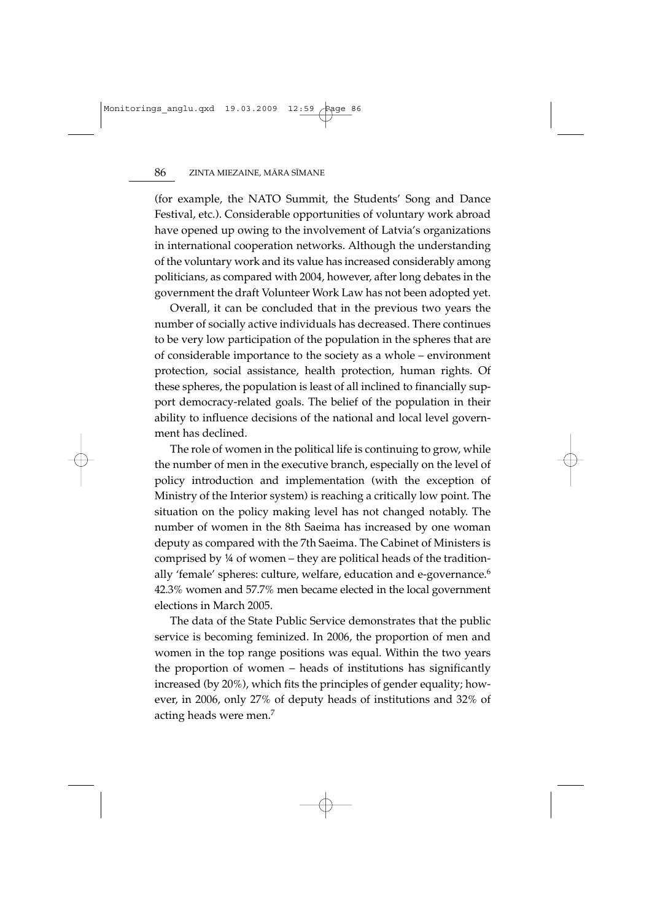### 86 ZINTA MIEZAINE, MÂRA SÎMANE

(for example, the NATO Summit, the Students' Song and Dance Festival, etc.). Considerable opportunities of voluntary work abroad have opened up owing to the involvement of Latvia's organizations in international cooperation networks. Although the understanding of the voluntary work and its value has increased considerably among politicians, as compared with 2004, however, after long debates in the government the draft Volunteer Work Law has not been adopted yet.

Overall, it can be concluded that in the previous two years the number of socially active individuals has decreased. There continues to be very low participation of the population in the spheres that are of considerable importance to the society as a whole – environment protection, social assistance, health protection, human rights. Of these spheres, the population is least of all inclined to financially support democracy-related goals. The belief of the population in their ability to influence decisions of the national and local level government has declined.

The role of women in the political life is continuing to grow, while the number of men in the executive branch, especially on the level of policy introduction and implementation (with the exception of Ministry of the Interior system) is reaching a critically low point. The situation on the policy making level has not changed notably. The number of women in the 8th Saeima has increased by one woman deputy as compared with the 7th Saeima. The Cabinet of Ministers is comprised by ¼ of women – they are political heads of the traditionally 'female' spheres: culture, welfare, education and e-governance.<sup>6</sup> 42.3% women and 57.7% men became elected in the local government elections in March 2005.

The data of the State Public Service demonstrates that the public service is becoming feminized. In 2006, the proportion of men and women in the top range positions was equal. Within the two years the proportion of women – heads of institutions has significantly increased (by 20%), which fits the principles of gender equality; however, in 2006, only 27% of deputy heads of institutions and 32% of acting heads were men.7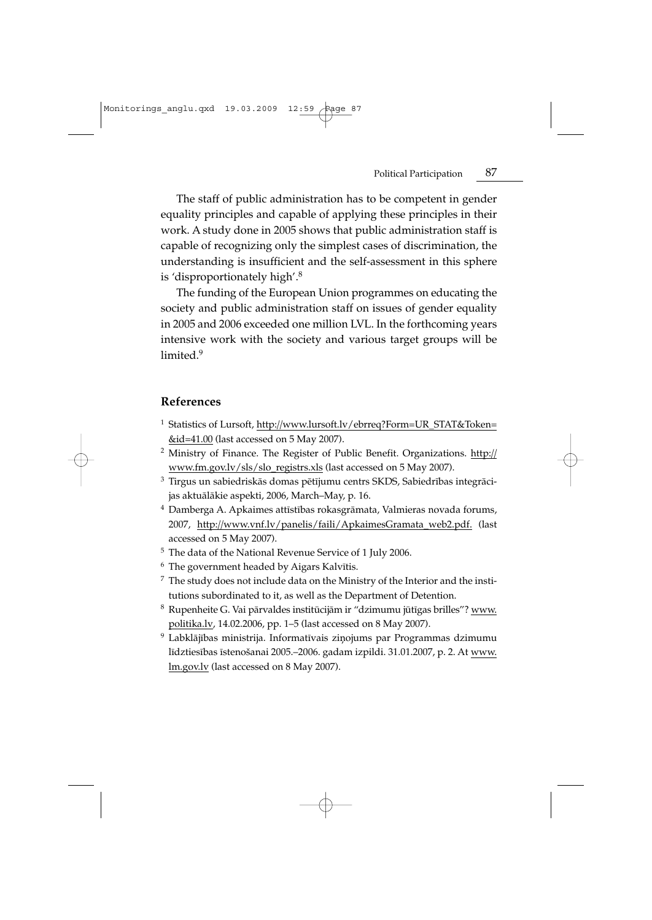Monitorings\_anglu.qxd 19.03.2009

# Political Participation 87

The staff of public administration has to be competent in gender equality principles and capable of applying these principles in their work. A study done in 2005 shows that public administration staff is capable of recognizing only the simplest cases of discrimination, the understanding is insufficient and the self-assessment in this sphere is 'disproportionately high'.8

The funding of the European Union programmes on educating the society and public administration staff on issues of gender equality in 2005 and 2006 exceeded one million LVL. In the forthcoming years intensive work with the society and various target groups will be limited.<sup>9</sup>

# **References**

- <sup>1</sup> Statistics of Lursoft, http://www.lursoft.lv/ebrreq?Form=UR\_STAT&Token= &id=41.00 (last accessed on 5 May 2007).
- <sup>2</sup> Ministry of Finance. The Register of Public Benefit. Organizations. http:*//* www.fm.gov.lv/sls/slo\_registrs.xls (last accessed on 5 May 2007).
- <sup>3</sup> Tirgus un sabiedriskâs domas pçtîjumu centrs SKDS, Sabiedrîbas integrâcijas aktuâlâkie aspekti, 2006, March–May, p. 16.
- <sup>4</sup> Damberga A. Apkaimes attîstîbas rokasgrâmata, Valmieras novada forums, 2007, http:*//*www.vnf.lv/panelis/faili/ApkaimesGramata\_web2.pdf. (last accessed on 5 May 2007).
- <sup>5</sup> The data of the National Revenue Service of 1 July 2006.
- $6$  The government headed by Aigars Kalvītis.
- $7$  The study does not include data on the Ministry of the Interior and the institutions subordinated to it, as well as the Department of Detention.
- <sup>8</sup> Rupenheite G. Vai pârvaldes institûcijâm ir "dzimumu jûtîgas brilles"? www. politika.lv, 14.02.2006, pp. 1–5 (last accessed on 8 May 2007).
- $9$  Labklājības ministrija. Informatīvais ziņojums par Programmas dzimumu līdztiesības īstenošanai 2005.-2006. gadam izpildi. 31.01.2007, p. 2. At www. lm.gov.lv (last accessed on 8 May 2007).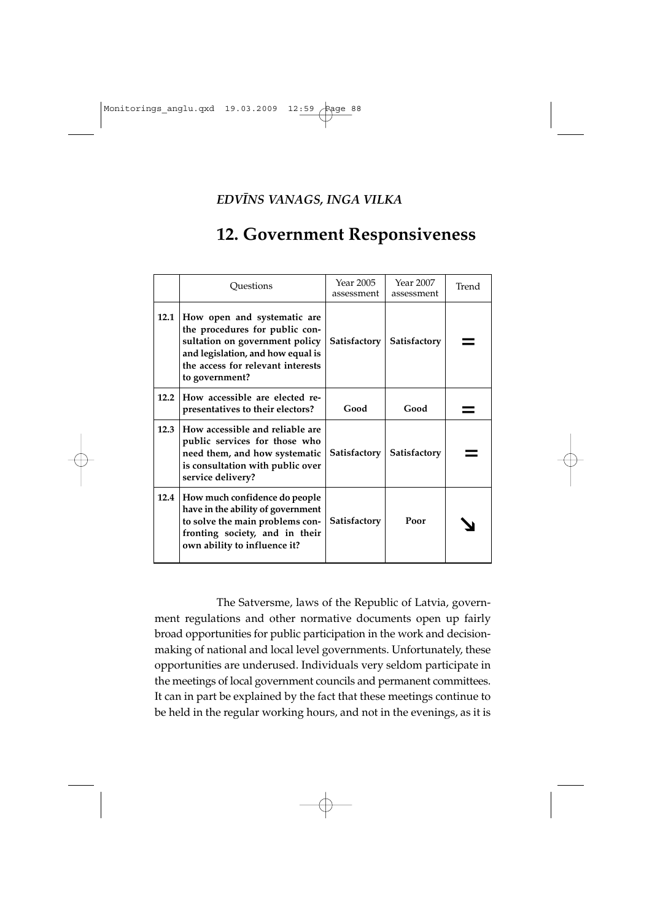Monitorings\_anglu.qxd 19.03.2009 12:59 Page 88

# *EDVÎNS VANAGS, INGA VILKA*

# **12. Government Responsiveness**

|      | Questions                                                                                                                                                                                   | Year 2005<br>assessment | Year 2007<br>assessment | Trend |
|------|---------------------------------------------------------------------------------------------------------------------------------------------------------------------------------------------|-------------------------|-------------------------|-------|
| 12.1 | How open and systematic are<br>the procedures for public con-<br>sultation on government policy<br>and legislation, and how equal is<br>the access for relevant interests<br>to government? | Satisfactory            | Satisfactory            |       |
| 12.2 | How accessible are elected re-<br>presentatives to their electors?                                                                                                                          | Good                    | Good                    |       |
| 12.3 | How accessible and reliable are<br>public services for those who<br>need them, and how systematic<br>is consultation with public over<br>service delivery?                                  | Satisfactory            | Satisfactory            |       |
| 12.4 | How much confidence do people<br>have in the ability of government<br>to solve the main problems con-<br>fronting society, and in their<br>own ability to influence it?                     | Satisfactory            | Poor                    |       |

The Satversme, laws of the Republic of Latvia, government regulations and other normative documents open up fairly broad opportunities for public participation in the work and decisionmaking of national and local level governments. Unfortunately, these opportunities are underused. Individuals very seldom participate in the meetings of local government councils and permanent committees. It can in part be explained by the fact that these meetings continue to be held in the regular working hours, and not in the evenings, as it is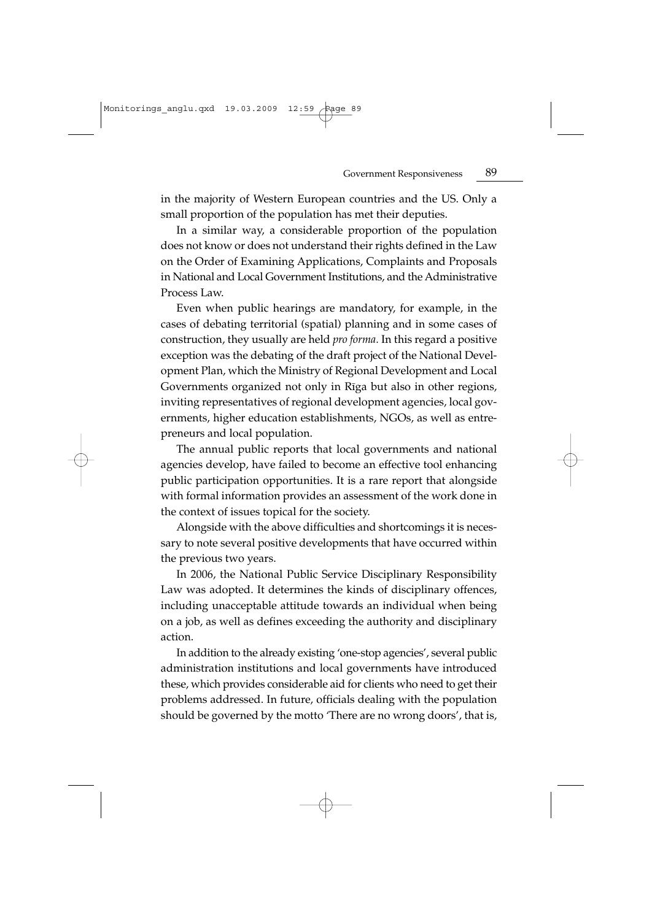Monitorings\_anglu.qxd 19.03.2009

#### Government Responsiveness 89

in the majority of Western European countries and the US. Only a small proportion of the population has met their deputies.

In a similar way, a considerable proportion of the population does not know or does not understand their rights defined in the Law on the Order of Examining Applications, Complaints and Proposals in National and Local Government Institutions, and the Administrative Process Law.

Even when public hearings are mandatory, for example, in the cases of debating territorial (spatial) planning and in some cases of construction, they usually are held *pro forma.* In this regard a positive exception was the debating of the draft project of the National Development Plan, which the Ministry of Regional Development and Local Governments organized not only in Rîga but also in other regions, inviting representatives of regional development agencies, local governments, higher education establishments, NGOs, as well as entrepreneurs and local population.

The annual public reports that local governments and national agencies develop, have failed to become an effective tool enhancing public participation opportunities. It is a rare report that alongside with formal information provides an assessment of the work done in the context of issues topical for the society.

Alongside with the above difficulties and shortcomings it is necessary to note several positive developments that have occurred within the previous two years.

In 2006, the National Public Service Disciplinary Responsibility Law was adopted. It determines the kinds of disciplinary offences, including unacceptable attitude towards an individual when being on a job, as well as defines exceeding the authority and disciplinary action.

In addition to the already existing 'one-stop agencies', several public administration institutions and local governments have introduced these, which provides considerable aid for clients who need to get their problems addressed. In future, officials dealing with the population should be governed by the motto 'There are no wrong doors', that is,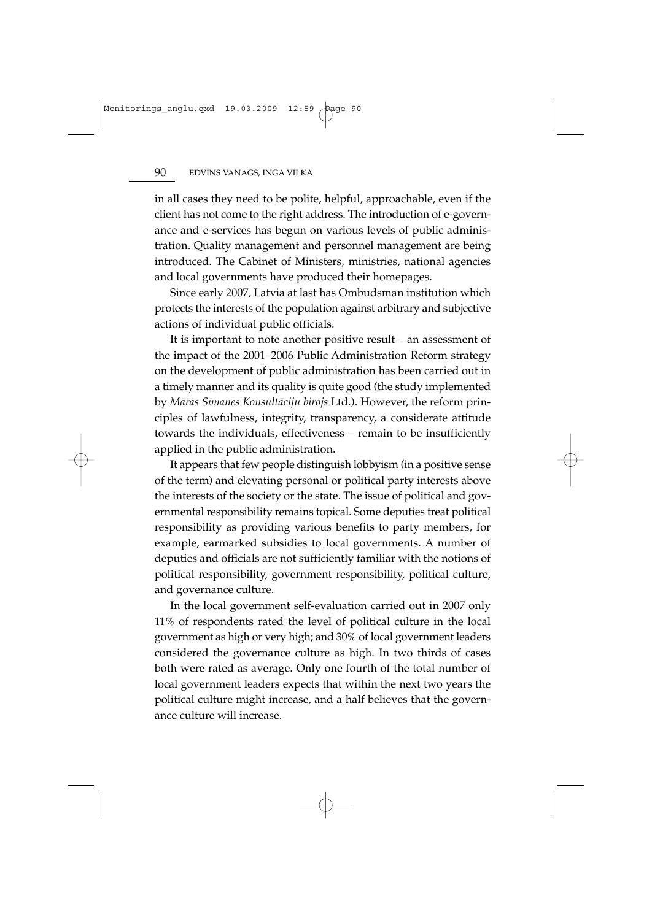### 90 EDVÎNS VANAGS, INGA VILKA

in all cases they need to be polite, helpful, approachable, even if the client has not come to the right address. The introduction of e-governance and e-services has begun on various levels of public administration. Quality management and personnel management are being introduced. The Cabinet of Ministers, ministries, national agencies and local governments have produced their homepages.

Since early 2007, Latvia at last has Ombudsman institution which protects the interests of the population against arbitrary and subjective actions of individual public officials.

It is important to note another positive result – an assessment of the impact of the 2001–2006 Public Administration Reform strategy on the development of public administration has been carried out in a timely manner and its quality is quite good (the study implemented by *Mâras Sîmanes Konsultâciju birojs* Ltd.). However, the reform principles of lawfulness, integrity, transparency, a considerate attitude towards the individuals, effectiveness – remain to be insufficiently applied in the public administration.

It appears that few people distinguish lobbyism (in a positive sense of the term) and elevating personal or political party interests above the interests of the society or the state. The issue of political and governmental responsibility remains topical. Some deputies treat political responsibility as providing various benefits to party members, for example, earmarked subsidies to local governments. A number of deputies and officials are not sufficiently familiar with the notions of political responsibility, government responsibility, political culture, and governance culture.

In the local government self-evaluation carried out in 2007 only 11% of respondents rated the level of political culture in the local government as high or very high; and 30% of local government leaders considered the governance culture as high. In two thirds of cases both were rated as average. Only one fourth of the total number of local government leaders expects that within the next two years the political culture might increase, and a half believes that the governance culture will increase.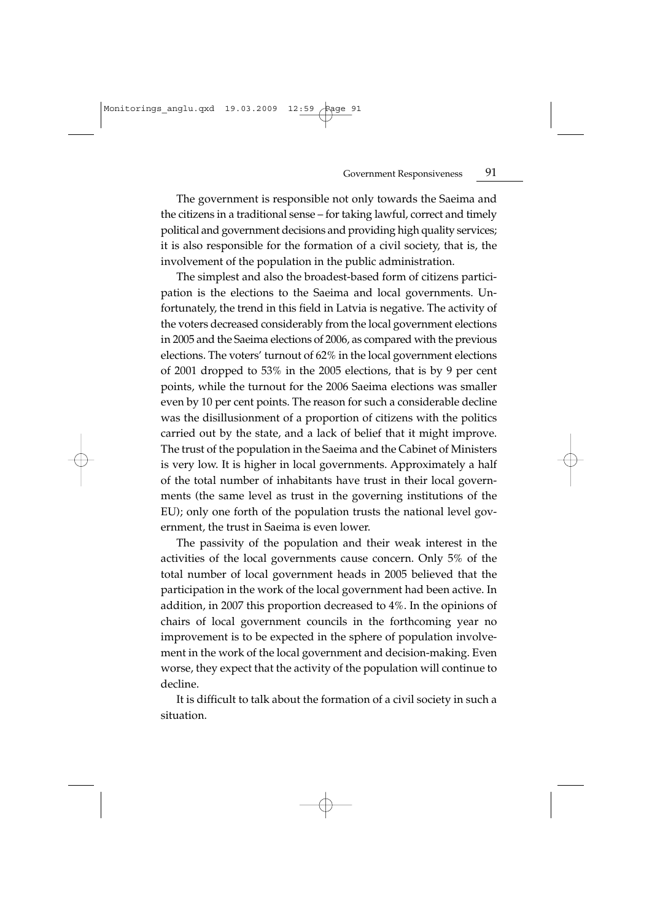# Government Responsiveness 91

The government is responsible not only towards the Saeima and the citizens in a traditional sense – for taking lawful, correct and timely political and government decisions and providing high quality services; it is also responsible for the formation of a civil society, that is, the involvement of the population in the public administration.

The simplest and also the broadest-based form of citizens participation is the elections to the Saeima and local governments. Unfortunately, the trend in this field in Latvia is negative. The activity of the voters decreased considerably from the local government elections in 2005 and the Saeima elections of 2006, as compared with the previous elections. The voters' turnout of 62% in the local government elections of 2001 dropped to 53% in the 2005 elections, that is by 9 per cent points, while the turnout for the 2006 Saeima elections was smaller even by 10 per cent points. The reason for such a considerable decline was the disillusionment of a proportion of citizens with the politics carried out by the state, and a lack of belief that it might improve. The trust of the population in the Saeima and the Cabinet of Ministers is very low. It is higher in local governments. Approximately a half of the total number of inhabitants have trust in their local governments (the same level as trust in the governing institutions of the EU); only one forth of the population trusts the national level government, the trust in Saeima is even lower.

The passivity of the population and their weak interest in the activities of the local governments cause concern. Only 5% of the total number of local government heads in 2005 believed that the participation in the work of the local government had been active. In addition, in 2007 this proportion decreased to 4%. In the opinions of chairs of local government councils in the forthcoming year no improvement is to be expected in the sphere of population involvement in the work of the local government and decision-making. Even worse, they expect that the activity of the population will continue to decline.

It is difficult to talk about the formation of a civil society in such a situation.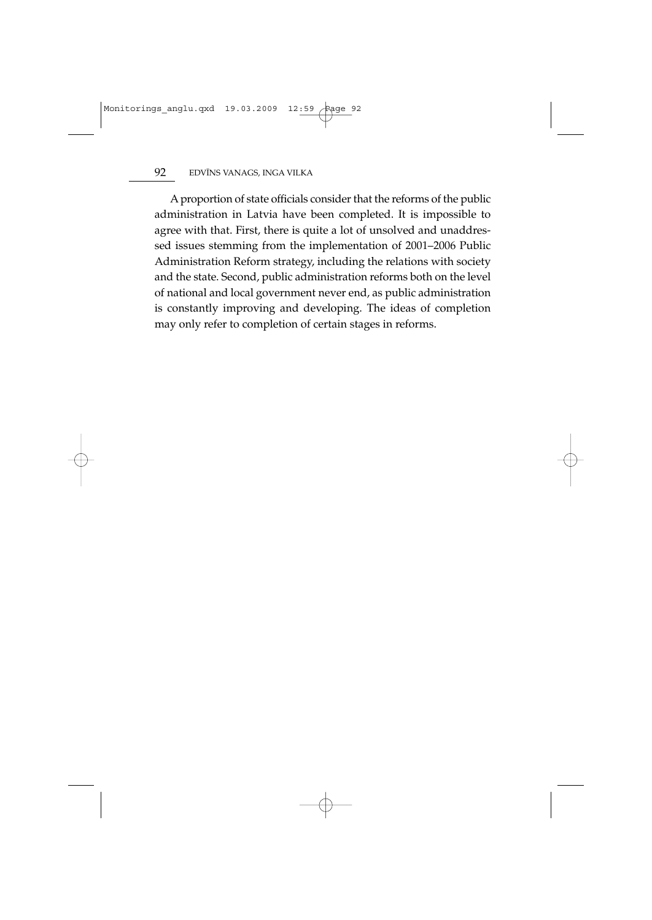# 92 EDVÎNS VANAGS, INGA VILKA

A proportion of state officials consider that the reforms of the public administration in Latvia have been completed. It is impossible to agree with that. First, there is quite a lot of unsolved and unaddressed issues stemming from the implementation of 2001–2006 Public Administration Reform strategy, including the relations with society and the state. Second, public administration reforms both on the level of national and local government never end, as public administration is constantly improving and developing. The ideas of completion may only refer to completion of certain stages in reforms.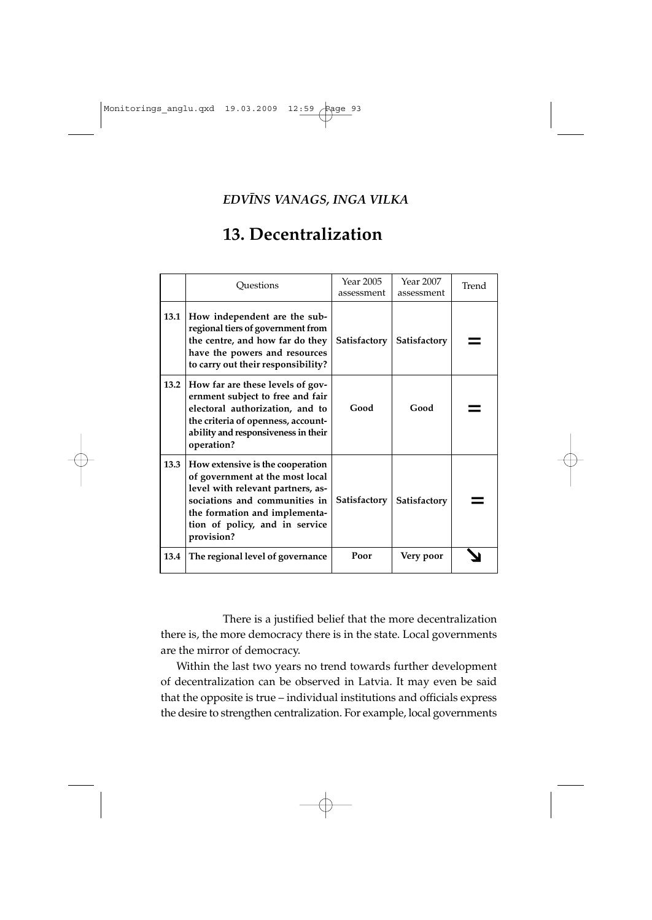$Montorings\_anglu.qxd 19.03.2009 12:59 293$ 

# *EDVÎNS VANAGS, INGA VILKA*

# **13. Decentralization**

|      | Questions                                                                                                                                                                                                                  | Year 2005<br>assessment | Year 2007<br>assessment | Trend |
|------|----------------------------------------------------------------------------------------------------------------------------------------------------------------------------------------------------------------------------|-------------------------|-------------------------|-------|
| 13.1 | How independent are the sub-<br>regional tiers of government from<br>the centre, and how far do they<br>have the powers and resources<br>to carry out their responsibility?                                                | Satisfactory            | Satisfactory            |       |
| 13.2 | How far are these levels of gov-<br>ernment subject to free and fair<br>electoral authorization, and to<br>the criteria of openness, account-<br>ability and responsiveness in their<br>operation?                         | Good                    | Good                    |       |
| 13.3 | How extensive is the cooperation<br>of government at the most local<br>level with relevant partners, as-<br>sociations and communities in<br>the formation and implementa-<br>tion of policy, and in service<br>provision? | Satisfactory            | Satisfactory            |       |
| 13.4 | The regional level of governance                                                                                                                                                                                           | Poor                    | Very poor               |       |

There is a justified belief that the more decentralization there is, the more democracy there is in the state. Local governments are the mirror of democracy.

Within the last two years no trend towards further development of decentralization can be observed in Latvia. It may even be said that the opposite is true – individual institutions and officials express the desire to strengthen centralization. For example, local governments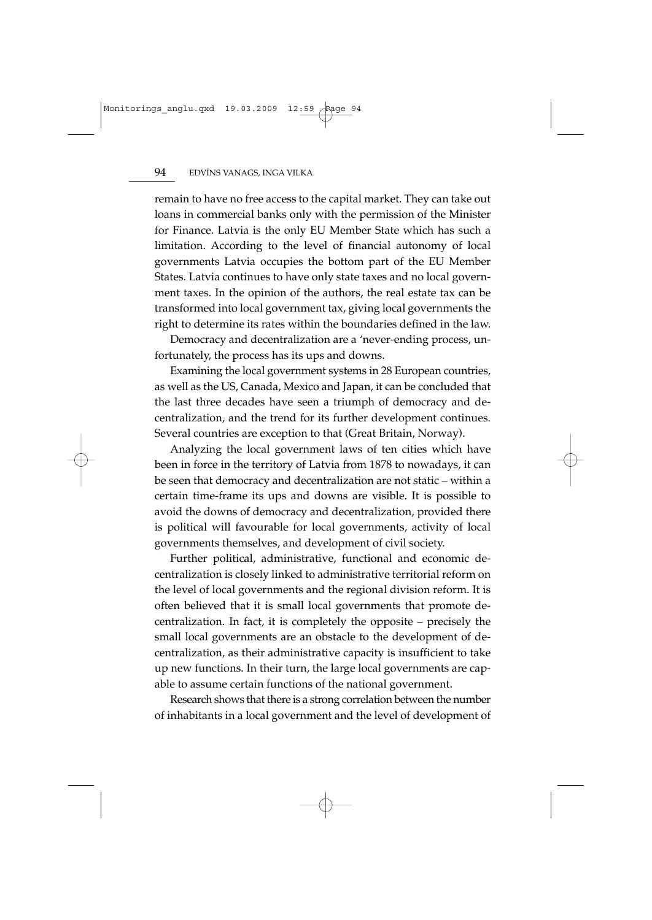#### 94 EDVÎNS VANAGS, INGA VILKA

remain to have no free access to the capital market. They can take out loans in commercial banks only with the permission of the Minister for Finance. Latvia is the only EU Member State which has such a limitation. According to the level of financial autonomy of local governments Latvia occupies the bottom part of the EU Member States. Latvia continues to have only state taxes and no local government taxes. In the opinion of the authors, the real estate tax can be transformed into local government tax, giving local governments the right to determine its rates within the boundaries defined in the law.

Democracy and decentralization are a 'never-ending process, unfortunately, the process has its ups and downs.

Examining the local government systems in 28 European countries, as well as the US, Canada, Mexico and Japan, it can be concluded that the last three decades have seen a triumph of democracy and decentralization, and the trend for its further development continues. Several countries are exception to that (Great Britain, Norway).

Analyzing the local government laws of ten cities which have been in force in the territory of Latvia from 1878 to nowadays, it can be seen that democracy and decentralization are not static – within a certain time-frame its ups and downs are visible. It is possible to avoid the downs of democracy and decentralization, provided there is political will favourable for local governments, activity of local governments themselves, and development of civil society.

Further political, administrative, functional and economic decentralization is closely linked to administrative territorial reform on the level of local governments and the regional division reform. It is often believed that it is small local governments that promote decentralization. In fact, it is completely the opposite – precisely the small local governments are an obstacle to the development of decentralization, as their administrative capacity is insufficient to take up new functions. In their turn, the large local governments are capable to assume certain functions of the national government.

Research shows that there is a strong correlation between the number of inhabitants in a local government and the level of development of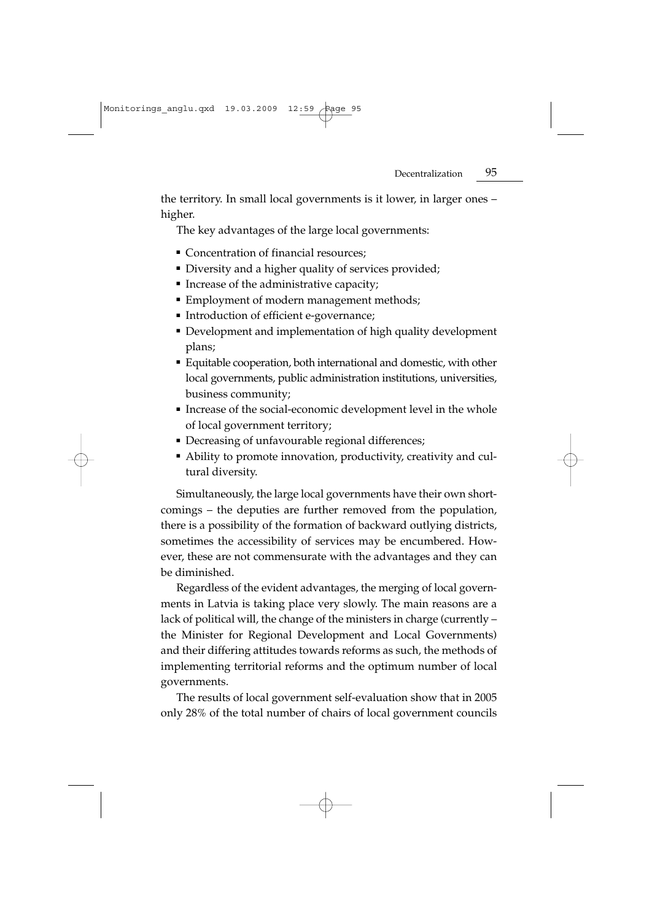Decentralization 95

the territory. In small local governments is it lower, in larger ones – higher.

The key advantages of the large local governments:

- Concentration of financial resources;
- Diversity and a higher quality of services provided;
- Increase of the administrative capacity;
- Employment of modern management methods;
- Introduction of efficient e-governance;
- Development and implementation of high quality development plans;
- Equitable cooperation, both international and domestic, with other local governments, public administration institutions, universities, business community;
- Increase of the social-economic development level in the whole of local government territory;
- Decreasing of unfavourable regional differences;
- Ability to promote innovation, productivity, creativity and cultural diversity.

Simultaneously, the large local governments have their own shortcomings – the deputies are further removed from the population, there is a possibility of the formation of backward outlying districts, sometimes the accessibility of services may be encumbered. However, these are not commensurate with the advantages and they can be diminished.

Regardless of the evident advantages, the merging of local governments in Latvia is taking place very slowly. The main reasons are a lack of political will, the change of the ministers in charge (currently – the Minister for Regional Development and Local Governments) and their differing attitudes towards reforms as such, the methods of implementing territorial reforms and the optimum number of local governments.

The results of local government self-evaluation show that in 2005 only 28% of the total number of chairs of local government councils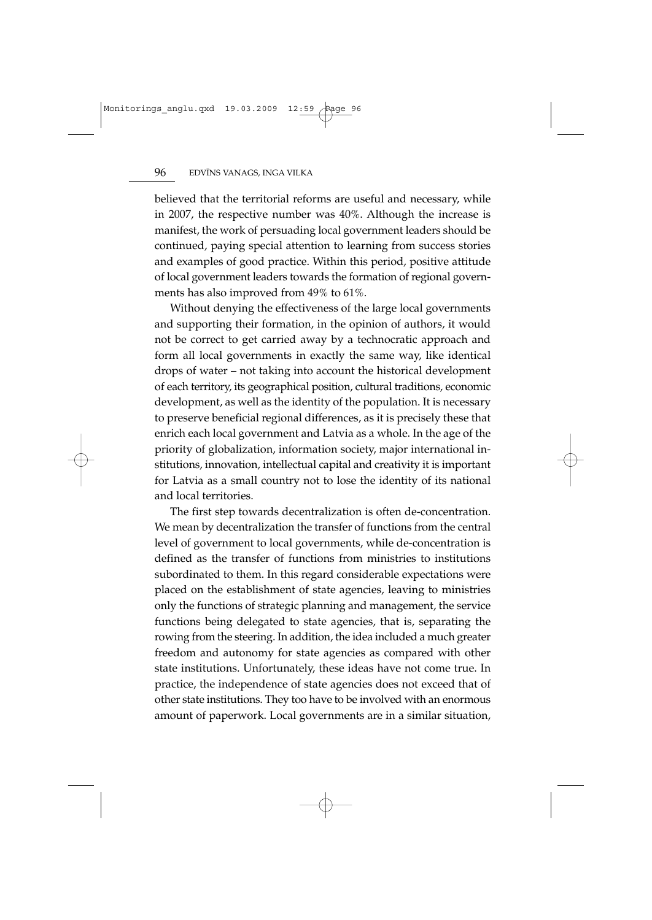### 96 EDVÎNS VANAGS, INGA VILKA

believed that the territorial reforms are useful and necessary, while in 2007, the respective number was 40%. Although the increase is manifest, the work of persuading local government leaders should be continued, paying special attention to learning from success stories and examples of good practice. Within this period, positive attitude of local government leaders towards the formation of regional governments has also improved from 49% to 61%.

Without denying the effectiveness of the large local governments and supporting their formation, in the opinion of authors, it would not be correct to get carried away by a technocratic approach and form all local governments in exactly the same way, like identical drops of water – not taking into account the historical development of each territory, its geographical position, cultural traditions, economic development, as well as the identity of the population. It is necessary to preserve beneficial regional differences, as it is precisely these that enrich each local government and Latvia as a whole. In the age of the priority of globalization, information society, major international institutions, innovation, intellectual capital and creativity it is important for Latvia as a small country not to lose the identity of its national and local territories.

The first step towards decentralization is often de-concentration. We mean by decentralization the transfer of functions from the central level of government to local governments, while de-concentration is defined as the transfer of functions from ministries to institutions subordinated to them. In this regard considerable expectations were placed on the establishment of state agencies, leaving to ministries only the functions of strategic planning and management, the service functions being delegated to state agencies, that is, separating the rowing from the steering. In addition, the idea included a much greater freedom and autonomy for state agencies as compared with other state institutions. Unfortunately, these ideas have not come true. In practice, the independence of state agencies does not exceed that of other state institutions. They too have to be involved with an enormous amount of paperwork. Local governments are in a similar situation,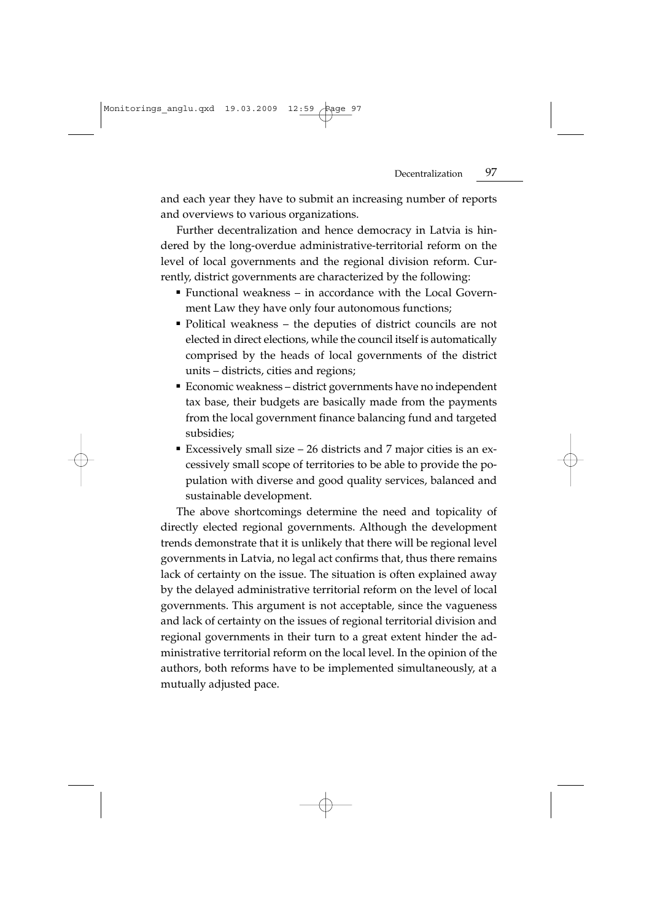Monitorings\_anglu.qxd 19.03.2009

### Decentralization 97

and each year they have to submit an increasing number of reports and overviews to various organizations.

Further decentralization and hence democracy in Latvia is hindered by the long-overdue administrative-territorial reform on the level of local governments and the regional division reform. Currently, district governments are characterized by the following:

- Functional weakness in accordance with the Local Government Law they have only four autonomous functions;
- Political weakness the deputies of district councils are not elected in direct elections, while the council itself is automatically comprised by the heads of local governments of the district units – districts, cities and regions;
- Economic weakness district governments have no independent tax base, their budgets are basically made from the payments from the local government finance balancing fund and targeted subsidies;
- Excessively small size  $-26$  districts and 7 major cities is an excessively small scope of territories to be able to provide the population with diverse and good quality services, balanced and sustainable development.

The above shortcomings determine the need and topicality of directly elected regional governments. Although the development trends demonstrate that it is unlikely that there will be regional level governments in Latvia, no legal act confirms that, thus there remains lack of certainty on the issue. The situation is often explained away by the delayed administrative territorial reform on the level of local governments. This argument is not acceptable, since the vagueness and lack of certainty on the issues of regional territorial division and regional governments in their turn to a great extent hinder the administrative territorial reform on the local level. In the opinion of the authors, both reforms have to be implemented simultaneously, at a mutually adjusted pace.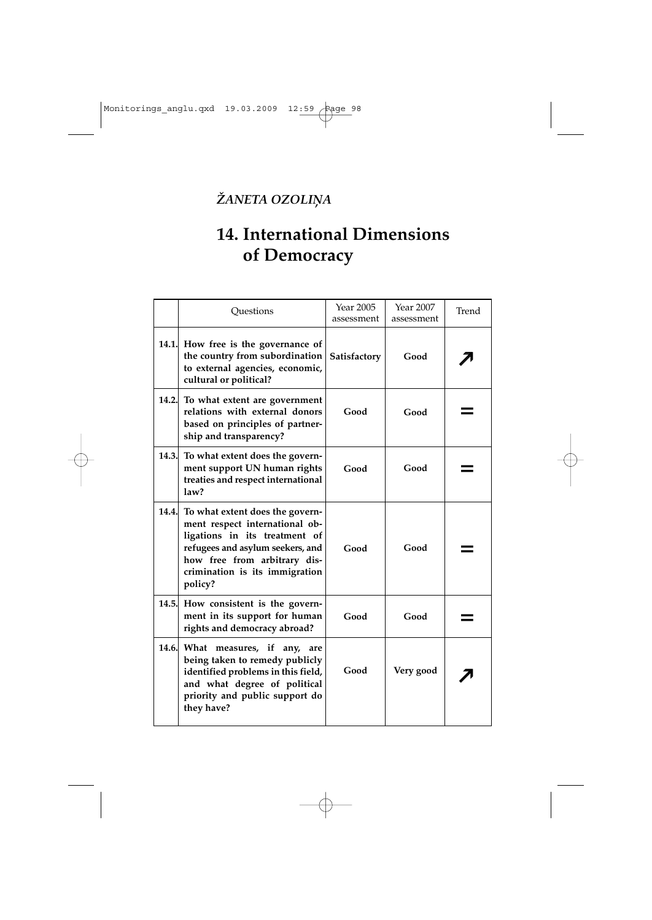Monitorings\_anglu.qxd  $19.03.2009$   $12:59$  Page 98

# $\check{Z}$ ANETA OZOLIŅA

# **14. International Dimensions of Democracy**

|       | Ouestions                                                                                                                                                                                                           | Year 2005<br>assessment | Year 2007<br>assessment | Trend |
|-------|---------------------------------------------------------------------------------------------------------------------------------------------------------------------------------------------------------------------|-------------------------|-------------------------|-------|
|       | 14.1. How free is the governance of<br>the country from subordination<br>to external agencies, economic,<br>cultural or political?                                                                                  | Satisfactory            | Good                    |       |
| 14.2. | To what extent are government<br>relations with external donors<br>based on principles of partner-<br>ship and transparency?                                                                                        | Good                    | Good                    |       |
| 14.3. | To what extent does the govern-<br>ment support UN human rights<br>treaties and respect international<br>law?                                                                                                       | Good                    | Good                    |       |
| 14.4. | To what extent does the govern-<br>ment respect international ob-<br>ligations in its treatment of<br>refugees and asylum seekers, and<br>how free from arbitrary dis-<br>crimination is its immigration<br>policy? | Good                    | Good                    |       |
| 14.5. | How consistent is the govern-<br>ment in its support for human<br>rights and democracy abroad?                                                                                                                      | Good                    | Good                    |       |
| 14.6. | What measures, if any,<br>are<br>being taken to remedy publicly<br>identified problems in this field,<br>and what degree of political<br>priority and public support do<br>they have?                               | Good                    | Very good               |       |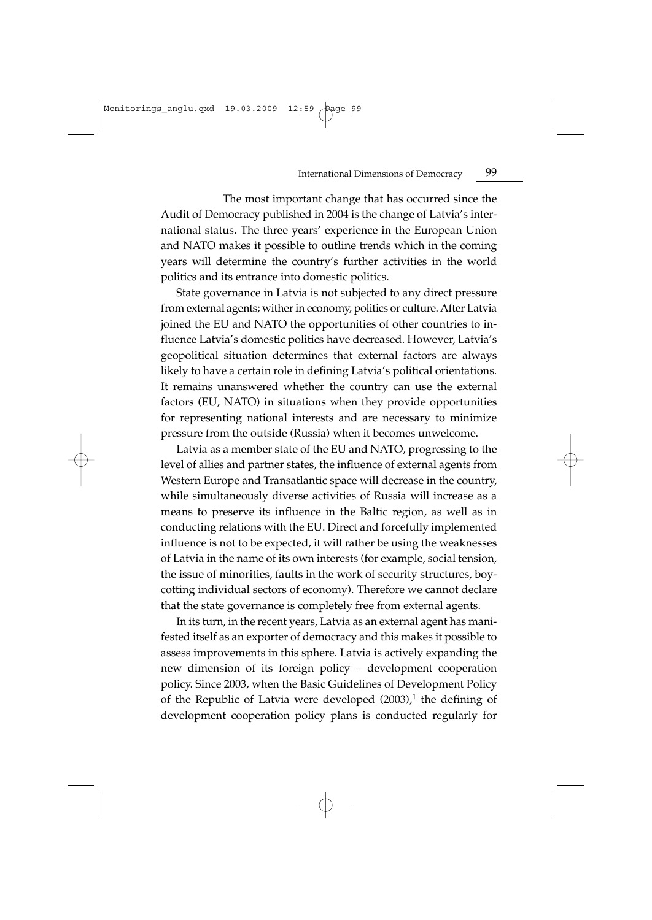# International Dimensions of Democracy 99

The most important change that has occurred since the Audit of Democracy published in 2004 is the change of Latvia's international status. The three years' experience in the European Union and NATO makes it possible to outline trends which in the coming years will determine the country's further activities in the world politics and its entrance into domestic politics.

State governance in Latvia is not subjected to any direct pressure from external agents; wither in economy, politics or culture. After Latvia joined the EU and NATO the opportunities of other countries to influence Latvia's domestic politics have decreased. However, Latvia's geopolitical situation determines that external factors are always likely to have a certain role in defining Latvia's political orientations. It remains unanswered whether the country can use the external factors (EU, NATO) in situations when they provide opportunities for representing national interests and are necessary to minimize pressure from the outside (Russia) when it becomes unwelcome.

Latvia as a member state of the EU and NATO, progressing to the level of allies and partner states, the influence of external agents from Western Europe and Transatlantic space will decrease in the country, while simultaneously diverse activities of Russia will increase as a means to preserve its influence in the Baltic region, as well as in conducting relations with the EU. Direct and forcefully implemented influence is not to be expected, it will rather be using the weaknesses of Latvia in the name of its own interests (for example, social tension, the issue of minorities, faults in the work of security structures, boycotting individual sectors of economy). Therefore we cannot declare that the state governance is completely free from external agents.

In its turn, in the recent years, Latvia as an external agent has manifested itself as an exporter of democracy and this makes it possible to assess improvements in this sphere. Latvia is actively expanding the new dimension of its foreign policy – development cooperation policy. Since 2003, when the Basic Guidelines of Development Policy of the Republic of Latvia were developed  $(2003)$ ,<sup>1</sup> the defining of development cooperation policy plans is conducted regularly for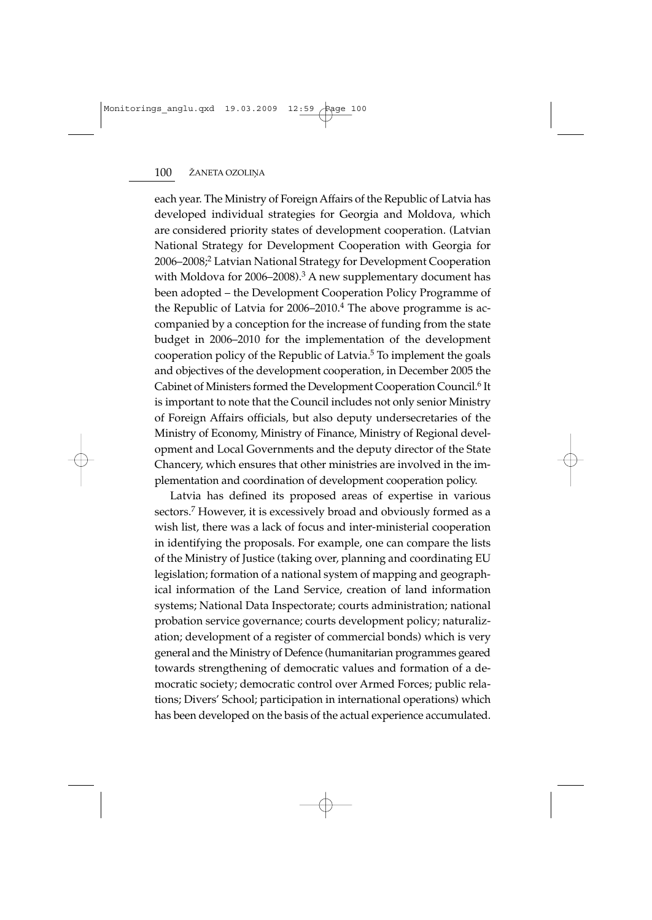## 100 ŽANETA OZOLIŅA

each year. The Ministry of Foreign Affairs of the Republic of Latvia has developed individual strategies for Georgia and Moldova, which are considered priority states of development cooperation. (Latvian National Strategy for Development Cooperation with Georgia for 2006–2008;2 Latvian National Strategy for Development Cooperation with Moldova for  $2006-2008$ ).<sup>3</sup> A new supplementary document has been adopted – the Development Cooperation Policy Programme of the Republic of Latvia for 2006–2010.<sup>4</sup> The above programme is accompanied by a conception for the increase of funding from the state budget in 2006–2010 for the implementation of the development cooperation policy of the Republic of Latvia.<sup>5</sup> To implement the goals and objectives of the development cooperation, in December 2005 the Cabinet of Ministers formed the Development Cooperation Council.6 It is important to note that the Council includes not only senior Ministry of Foreign Affairs officials, but also deputy undersecretaries of the Ministry of Economy, Ministry of Finance, Ministry of Regional development and Local Governments and the deputy director of the State Chancery, which ensures that other ministries are involved in the implementation and coordination of development cooperation policy.

Latvia has defined its proposed areas of expertise in various sectors.<sup>7</sup> However, it is excessively broad and obviously formed as a wish list, there was a lack of focus and inter-ministerial cooperation in identifying the proposals. For example, one can compare the lists of the Ministry of Justice (taking over, planning and coordinating EU legislation; formation of a national system of mapping and geographical information of the Land Service, creation of land information systems; National Data Inspectorate; courts administration; national probation service governance; courts development policy; naturalization; development of a register of commercial bonds) which is very general and the Ministry of Defence (humanitarian programmes geared towards strengthening of democratic values and formation of a democratic society; democratic control over Armed Forces; public relations; Divers' School; participation in international operations) which has been developed on the basis of the actual experience accumulated.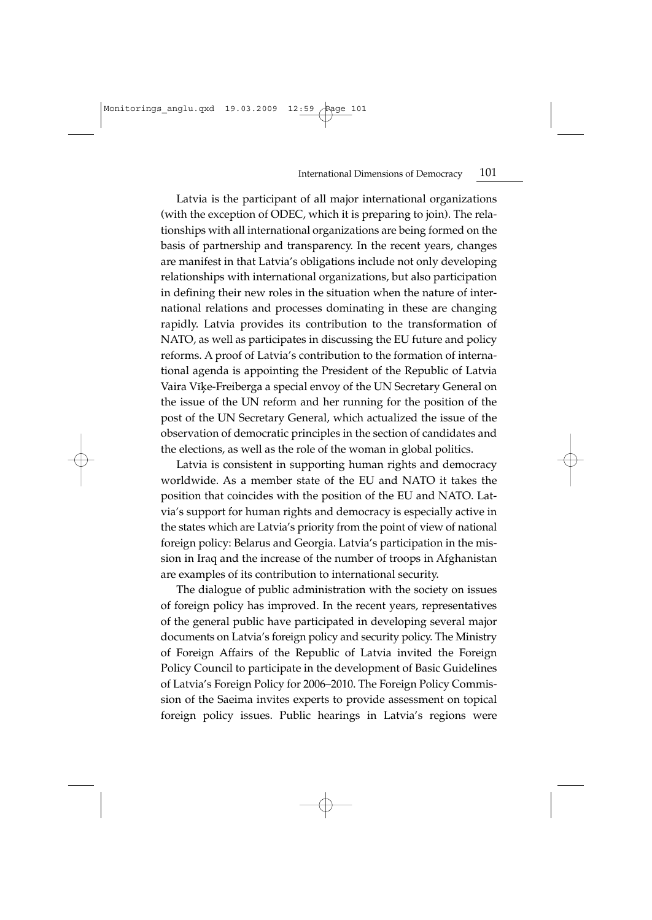### International Dimensions of Democracy 101

Latvia is the participant of all major international organizations (with the exception of ODEC, which it is preparing to join). The relationships with all international organizations are being formed on the basis of partnership and transparency. In the recent years, changes are manifest in that Latvia's obligations include not only developing relationships with international organizations, but also participation in defining their new roles in the situation when the nature of international relations and processes dominating in these are changing rapidly. Latvia provides its contribution to the transformation of NATO, as well as participates in discussing the EU future and policy reforms. A proof of Latvia's contribution to the formation of international agenda is appointing the President of the Republic of Latvia Vaira Vîíe-Freiberga a special envoy of the UN Secretary General on the issue of the UN reform and her running for the position of the post of the UN Secretary General, which actualized the issue of the observation of democratic principles in the section of candidates and the elections, as well as the role of the woman in global politics.

Latvia is consistent in supporting human rights and democracy worldwide. As a member state of the EU and NATO it takes the position that coincides with the position of the EU and NATO. Latvia's support for human rights and democracy is especially active in the states which are Latvia's priority from the point of view of national foreign policy: Belarus and Georgia. Latvia's participation in the mission in Iraq and the increase of the number of troops in Afghanistan are examples of its contribution to international security.

The dialogue of public administration with the society on issues of foreign policy has improved. In the recent years, representatives of the general public have participated in developing several major documents on Latvia's foreign policy and security policy. The Ministry of Foreign Affairs of the Republic of Latvia invited the Foreign Policy Council to participate in the development of Basic Guidelines of Latvia's Foreign Policy for 2006–2010. The Foreign Policy Commission of the Saeima invites experts to provide assessment on topical foreign policy issues. Public hearings in Latvia's regions were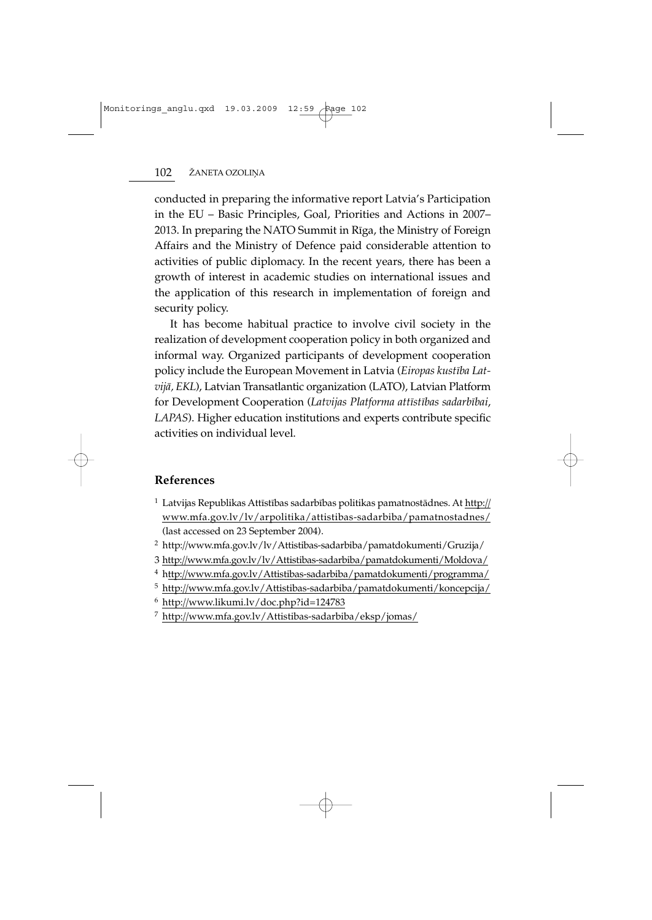## 102 ŽANETA OZOLIŅA

conducted in preparing the informative report Latvia's Participation in the EU – Basic Principles, Goal, Priorities and Actions in 2007– 2013. In preparing the NATO Summit in Rîga, the Ministry of Foreign Affairs and the Ministry of Defence paid considerable attention to activities of public diplomacy. In the recent years, there has been a growth of interest in academic studies on international issues and the application of this research in implementation of foreign and security policy.

It has become habitual practice to involve civil society in the realization of development cooperation policy in both organized and informal way. Organized participants of development cooperation policy include the European Movement in Latvia (*Eiropas kustîba Latvijâ, EKL*), Latvian Transatlantic organization (LATO), Latvian Platform for Development Cooperation (*Latvijas Platforma attîstîbas sadarbîbai*, *LAPAS*). Higher education institutions and experts contribute specific activities on individual level.

### **References**

- <sup>1</sup> Latvijas Republikas Attîstîbas sadarbîbas politikas pamatnostâdnes. At http:*//* www.mfa.gov.lv/lv/arpolitika/attistibas-sadarbiba/pamatnostadnes/ (last accessed on 23 September 2004).
- <sup>2</sup> http:*//*www.mfa.gov.lv/lv/Attistibas-sadarbiba/pamatdokumenti/Gruzija/
- 3 http:*//*www.mfa.gov.lv/lv/Attistibas-sadarbiba/pamatdokumenti/Moldova/
- <sup>4</sup> http:*//*www.mfa.gov.lv/Attistibas-sadarbiba/pamatdokumenti/programma/
- <sup>5</sup> http:*//*www.mfa.gov.lv/Attistibas-sadarbiba/pamatdokumenti/koncepcija/
- <sup>6</sup> http:*//*www.likumi.lv/doc.php?id=124783
- <sup>7</sup> http:*//*www.mfa.gov.lv/Attistibas-sadarbiba/eksp/jomas/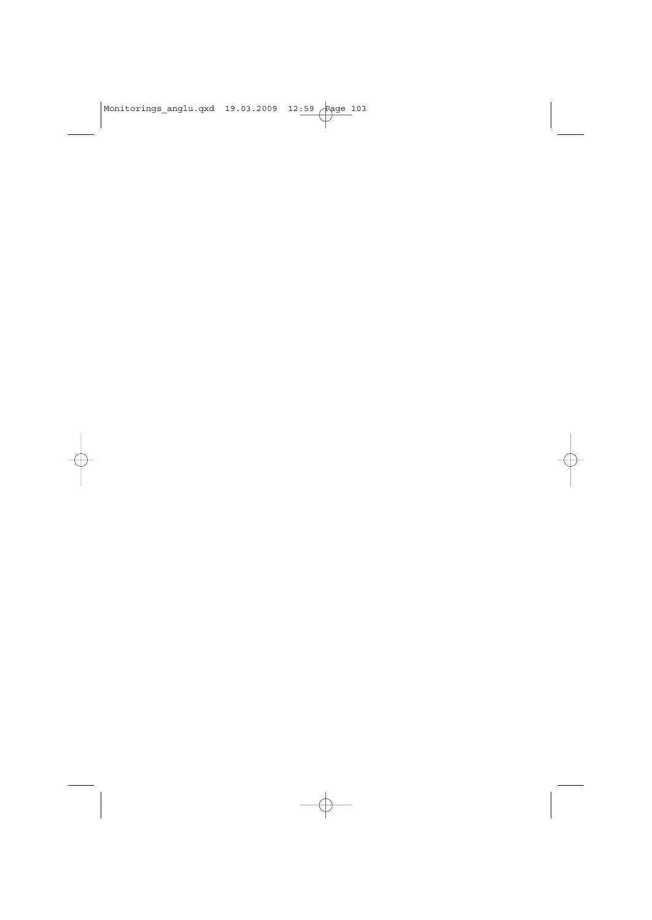Monitorings\_anglu.qxd 19.03.2009 12:59 Page 103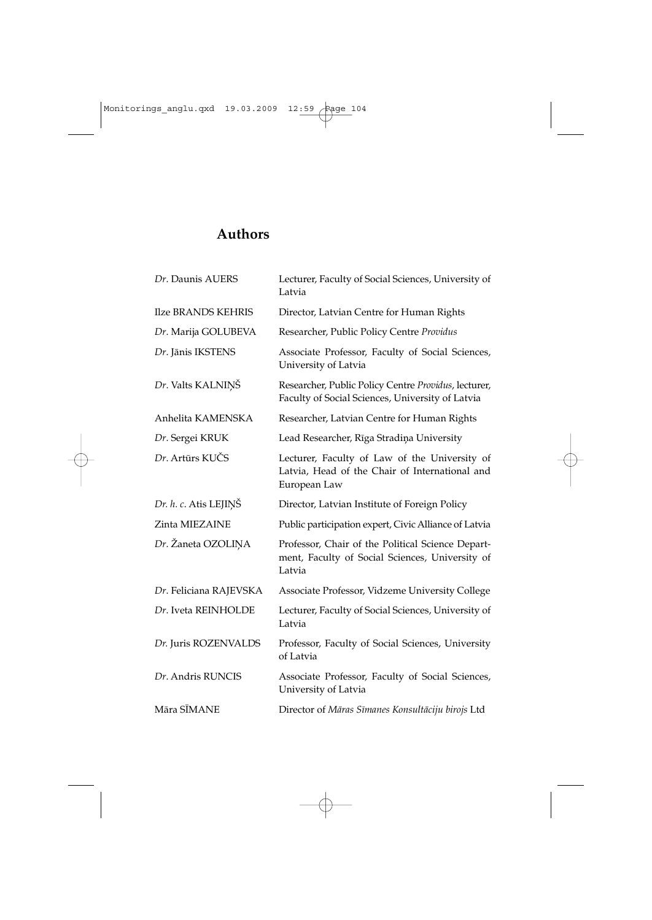Monitorings\_anglu.qxd 19.03.2009 12:59 Page 104

# **Authors**

| Dr. Daunis AUERS          | Lecturer, Faculty of Social Sciences, University of<br>Latvia                                                   |
|---------------------------|-----------------------------------------------------------------------------------------------------------------|
| <b>Ilze BRANDS KEHRIS</b> | Director, Latvian Centre for Human Rights                                                                       |
| Dr. Marija GOLUBEVA       | Researcher, Public Policy Centre Providus                                                                       |
| Dr. Jānis IKSTENS         | Associate Professor, Faculty of Social Sciences,<br>University of Latvia                                        |
| Dr. Valts KALNIŅŠ         | Researcher, Public Policy Centre Providus, lecturer,<br>Faculty of Social Sciences, University of Latvia        |
| Anhelita KAMENSKA         | Researcher, Latvian Centre for Human Rights                                                                     |
| Dr. Sergei KRUK           | Lead Researcher, Rīga Stradiņa University                                                                       |
| Dr. Artūrs KUČS           | Lecturer, Faculty of Law of the University of<br>Latvia, Head of the Chair of International and<br>European Law |
| Dr. h. c. Atis LEJIŅŠ     | Director, Latvian Institute of Foreign Policy                                                                   |
| Zinta MIEZAINE            | Public participation expert, Civic Alliance of Latvia                                                           |
| Dr. Žaneta OZOLIŅA        | Professor, Chair of the Political Science Depart-                                                               |
|                           | ment, Faculty of Social Sciences, University of<br>Latvia                                                       |
| Dr. Feliciana RAJEVSKA    | Associate Professor, Vidzeme University College                                                                 |
| Dr. Iveta REINHOLDE       | Lecturer, Faculty of Social Sciences, University of<br>Latvia                                                   |
| Dr. Juris ROZENVALDS      | Professor, Faculty of Social Sciences, University<br>of Latvia                                                  |
| Dr. Andris RUNCIS         | Associate Professor, Faculty of Social Sciences,<br>University of Latvia                                        |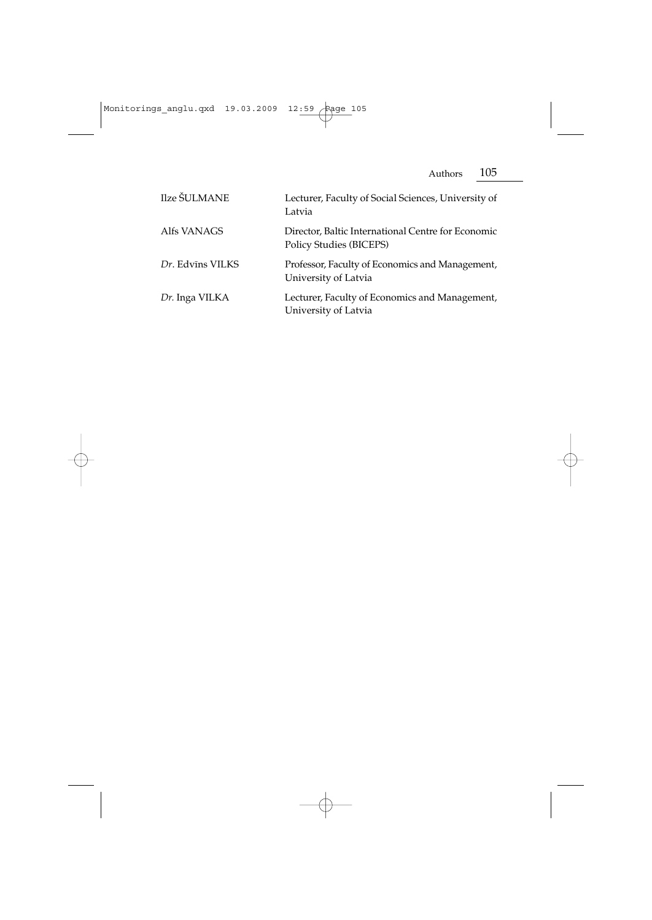Monitorings\_anglu.qxd 19.03.2009 12:59 Page 105

# Authors 105

| Ilze ŠULMANE     | Lecturer, Faculty of Social Sciences, University of<br>Latvia                        |
|------------------|--------------------------------------------------------------------------------------|
| Alfs VANAGS      | Director, Baltic International Centre for Economic<br><b>Policy Studies (BICEPS)</b> |
| Dr. Edvins VILKS | Professor, Faculty of Economics and Management,<br>University of Latvia              |
| Dr. Inga VILKA   | Lecturer, Faculty of Economics and Management,<br>University of Latvia               |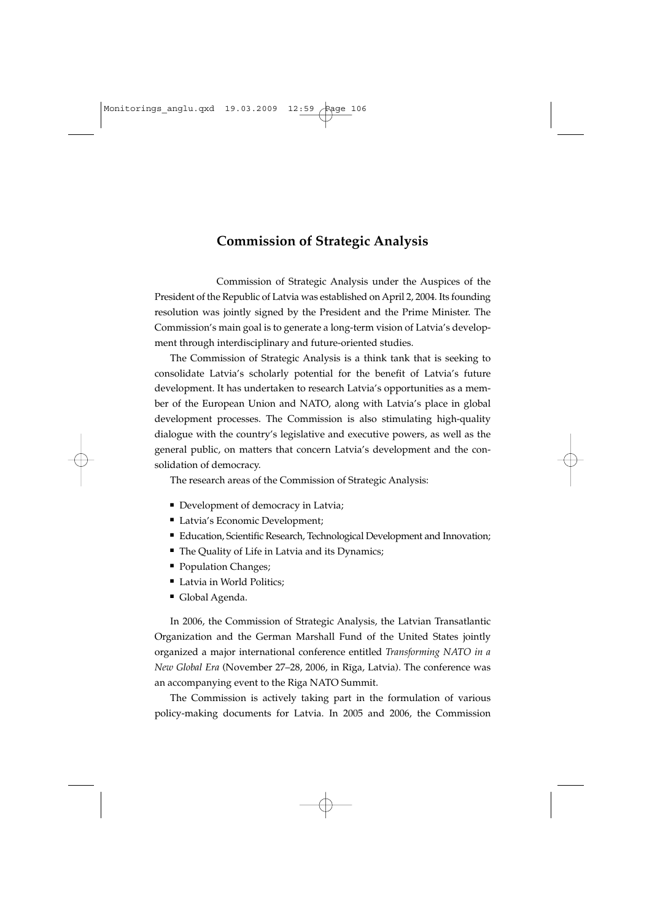# **Commission of Strategic Analysis**

Commission of Strategic Analysis under the Auspices of the President of the Republic of Latvia was established on April 2, 2004. Its founding resolution was jointly signed by the President and the Prime Minister. The Commission's main goal is to generate a long-term vision of Latvia's development through interdisciplinary and future-oriented studies.

The Commission of Strategic Analysis is a think tank that is seeking to consolidate Latvia's scholarly potential for the benefit of Latvia's future development. It has undertaken to research Latvia's opportunities as a member of the European Union and NATO, along with Latvia's place in global development processes. The Commission is also stimulating high-quality dialogue with the country's legislative and executive powers, as well as the general public, on matters that concern Latvia's development and the consolidation of democracy.

The research areas of the Commission of Strategic Analysis:

- Development of democracy in Latvia;
- Latvia's Economic Development;
- Education, Scientific Research, Technological Development and Innovation;
- The Quality of Life in Latvia and its Dynamics;
- Population Changes;
- Latvia in World Politics;
- Global Agenda.

In 2006, the Commission of Strategic Analysis, the Latvian Transatlantic Organization and the German Marshall Fund of the United States jointly organized a major international conference entitled *Transforming NATO in a New Global Era* (November 27–28, 2006, in Rîga, Latvia). The conference was an accompanying event to the Riga NATO Summit.

The Commission is actively taking part in the formulation of various policy-making documents for Latvia. In 2005 and 2006, the Commission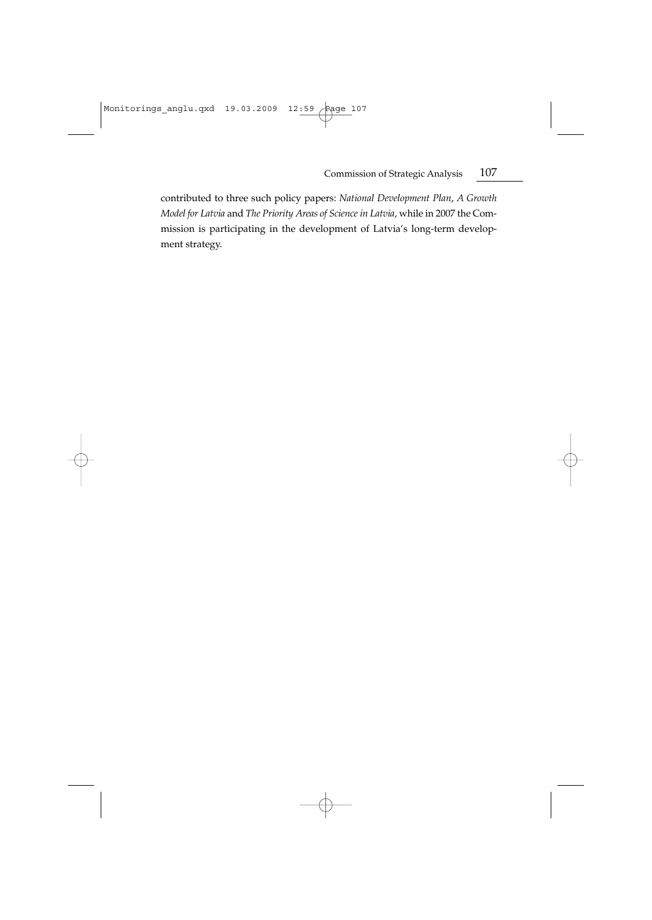Monitorings\_anglu.qxd  $19.03.2009$   $12:59$  age 107

Commission of Strategic Analysis 107

contributed to three such policy papers: *National Development Plan*, *A Growth Model for Latvia* and *The Priority Areas of Science in Latvia*, while in 2007 the Commission is participating in the development of Latvia's long-term development strategy.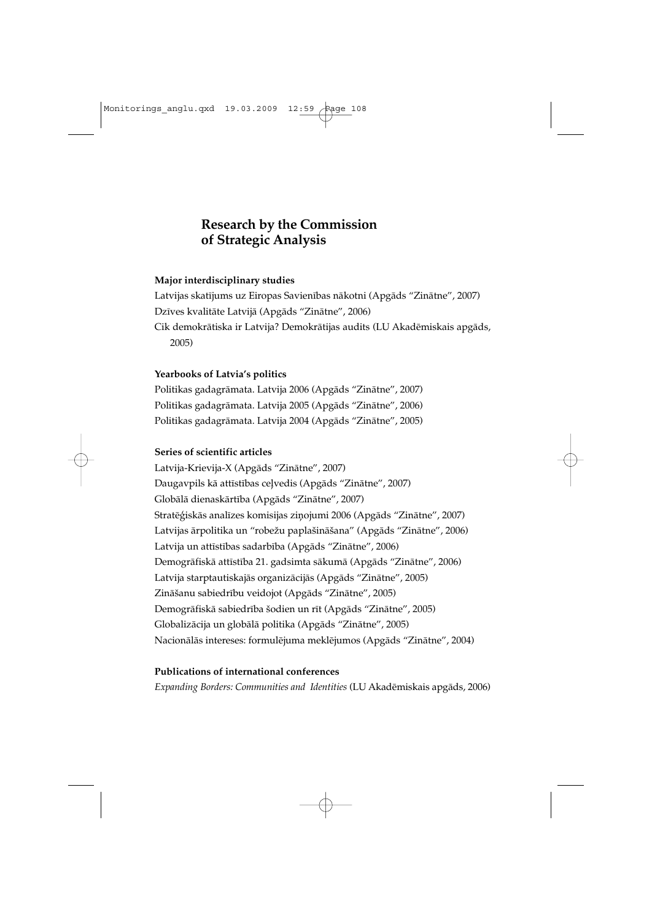Monitorings\_anglu.qxd 19.03.2009 12:59

# **Research by the Commission of Strategic Analysis**

### **Major interdisciplinary studies**

Latvijas skatîjums uz Eiropas Savienîbas nâkotni (Apgâds "Zinâtne", 2007) Dzîves kvalitâte Latvijâ (Apgâds "Zinâtne", 2006) Cik demokrâtiska ir Latvija? Demokrâtijas audits (LU Akadçmiskais apgâds, 2005)

#### **Yearbooks of Latvia's politics**

Politikas gadagrâmata. Latvija 2006 (Apgâds "Zinâtne", 2007) Politikas gadagrâmata. Latvija 2005 (Apgâds "Zinâtne", 2006) Politikas gadagrâmata. Latvija 2004 (Apgâds "Zinâtne", 2005)

#### **Series of scientific articles**

Latvija-Krievija-X (Apgâds "Zinâtne", 2007) Daugavpils kā attīstības ceļvedis (Apgāds "Zinātne", 2007) Globâlâ dienaskârtîba (Apgâds "Zinâtne", 2007) Stratēģiskās analīzes komisijas zinojumi 2006 (Apgāds "Zinātne", 2007) Latvijas ārpolitika un "robežu paplašināšana" (Apgāds "Zinātne", 2006) Latvija un attîstîbas sadarbîba (Apgâds "Zinâtne", 2006) Demogrâfiskâ attîstîba 21. gadsimta sâkumâ (Apgâds "Zinâtne", 2006) Latvija starptautiskajâs organizâcijâs (Apgâds "Zinâtne", 2005) Zinâðanu sabiedrîbu veidojot (Apgâds "Zinâtne", 2005) Demogrâfiskâ sabiedrîba ðodien un rît (Apgâds "Zinâtne", 2005) Globalizâcija un globâlâ politika (Apgâds "Zinâtne", 2005) Nacionâlâs intereses: formulçjuma meklçjumos (Apgâds "Zinâtne", 2004)

#### **Publications of international conferences**

*Expanding Borders: Communities and Identities* (LU Akadçmiskais apgâds, 2006)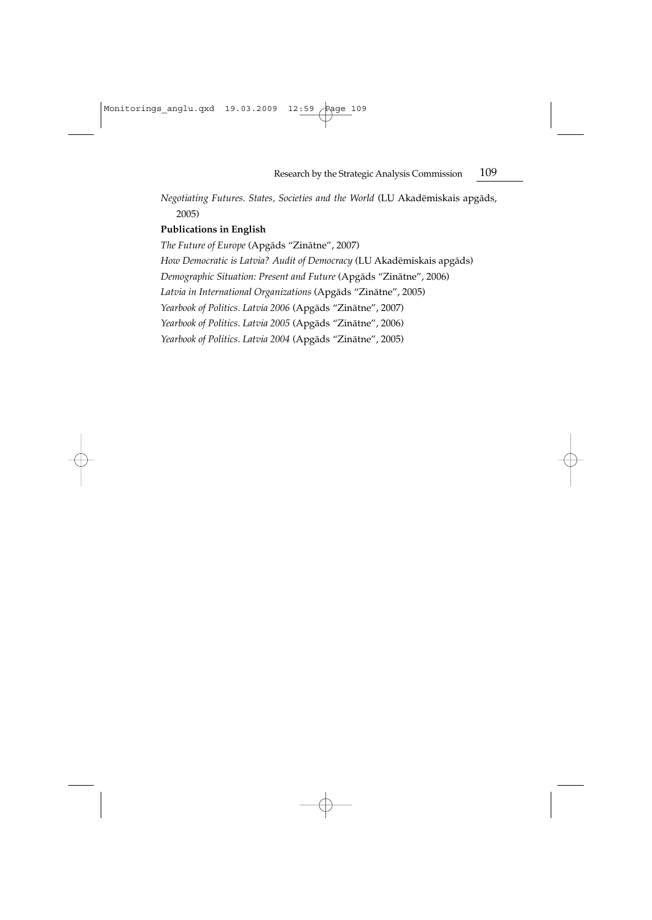Research by the Strategic Analysis Commission 109

*Negotiating Futures. States, Societies and the World* (LU Akadçmiskais apgâds, 2005)

## **Publications in English**

*The Future of Europe* (Apgâds "Zinâtne", 2007) *How Democratic is Latvia? Audit of Democracy* (LU Akadçmiskais apgâds) *Demographic Situation: Present and Future* (Apgâds "Zinâtne", 2006) *Latvia in International Organizations* (Apgâds "Zinâtne", 2005) *Yearbook of Politics. Latvia 2006* (Apgâds "Zinâtne", 2007) *Yearbook of Politics. Latvia 2005* (Apgâds "Zinâtne", 2006) *Yearbook of Politics. Latvia 2004* (Apgâds "Zinâtne", 2005)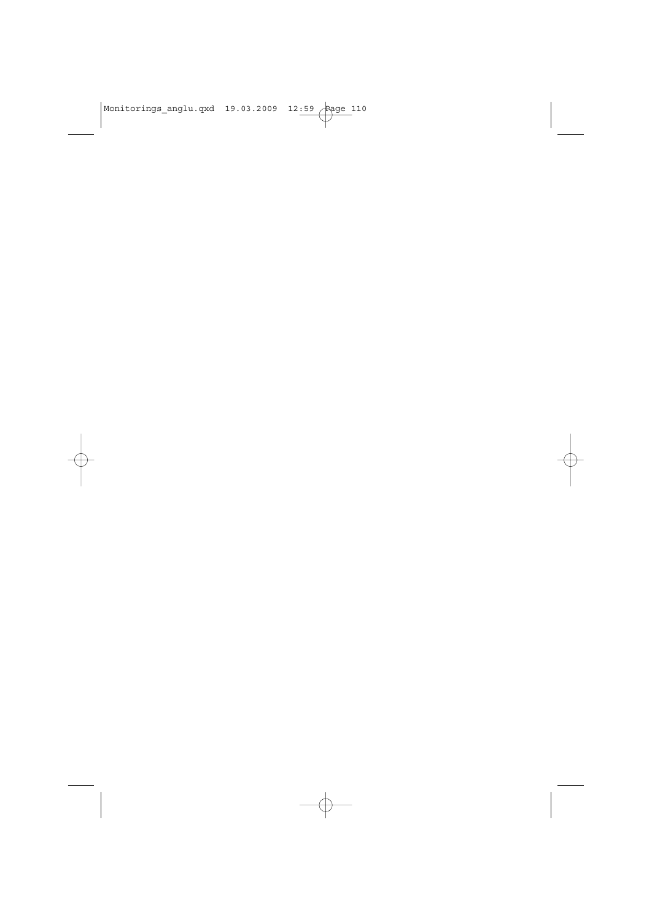Monitorings\_anglu.qxd 19.03.2009 12:59 Page 110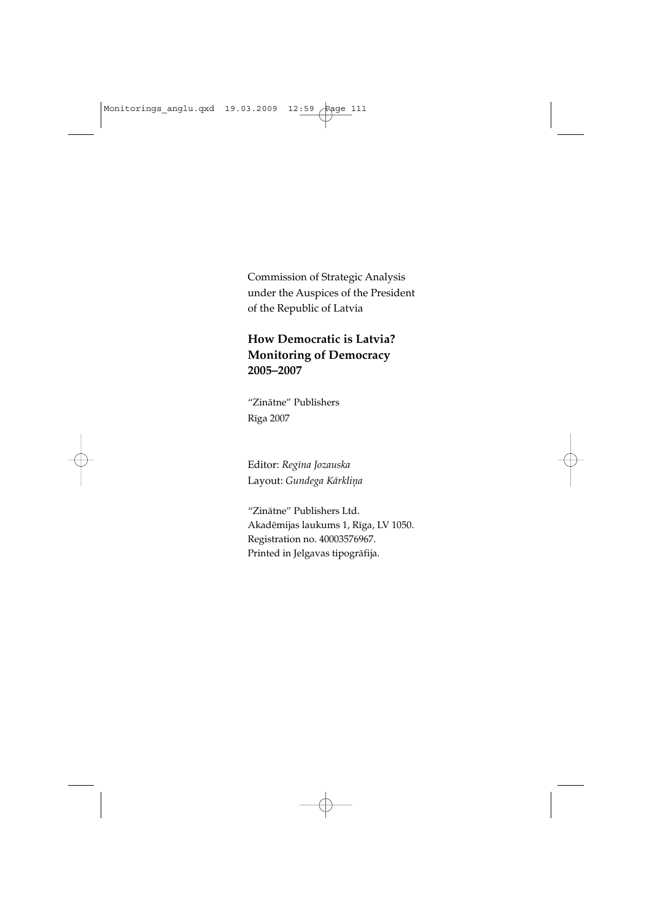$\vert$ Monitorings\_anglu.qxd 19.03.2009 12:59  $\sqrt{$  age 111

Commission of Strategic Analysis under the Auspices of the President of the Republic of Latvia

## **How Democratic is Latvia? Monitoring of Democracy 2005–2007**

"Zinâtne" Publishers Rîga 2007

Editor: *Regîna Jozauska* Layout: Gundega Kārkliņa

"Zinâtne" Publishers Ltd. Akadçmijas laukums 1, Rîga, LV 1050. Registration no. 40003576967. Printed in Jelgavas tipogrâfija.